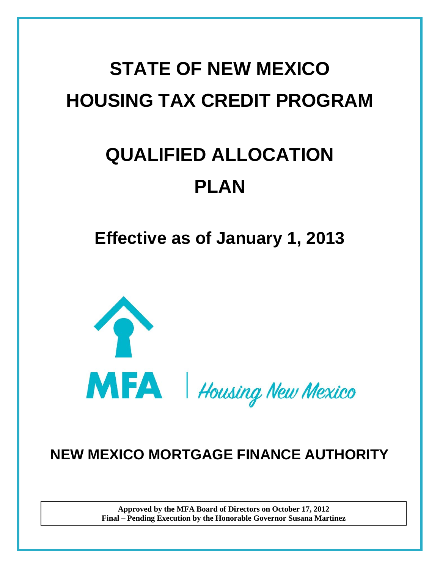# **STATE OF NEW MEXICO HOUSING TAX CREDIT PROGRAM**

# **QUALIFIED ALLOCATION PLAN**

**Effective as of January 1, 2013**



# **NEW MEXICO MORTGAGE FINANCE AUTHORITY**

**Approved by the MFA Board of Directors on October 17, 2012 Final – Pending Execution by the Honorable Governor Susana Martinez**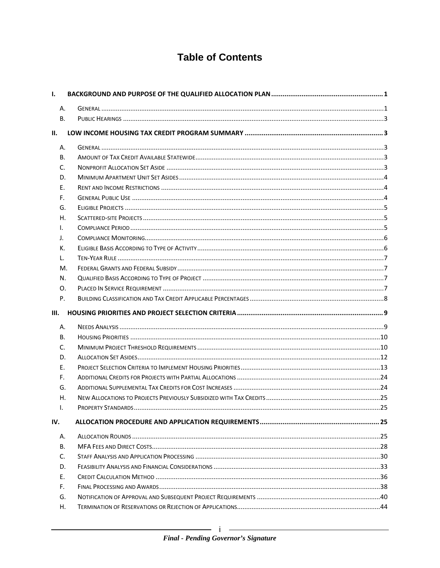# **Table of Contents**

| Ι.   |  |
|------|--|
| А.   |  |
| В.   |  |
| Н.   |  |
| А.   |  |
| В.   |  |
| C.   |  |
| D.   |  |
| Ε.   |  |
| F.   |  |
| G.   |  |
| Н.   |  |
| L.   |  |
| J.   |  |
| к.   |  |
| L.   |  |
| М.   |  |
| N.   |  |
| 0.   |  |
| P.   |  |
| III. |  |
| А.   |  |
| В.   |  |
|      |  |
| C.   |  |
| D.   |  |
| Ε.   |  |
| F.   |  |
| G.   |  |
| Η.   |  |
| I.   |  |
| IV.  |  |
| А.   |  |
| В.   |  |
| C.   |  |
| D.   |  |
| Е.   |  |
| F.   |  |
| G.   |  |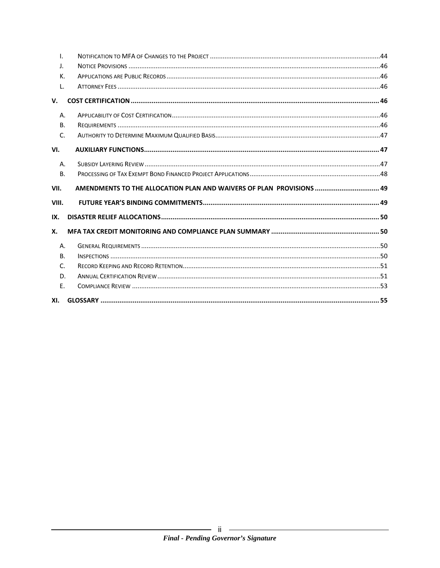| $\mathbf{I}$ . |                                                                      |  |
|----------------|----------------------------------------------------------------------|--|
| J.             |                                                                      |  |
| К.             |                                                                      |  |
| L.             |                                                                      |  |
| V.             |                                                                      |  |
| A.             |                                                                      |  |
| <b>B.</b>      |                                                                      |  |
| C.             |                                                                      |  |
| VI.            |                                                                      |  |
| A.             |                                                                      |  |
| <b>B.</b>      |                                                                      |  |
| VII.           | AMENDMENTS TO THE ALLOCATION PLAN AND WAIVERS OF PLAN PROVISIONS  49 |  |
| VIII.          |                                                                      |  |
|                |                                                                      |  |
| IX.            |                                                                      |  |
| Х.             |                                                                      |  |
| Α.             |                                                                      |  |
| B <sub>1</sub> |                                                                      |  |
| C.             |                                                                      |  |
| D.             |                                                                      |  |
| E.             |                                                                      |  |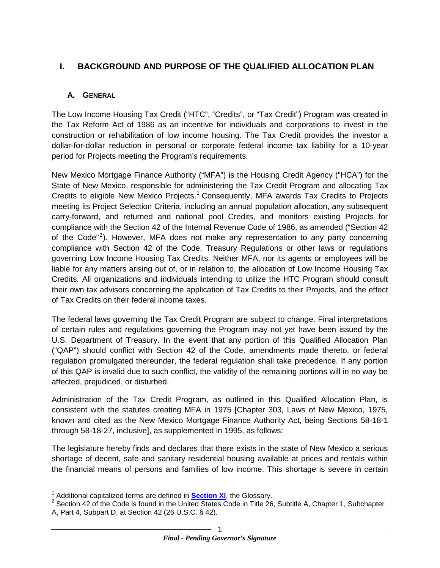# <span id="page-3-0"></span>**I. BACKGROUND AND PURPOSE OF THE QUALIFIED ALLOCATION PLAN**

#### <span id="page-3-1"></span>**A. GENERAL**

The Low Income Housing Tax Credit ("HTC", "Credits", or "Tax Credit") Program was created in the Tax Reform Act of 1986 as an incentive for individuals and corporations to invest in the construction or rehabilitation of low income housing. The Tax Credit provides the investor a dollar-for-dollar reduction in personal or corporate federal income tax liability for a 10-year period for Projects meeting the Program's requirements.

New Mexico Mortgage Finance Authority ("MFA") is the Housing Credit Agency ("HCA") for the State of New Mexico, responsible for administering the Tax Credit Program and allocating Tax Credits to eligible New Mexico Projects.<sup>[1](#page-3-3)</sup> Consequently, MFA awards Tax Credits to Projects meeting its Project Selection Criteria, including an annual population allocation, any subsequent carry-forward, and returned and national pool Credits, and monitors existing Projects for compliance with the Section 42 of the Internal Revenue Code of 1986, as amended ("Section 42 of the Code"<sup>[2](#page-3-4)</sup>). However, MFA does not make any representation to any party concerning compliance with Section 42 of the Code, Treasury Regulations or other laws or regulations governing Low Income Housing Tax Credits. Neither MFA, nor its agents or employees will be liable for any matters arising out of, or in relation to, the allocation of Low Income Housing Tax Credits. All organizations and individuals intending to utilize the HTC Program should consult their own tax advisors concerning the application of Tax Credits to their Projects, and the effect of Tax Credits on their federal income taxes.

The federal laws governing the Tax Credit Program are subject to change. Final interpretations of certain rules and regulations governing the Program may not yet have been issued by the U.S. Department of Treasury. In the event that any portion of this Qualified Allocation Plan ("QAP") should conflict with Section 42 of the Code, amendments made thereto, or federal regulation promulgated thereunder, the federal regulation shall take precedence. If any portion of this QAP is invalid due to such conflict, the validity of the remaining portions will in no way be affected, prejudiced, or disturbed.

Administration of the Tax Credit Program, as outlined in this Qualified Allocation Plan, is consistent with the statutes creating MFA in 1975 [Chapter 303, Laws of New Mexico, 1975, known and cited as the New Mexico Mortgage Finance Authority Act, being Sections 58-18-1 through 58-18-27, inclusive], as supplemented in 1995, as follows:

The legislature hereby finds and declares that there exists in the state of New Mexico a serious shortage of decent, safe and sanitary residential housing available at prices and rentals within the financial means of persons and families of low income. This shortage is severe in certain

<span id="page-3-2"></span>

<span id="page-3-4"></span><span id="page-3-3"></span><sup>&</sup>lt;sup>1</sup> Additional capitalized terms are defined in **[Section XI](#page-3-2)**, the Glossary.<br><sup>2</sup> Section 42 of the Code is found in the United States Code in Title 26, Subtitle A, Chapter 1, Subchapter A, Part 4, Subpart D, at Section 42 (26 U.S.C. § 42).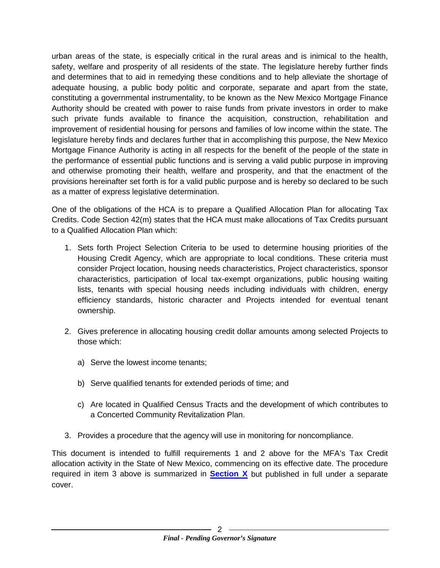urban areas of the state, is especially critical in the rural areas and is inimical to the health, safety, welfare and prosperity of all residents of the state. The legislature hereby further finds and determines that to aid in remedying these conditions and to help alleviate the shortage of adequate housing, a public body politic and corporate, separate and apart from the state, constituting a governmental instrumentality, to be known as the New Mexico Mortgage Finance Authority should be created with power to raise funds from private investors in order to make such private funds available to finance the acquisition, construction, rehabilitation and improvement of residential housing for persons and families of low income within the state. The legislature hereby finds and declares further that in accomplishing this purpose, the New Mexico Mortgage Finance Authority is acting in all respects for the benefit of the people of the state in the performance of essential public functions and is serving a valid public purpose in improving and otherwise promoting their health, welfare and prosperity, and that the enactment of the provisions hereinafter set forth is for a valid public purpose and is hereby so declared to be such as a matter of express legislative determination.

One of the obligations of the HCA is to prepare a Qualified Allocation Plan for allocating Tax Credits. Code Section 42(m) states that the HCA must make allocations of Tax Credits pursuant to a Qualified Allocation Plan which:

- 1. Sets forth Project Selection Criteria to be used to determine housing priorities of the Housing Credit Agency, which are appropriate to local conditions. These criteria must consider Project location, housing needs characteristics, Project characteristics, sponsor characteristics, participation of local tax-exempt organizations, public housing waiting lists, tenants with special housing needs including individuals with children, energy efficiency standards, historic character and Projects intended for eventual tenant ownership.
- 2. Gives preference in allocating housing credit dollar amounts among selected Projects to those which:
	- a) Serve the lowest income tenants;
	- b) Serve qualified tenants for extended periods of time; and
	- c) Are located in Qualified Census Tracts and the development of which contributes to a Concerted Community Revitalization Plan.
- 3. Provides a procedure that the agency will use in monitoring for noncompliance.

This document is intended to fulfill requirements 1 and 2 above for the MFA's Tax Credit allocation activity in the State of New Mexico, commencing on its effective date. The procedure required in item 3 above is summarized in **[Section X](#page-52-0)** but published in full under a separate cover.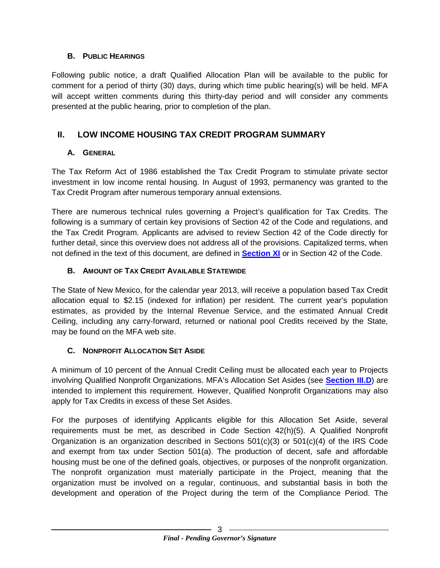#### <span id="page-5-0"></span>**B. PUBLIC HEARINGS**

Following public notice, a draft Qualified Allocation Plan will be available to the public for comment for a period of thirty (30) days, during which time public hearing(s) will be held. MFA will accept written comments during this thirty-day period and will consider any comments presented at the public hearing, prior to completion of the plan.

# <span id="page-5-1"></span>**II. LOW INCOME HOUSING TAX CREDIT PROGRAM SUMMARY**

#### <span id="page-5-2"></span>**A. GENERAL**

The Tax Reform Act of 1986 established the Tax Credit Program to stimulate private sector investment in low income rental housing. In August of 1993, permanency was granted to the Tax Credit Program after numerous temporary annual extensions.

There are numerous technical rules governing a Project's qualification for Tax Credits. The following is a summary of certain key provisions of Section 42 of the Code and regulations, and the Tax Credit Program. Applicants are advised to review Section 42 of the Code directly for further detail, since this overview does not address all of the provisions. Capitalized terms, when not defined in the text of this document, are defined in **[Section XI](#page-56-0)** or in Section 42 of the Code.

#### <span id="page-5-3"></span>**B. AMOUNT OF TAX CREDIT AVAILABLE STATEWIDE**

The State of New Mexico, for the calendar year 2013, will receive a population based Tax Credit allocation equal to \$2.15 (indexed for inflation) per resident. The current year's population estimates, as provided by the Internal Revenue Service, and the estimated Annual Credit Ceiling, including any carry-forward, returned or national pool Credits received by the State, may be found on the MFA web site.

# <span id="page-5-4"></span>**C. NONPROFIT ALLOCATION SET ASIDE**

A minimum of 10 percent of the Annual Credit Ceiling must be allocated each year to Projects involving Qualified Nonprofit Organizations. MFA's Allocation Set Asides (see **[Section III.D](#page-14-1)**) are intended to implement this requirement. However, Qualified Nonprofit Organizations may also apply for Tax Credits in excess of these Set Asides.

For the purposes of identifying Applicants eligible for this Allocation Set Aside, several requirements must be met, as described in Code Section 42(h)(5). A Qualified Nonprofit Organization is an organization described in Sections  $501(c)(3)$  or  $501(c)(4)$  of the IRS Code and exempt from tax under Section 501(a). The production of decent, safe and affordable housing must be one of the defined goals, objectives, or purposes of the nonprofit organization. The nonprofit organization must materially participate in the Project, meaning that the organization must be involved on a regular, continuous, and substantial basis in both the development and operation of the Project during the term of the Compliance Period. The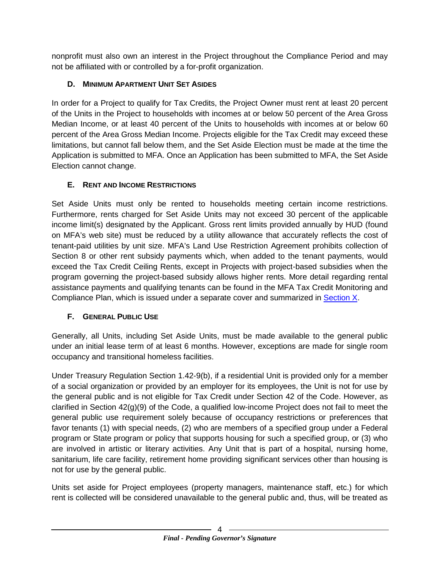nonprofit must also own an interest in the Project throughout the Compliance Period and may not be affiliated with or controlled by a for-profit organization.

# <span id="page-6-0"></span>**D. MINIMUM APARTMENT UNIT SET ASIDES**

In order for a Project to qualify for Tax Credits, the Project Owner must rent at least 20 percent of the Units in the Project to households with incomes at or below 50 percent of the Area Gross Median Income, or at least 40 percent of the Units to households with incomes at or below 60 percent of the Area Gross Median Income. Projects eligible for the Tax Credit may exceed these limitations, but cannot fall below them, and the Set Aside Election must be made at the time the Application is submitted to MFA. Once an Application has been submitted to MFA, the Set Aside Election cannot change.

# <span id="page-6-1"></span>**E. RENT AND INCOME RESTRICTIONS**

Set Aside Units must only be rented to households meeting certain income restrictions. Furthermore, rents charged for Set Aside Units may not exceed 30 percent of the applicable income limit(s) designated by the Applicant. Gross rent limits provided annually by HUD (found on MFA's web site) must be reduced by a utility allowance that accurately reflects the cost of tenant-paid utilities by unit size. MFA's Land Use Restriction Agreement prohibits collection of Section 8 or other rent subsidy payments which, when added to the tenant payments, would exceed the Tax Credit Ceiling Rents, except in Projects with project-based subsidies when the program governing the project-based subsidy allows higher rents. More detail regarding rental assistance payments and qualifying tenants can be found in the MFA Tax Credit Monitoring and Compliance Plan, which is issued under a separate cover and summarized in [Section X.](#page-52-0)

# <span id="page-6-2"></span>**F. GENERAL PUBLIC USE**

Generally, all Units, including Set Aside Units, must be made available to the general public under an initial lease term of at least 6 months. However, exceptions are made for single room occupancy and transitional homeless facilities.

Under Treasury Regulation Section 1.42-9(b), if a residential Unit is provided only for a member of a social organization or provided by an employer for its employees, the Unit is not for use by the general public and is not eligible for Tax Credit under Section 42 of the Code. However, as clarified in Section 42(g)(9) of the Code, a qualified low-income Project does not fail to meet the general public use requirement solely because of occupancy restrictions or preferences that favor tenants (1) with special needs, (2) who are members of a specified group under a Federal program or State program or policy that supports housing for such a specified group, or (3) who are involved in artistic or literary activities. Any Unit that is part of a hospital, nursing home, sanitarium, life care facility, retirement home providing significant services other than housing is not for use by the general public.

Units set aside for Project employees (property managers, maintenance staff, etc.) for which rent is collected will be considered unavailable to the general public and, thus, will be treated as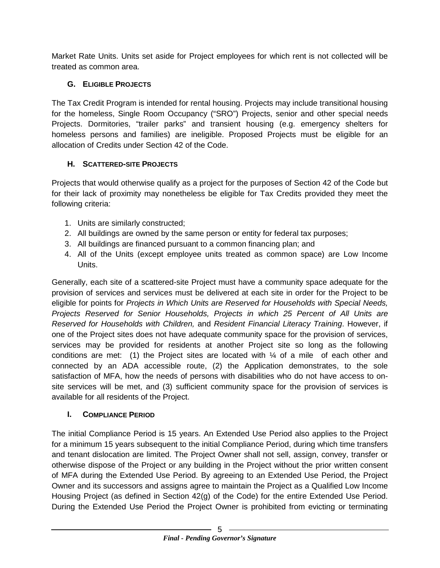Market Rate Units. Units set aside for Project employees for which rent is not collected will be treated as common area.

### <span id="page-7-0"></span>**G. ELIGIBLE PROJECTS**

The Tax Credit Program is intended for rental housing. Projects may include transitional housing for the homeless, Single Room Occupancy ("SRO") Projects, senior and other special needs Projects. Dormitories, "trailer parks" and transient housing (e.g. emergency shelters for homeless persons and families) are ineligible. Proposed Projects must be eligible for an allocation of Credits under Section 42 of the Code.

# <span id="page-7-1"></span>**H. SCATTERED-SITE PROJECTS**

Projects that would otherwise qualify as a project for the purposes of Section 42 of the Code but for their lack of proximity may nonetheless be eligible for Tax Credits provided they meet the following criteria:

- 1. Units are similarly constructed;
- 2. All buildings are owned by the same person or entity for federal tax purposes;
- 3. All buildings are financed pursuant to a common financing plan; and
- 4. All of the Units (except employee units treated as common space) are Low Income Units.

Generally, each site of a scattered-site Project must have a community space adequate for the provision of services and services must be delivered at each site in order for the Project to be eligible for points for *Projects in Which Units are Reserved for Households with Special Needs, Projects Reserved for Senior Households, Projects in which 25 Percent of All Units are Reserved for Households with Children,* and *Resident Financial Literacy Training*. However, if one of the Project sites does not have adequate community space for the provision of services, services may be provided for residents at another Project site so long as the following conditions are met: (1) the Project sites are located with ¼ of a mile of each other and connected by an ADA accessible route, (2) the Application demonstrates, to the sole satisfaction of MFA, how the needs of persons with disabilities who do not have access to onsite services will be met, and (3) sufficient community space for the provision of services is available for all residents of the Project.

#### <span id="page-7-2"></span>**I. COMPLIANCE PERIOD**

The initial Compliance Period is 15 years. An Extended Use Period also applies to the Project for a minimum 15 years subsequent to the initial Compliance Period, during which time transfers and tenant dislocation are limited. The Project Owner shall not sell, assign, convey, transfer or otherwise dispose of the Project or any building in the Project without the prior written consent of MFA during the Extended Use Period. By agreeing to an Extended Use Period, the Project Owner and its successors and assigns agree to maintain the Project as a Qualified Low Income Housing Project (as defined in Section 42(g) of the Code) for the entire Extended Use Period. During the Extended Use Period the Project Owner is prohibited from evicting or terminating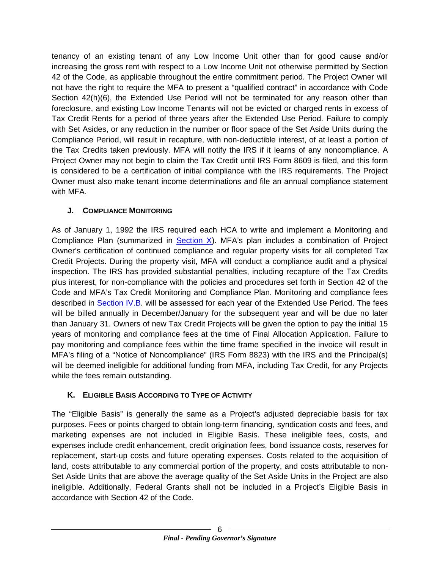tenancy of an existing tenant of any Low Income Unit other than for good cause and/or increasing the gross rent with respect to a Low Income Unit not otherwise permitted by Section 42 of the Code, as applicable throughout the entire commitment period. The Project Owner will not have the right to require the MFA to present a "qualified contract" in accordance with Code Section 42(h)(6), the Extended Use Period will not be terminated for any reason other than foreclosure, and existing Low Income Tenants will not be evicted or charged rents in excess of Tax Credit Rents for a period of three years after the Extended Use Period. Failure to comply with Set Asides, or any reduction in the number or floor space of the Set Aside Units during the Compliance Period, will result in recapture, with non-deductible interest, of at least a portion of the Tax Credits taken previously. MFA will notify the IRS if it learns of any noncompliance. A Project Owner may not begin to claim the Tax Credit until IRS Form 8609 is filed, and this form is considered to be a certification of initial compliance with the IRS requirements. The Project Owner must also make tenant income determinations and file an annual compliance statement with MFA.

# <span id="page-8-0"></span>**J. COMPLIANCE MONITORING**

As of January 1, 1992 the IRS required each HCA to write and implement a Monitoring and Compliance Plan (summarized in Section  $X$ ). MFA's plan includes a combination of Project Owner's certification of continued compliance and regular property visits for all completed Tax Credit Projects. During the property visit, MFA will conduct a compliance audit and a physical inspection. The IRS has provided substantial penalties, including recapture of the Tax Credits plus interest, for non-compliance with the policies and procedures set forth in Section 42 of the Code and MFA's Tax Credit Monitoring and Compliance Plan. Monitoring and compliance fees described in **Section IV.B.** will be assessed for each year of the Extended Use Period. The fees will be billed annually in December/January for the subsequent year and will be due no later than January 31. Owners of new Tax Credit Projects will be given the option to pay the initial 15 years of monitoring and compliance fees at the time of Final Allocation Application. Failure to pay monitoring and compliance fees within the time frame specified in the invoice will result in MFA's filing of a "Notice of Noncompliance" (IRS Form 8823) with the IRS and the Principal(s) will be deemed ineligible for additional funding from MFA, including Tax Credit, for any Projects while the fees remain outstanding.

# <span id="page-8-1"></span>**K. ELIGIBLE BASIS ACCORDING TO TYPE OF ACTIVITY**

The "Eligible Basis" is generally the same as a Project's adjusted depreciable basis for tax purposes. Fees or points charged to obtain long-term financing, syndication costs and fees, and marketing expenses are not included in Eligible Basis. These ineligible fees, costs, and expenses include credit enhancement, credit origination fees, bond issuance costs, reserves for replacement, start-up costs and future operating expenses. Costs related to the acquisition of land, costs attributable to any commercial portion of the property, and costs attributable to non-Set Aside Units that are above the average quality of the Set Aside Units in the Project are also ineligible. Additionally, Federal Grants shall not be included in a Project's Eligible Basis in accordance with Section 42 of the Code.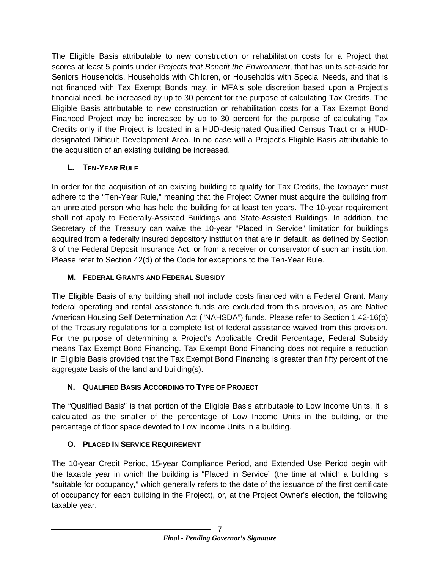The Eligible Basis attributable to new construction or rehabilitation costs for a Project that scores at least 5 points under *Projects that Benefit the Environment*, that has units set-aside for Seniors Households, Households with Children, or Households with Special Needs, and that is not financed with Tax Exempt Bonds may, in MFA's sole discretion based upon a Project's financial need, be increased by up to 30 percent for the purpose of calculating Tax Credits. The Eligible Basis attributable to new construction or rehabilitation costs for a Tax Exempt Bond Financed Project may be increased by up to 30 percent for the purpose of calculating Tax Credits only if the Project is located in a HUD-designated Qualified Census Tract or a HUDdesignated Difficult Development Area. In no case will a Project's Eligible Basis attributable to the acquisition of an existing building be increased.

# <span id="page-9-0"></span>**L. TEN-YEAR RULE**

In order for the acquisition of an existing building to qualify for Tax Credits, the taxpayer must adhere to the "Ten-Year Rule," meaning that the Project Owner must acquire the building from an unrelated person who has held the building for at least ten years. The 10-year requirement shall not apply to Federally-Assisted Buildings and State-Assisted Buildings. In addition, the Secretary of the Treasury can waive the 10-year "Placed in Service" limitation for buildings acquired from a federally insured depository institution that are in default, as defined by Section 3 of the Federal Deposit Insurance Act, or from a receiver or conservator of such an institution. Please refer to Section 42(d) of the Code for exceptions to the Ten-Year Rule.

# <span id="page-9-1"></span>**M. FEDERAL GRANTS AND FEDERAL SUBSIDY**

The Eligible Basis of any building shall not include costs financed with a Federal Grant. Many federal operating and rental assistance funds are excluded from this provision, as are Native American Housing Self Determination Act ("NAHSDA") funds. Please refer to Section 1.42-16(b) of the Treasury regulations for a complete list of federal assistance waived from this provision. For the purpose of determining a Project's Applicable Credit Percentage, Federal Subsidy means Tax Exempt Bond Financing. Tax Exempt Bond Financing does not require a reduction in Eligible Basis provided that the Tax Exempt Bond Financing is greater than fifty percent of the aggregate basis of the land and building(s).

# <span id="page-9-4"></span><span id="page-9-2"></span>**N. QUALIFIED BASIS ACCORDING TO TYPE OF PROJECT**

The "Qualified Basis" is that portion of the Eligible Basis attributable to Low Income Units. It is calculated as the smaller of the percentage of Low Income Units in the building, or the percentage of floor space devoted to Low Income Units in a building.

# <span id="page-9-3"></span>**O. PLACED IN SERVICE REQUIREMENT**

The 10-year Credit Period, 15-year Compliance Period, and Extended Use Period begin with the taxable year in which the building is "Placed in Service" (the time at which a building is "suitable for occupancy," which generally refers to the date of the issuance of the first certificate of occupancy for each building in the Project), or, at the Project Owner's election, the following taxable year.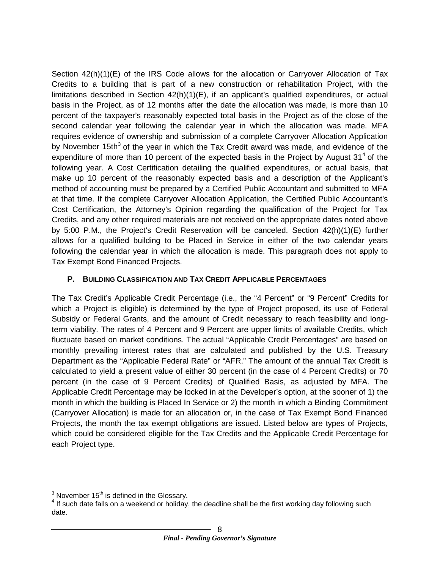Section 42(h)(1)(E) of the IRS Code allows for the allocation or Carryover Allocation of Tax Credits to a building that is part of a new construction or rehabilitation Project, with the limitations described in Section 42(h)(1)(E), if an applicant's qualified expenditures, or actual basis in the Project, as of 12 months after the date the allocation was made, is more than 10 percent of the taxpayer's reasonably expected total basis in the Project as of the close of the second calendar year following the calendar year in which the allocation was made. MFA requires evidence of ownership and submission of a complete Carryover Allocation Application by November 15th<sup>[3](#page-10-1)</sup> of the year in which the Tax Credit award was made, and evidence of the expenditure of more than 10 percent of the expected basis in the Project by August  $31<sup>4</sup>$  $31<sup>4</sup>$  $31<sup>4</sup>$  of the following year. A Cost Certification detailing the qualified expenditures, or actual basis, that make up 10 percent of the reasonably expected basis and a description of the Applicant's method of accounting must be prepared by a Certified Public Accountant and submitted to MFA at that time. If the complete Carryover Allocation Application, the Certified Public Accountant's Cost Certification, the Attorney's Opinion regarding the qualification of the Project for Tax Credits, and any other required materials are not received on the appropriate dates noted above by 5:00 P.M., the Project's Credit Reservation will be canceled. Section 42(h)(1)(E) further allows for a qualified building to be Placed in Service in either of the two calendar years following the calendar year in which the allocation is made. This paragraph does not apply to Tax Exempt Bond Financed Projects.

#### <span id="page-10-0"></span>**P. BUILDING CLASSIFICATION AND TAX CREDIT APPLICABLE PERCENTAGES**

The Tax Credit's Applicable Credit Percentage (i.e., the "4 Percent" or "9 Percent" Credits for which a Project is eligible) is determined by the type of Project proposed, its use of Federal Subsidy or Federal Grants, and the amount of Credit necessary to reach feasibility and longterm viability. The rates of 4 Percent and 9 Percent are upper limits of available Credits, which fluctuate based on market conditions. The actual "Applicable Credit Percentages" are based on monthly prevailing interest rates that are calculated and published by the U.S. Treasury Department as the "Applicable Federal Rate" or "AFR." The amount of the annual Tax Credit is calculated to yield a present value of either 30 percent (in the case of 4 Percent Credits) or 70 percent (in the case of 9 Percent Credits) of Qualified Basis, as adjusted by MFA. The Applicable Credit Percentage may be locked in at the Developer's option, at the sooner of 1) the month in which the building is Placed In Service or 2) the month in which a Binding Commitment (Carryover Allocation) is made for an allocation or, in the case of Tax Exempt Bond Financed Projects, the month the tax exempt obligations are issued. Listed below are types of Projects, which could be considered eligible for the Tax Credits and the Applicable Credit Percentage for each Project type.

<span id="page-10-2"></span><span id="page-10-1"></span><sup>&</sup>lt;sup>3</sup> November 15<sup>th</sup> is defined in the Glossary.<br><sup>4</sup> If such date falls on a weekend or holiday, the deadline shall be the first working day following such date.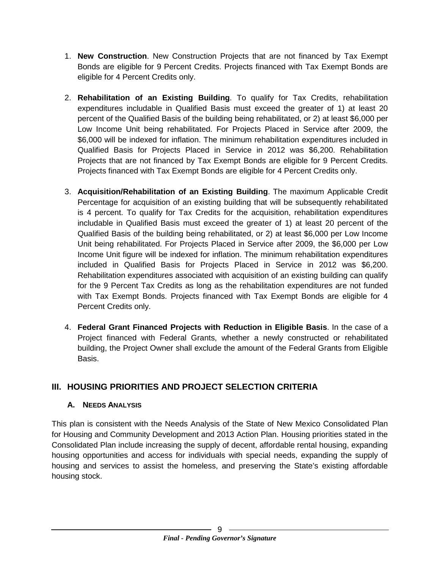- 1. **New Construction**. New Construction Projects that are not financed by Tax Exempt Bonds are eligible for 9 Percent Credits. Projects financed with Tax Exempt Bonds are eligible for 4 Percent Credits only.
- 2. **Rehabilitation of an Existing Building**. To qualify for Tax Credits, rehabilitation expenditures includable in Qualified Basis must exceed the greater of 1) at least 20 percent of the Qualified Basis of the building being rehabilitated, or 2) at least \$6,000 per Low Income Unit being rehabilitated. For Projects Placed in Service after 2009, the \$6,000 will be indexed for inflation. The minimum rehabilitation expenditures included in Qualified Basis for Projects Placed in Service in 2012 was \$6,200. Rehabilitation Projects that are not financed by Tax Exempt Bonds are eligible for 9 Percent Credits. Projects financed with Tax Exempt Bonds are eligible for 4 Percent Credits only.
- 3. **Acquisition/Rehabilitation of an Existing Building**. The maximum Applicable Credit Percentage for acquisition of an existing building that will be subsequently rehabilitated is 4 percent. To qualify for Tax Credits for the acquisition, rehabilitation expenditures includable in Qualified Basis must exceed the greater of 1) at least 20 percent of the Qualified Basis of the building being rehabilitated, or 2) at least \$6,000 per Low Income Unit being rehabilitated. For Projects Placed in Service after 2009, the \$6,000 per Low Income Unit figure will be indexed for inflation. The minimum rehabilitation expenditures included in Qualified Basis for Projects Placed in Service in 2012 was \$6,200. Rehabilitation expenditures associated with acquisition of an existing building can qualify for the 9 Percent Tax Credits as long as the rehabilitation expenditures are not funded with Tax Exempt Bonds. Projects financed with Tax Exempt Bonds are eligible for 4 Percent Credits only.
- 4. **Federal Grant Financed Projects with Reduction in Eligible Basis**. In the case of a Project financed with Federal Grants, whether a newly constructed or rehabilitated building, the Project Owner shall exclude the amount of the Federal Grants from Eligible Basis.

# <span id="page-11-0"></span>**III. HOUSING PRIORITIES AND PROJECT SELECTION CRITERIA**

#### <span id="page-11-1"></span>**A. NEEDS ANALYSIS**

This plan is consistent with the Needs Analysis of the State of New Mexico Consolidated Plan for Housing and Community Development and 2013 Action Plan. Housing priorities stated in the Consolidated Plan include increasing the supply of decent, affordable rental housing, expanding housing opportunities and access for individuals with special needs, expanding the supply of housing and services to assist the homeless, and preserving the State's existing affordable housing stock.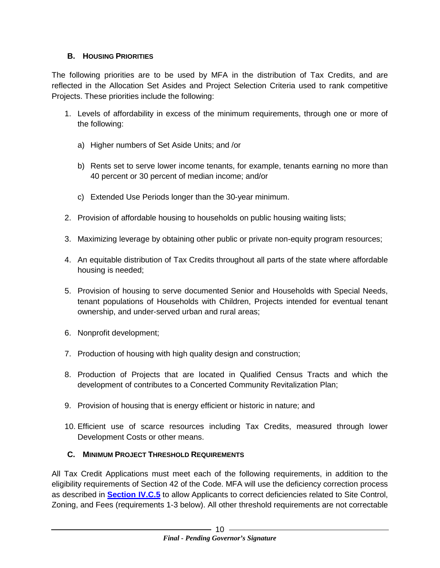#### <span id="page-12-0"></span>**B. HOUSING PRIORITIES**

The following priorities are to be used by MFA in the distribution of Tax Credits, and are reflected in the Allocation Set Asides and Project Selection Criteria used to rank competitive Projects. These priorities include the following:

- 1. Levels of affordability in excess of the minimum requirements, through one or more of the following:
	- a) Higher numbers of Set Aside Units; and /or
	- b) Rents set to serve lower income tenants, for example, tenants earning no more than 40 percent or 30 percent of median income; and/or
	- c) Extended Use Periods longer than the 30-year minimum.
- 2. Provision of affordable housing to households on public housing waiting lists;
- 3. Maximizing leverage by obtaining other public or private non-equity program resources;
- 4. An equitable distribution of Tax Credits throughout all parts of the state where affordable housing is needed;
- 5. Provision of housing to serve documented Senior and Households with Special Needs, tenant populations of Households with Children, Projects intended for eventual tenant ownership, and under-served urban and rural areas;
- 6. Nonprofit development;
- 7. Production of housing with high quality design and construction;
- 8. Production of Projects that are located in Qualified Census Tracts and which the development of contributes to a Concerted Community Revitalization Plan;
- 9. Provision of housing that is energy efficient or historic in nature; and
- 10. Efficient use of scarce resources including Tax Credits, measured through lower Development Costs or other means.

# <span id="page-12-2"></span><span id="page-12-1"></span>**C. MINIMUM PROJECT THRESHOLD REQUIREMENTS**

All Tax Credit Applications must meet each of the following requirements, in addition to the eligibility requirements of Section 42 of the Code. MFA will use the deficiency correction process as described in **[Section IV.C.5](#page-33-0)** to allow Applicants to correct deficiencies related to Site Control, Zoning, and Fees (requirements 1-3 below). All other threshold requirements are not correctable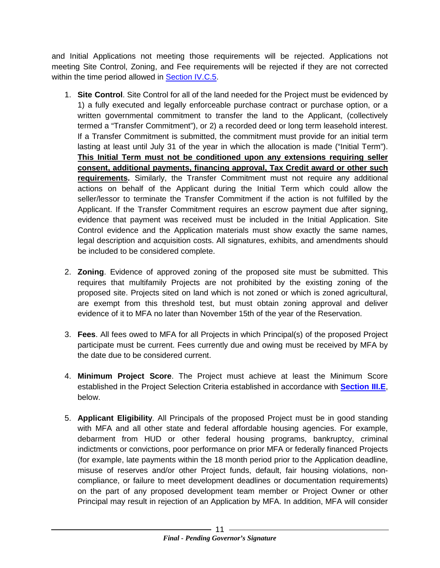and Initial Applications not meeting those requirements will be rejected. Applications not meeting Site Control, Zoning, and Fee requirements will be rejected if they are not corrected within the time period allowed in [Section IV.C.5.](#page-33-0)

- 1. **Site Control**. Site Control for all of the land needed for the Project must be evidenced by 1) a fully executed and legally enforceable purchase contract or purchase option, or a written governmental commitment to transfer the land to the Applicant, (collectively termed a "Transfer Commitment"), or 2) a recorded deed or long term leasehold interest. If a Transfer Commitment is submitted, the commitment must provide for an initial term lasting at least until July 31 of the year in which the allocation is made ("Initial Term"). **This Initial Term must not be conditioned upon any extensions requiring seller consent, additional payments, financing approval, Tax Credit award or other such requirements.** Similarly, the Transfer Commitment must not require any additional actions on behalf of the Applicant during the Initial Term which could allow the seller/lessor to terminate the Transfer Commitment if the action is not fulfilled by the Applicant. If the Transfer Commitment requires an escrow payment due after signing, evidence that payment was received must be included in the Initial Application. Site Control evidence and the Application materials must show exactly the same names, legal description and acquisition costs. All signatures, exhibits, and amendments should be included to be considered complete.
- 2. **Zoning**. Evidence of approved zoning of the proposed site must be submitted. This requires that multifamily Projects are not prohibited by the existing zoning of the proposed site. Projects sited on land which is not zoned or which is zoned agricultural, are exempt from this threshold test, but must obtain zoning approval and deliver evidence of it to MFA no later than November 15th of the year of the Reservation.
- 3. **Fees**. All fees owed to MFA for all Projects in which Principal(s) of the proposed Project participate must be current. Fees currently due and owing must be received by MFA by the date due to be considered current.
- 4. **Minimum Project Score**. The Project must achieve at least the Minimum Score established in the Project Selection Criteria established in accordance with **[Section III.E](#page-15-1)**, below.
- <span id="page-13-0"></span>5. **Applicant Eligibility**. All Principals of the proposed Project must be in good standing with MFA and all other state and federal affordable housing agencies. For example, debarment from HUD or other federal housing programs, bankruptcy, criminal indictments or convictions, poor performance on prior MFA or federally financed Projects (for example, late payments within the 18 month period prior to the Application deadline, misuse of reserves and/or other Project funds, default, fair housing violations, noncompliance, or failure to meet development deadlines or documentation requirements) on the part of any proposed development team member or Project Owner or other Principal may result in rejection of an Application by MFA. In addition, MFA will consider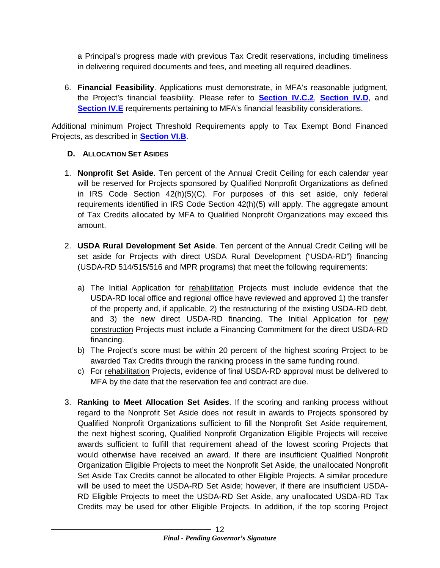a Principal's progress made with previous Tax Credit reservations, including timeliness in delivering required documents and fees, and meeting all required deadlines.

6. **Financial Feasibility**. Applications must demonstrate, in MFA's reasonable judgment, the Project's financial feasibility. Please refer to **[Section IV.C.2](#page-32-1)**, **[Section IV.D](#page-35-1)**, and **[Section IV.E](#page-38-1)** requirements pertaining to MFA's financial feasibility considerations.

Additional minimum Project Threshold Requirements apply to Tax Exempt Bond Financed Projects, as described in **[Section VI.B](#page-50-1)**.

#### <span id="page-14-1"></span><span id="page-14-0"></span>**D. ALLOCATION SET ASIDES**

- 1. **Nonprofit Set Aside**. Ten percent of the Annual Credit Ceiling for each calendar year will be reserved for Projects sponsored by Qualified Nonprofit Organizations as defined in IRS Code Section 42(h)(5)(C). For purposes of this set aside, only federal requirements identified in IRS Code Section 42(h)(5) will apply. The aggregate amount of Tax Credits allocated by MFA to Qualified Nonprofit Organizations may exceed this amount.
- 2. **USDA Rural Development Set Aside**. Ten percent of the Annual Credit Ceiling will be set aside for Projects with direct USDA Rural Development ("USDA-RD") financing (USDA-RD 514/515/516 and MPR programs) that meet the following requirements:
	- a) The Initial Application for rehabilitation Projects must include evidence that the USDA-RD local office and regional office have reviewed and approved 1) the transfer of the property and, if applicable, 2) the restructuring of the existing USDA-RD debt, and 3) the new direct USDA-RD financing. The Initial Application for new construction Projects must include a Financing Commitment for the direct USDA-RD financing.
	- b) The Project's score must be within 20 percent of the highest scoring Project to be awarded Tax Credits through the ranking process in the same funding round.
	- c) For rehabilitation Projects, evidence of final USDA-RD approval must be delivered to MFA by the date that the reservation fee and contract are due.
- 3. **Ranking to Meet Allocation Set Asides**. If the scoring and ranking process without regard to the Nonprofit Set Aside does not result in awards to Projects sponsored by Qualified Nonprofit Organizations sufficient to fill the Nonprofit Set Aside requirement, the next highest scoring, Qualified Nonprofit Organization Eligible Projects will receive awards sufficient to fulfill that requirement ahead of the lowest scoring Projects that would otherwise have received an award. If there are insufficient Qualified Nonprofit Organization Eligible Projects to meet the Nonprofit Set Aside, the unallocated Nonprofit Set Aside Tax Credits cannot be allocated to other Eligible Projects. A similar procedure will be used to meet the USDA-RD Set Aside; however, if there are insufficient USDA-RD Eligible Projects to meet the USDA-RD Set Aside, any unallocated USDA-RD Tax Credits may be used for other Eligible Projects. In addition, if the top scoring Project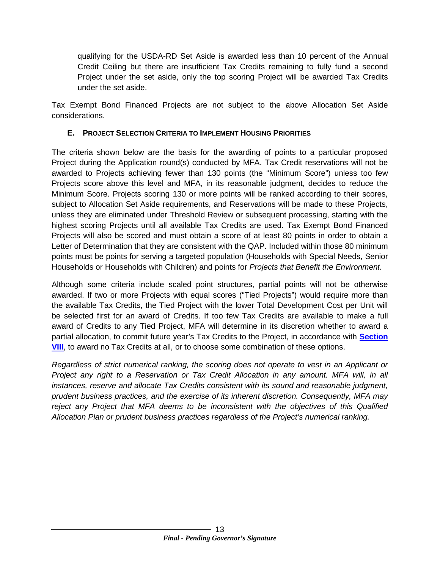qualifying for the USDA-RD Set Aside is awarded less than 10 percent of the Annual Credit Ceiling but there are insufficient Tax Credits remaining to fully fund a second Project under the set aside, only the top scoring Project will be awarded Tax Credits under the set aside.

Tax Exempt Bond Financed Projects are not subject to the above Allocation Set Aside considerations.

#### <span id="page-15-1"></span><span id="page-15-0"></span>**E. PROJECT SELECTION CRITERIA TO IMPLEMENT HOUSING PRIORITIES**

The criteria shown below are the basis for the awarding of points to a particular proposed Project during the Application round(s) conducted by MFA. Tax Credit reservations will not be awarded to Projects achieving fewer than 130 points (the "Minimum Score") unless too few Projects score above this level and MFA, in its reasonable judgment, decides to reduce the Minimum Score. Projects scoring 130 or more points will be ranked according to their scores, subject to Allocation Set Aside requirements, and Reservations will be made to these Projects, unless they are eliminated under Threshold Review or subsequent processing, starting with the highest scoring Projects until all available Tax Credits are used. Tax Exempt Bond Financed Projects will also be scored and must obtain a score of at least 80 points in order to obtain a Letter of Determination that they are consistent with the QAP. Included within those 80 minimum points must be points for serving a targeted population (Households with Special Needs, Senior Households or Households with Children) and points for *Projects that Benefit the Environment.*

Although some criteria include scaled point structures, partial points will not be otherwise awarded. If two or more Projects with equal scores ("Tied Projects") would require more than the available Tax Credits, the Tied Project with the lower Total Development Cost per Unit will be selected first for an award of Credits. If too few Tax Credits are available to make a full award of Credits to any Tied Project, MFA will determine in its discretion whether to award a partial allocation, to commit future year's Tax Credits to the Project, in accordance with **[Section](#page-51-1)  [VIII](#page-51-1)**, to award no Tax Credits at all, or to choose some combination of these options.

*Regardless of strict numerical ranking, the scoring does not operate to vest in an Applicant or Project any right to a Reservation or Tax Credit Allocation in any amount. MFA will, in all instances, reserve and allocate Tax Credits consistent with its sound and reasonable judgment, prudent business practices, and the exercise of its inherent discretion. Consequently, MFA may reject any Project that MFA deems to be inconsistent with the objectives of this Qualified Allocation Plan or prudent business practices regardless of the Project's numerical ranking.*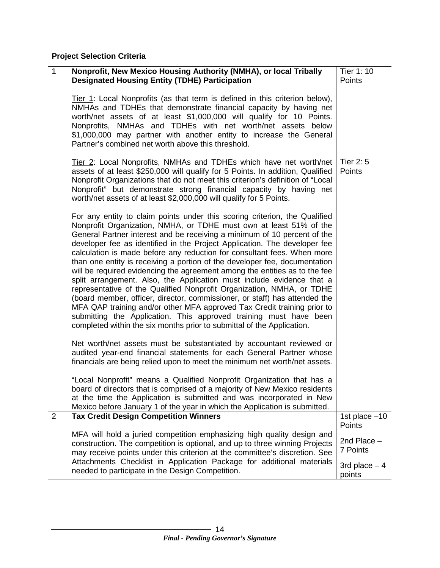**Project Selection Criteria**

| 1              | Nonprofit, New Mexico Housing Authority (NMHA), or local Tribally<br><b>Designated Housing Entity (TDHE) Participation</b>                                                                                                                                                                                                                                                                                                                                                                                                                                                                                                                                                                                                                                                                                                                                                                                                                                                                                 | Tier 1: 10<br>Points      |
|----------------|------------------------------------------------------------------------------------------------------------------------------------------------------------------------------------------------------------------------------------------------------------------------------------------------------------------------------------------------------------------------------------------------------------------------------------------------------------------------------------------------------------------------------------------------------------------------------------------------------------------------------------------------------------------------------------------------------------------------------------------------------------------------------------------------------------------------------------------------------------------------------------------------------------------------------------------------------------------------------------------------------------|---------------------------|
|                | Tier 1: Local Nonprofits (as that term is defined in this criterion below),<br>NMHAs and TDHEs that demonstrate financial capacity by having net<br>worth/net assets of at least \$1,000,000 will qualify for 10 Points.<br>Nonprofits, NMHAs and TDHEs with net worth/net assets below<br>\$1,000,000 may partner with another entity to increase the General<br>Partner's combined net worth above this threshold.                                                                                                                                                                                                                                                                                                                                                                                                                                                                                                                                                                                       |                           |
|                | Tier 2: Local Nonprofits, NMHAs and TDHEs which have net worth/net<br>assets of at least \$250,000 will qualify for 5 Points. In addition, Qualified<br>Nonprofit Organizations that do not meet this criterion's definition of "Local<br>Nonprofit" but demonstrate strong financial capacity by having net<br>worth/net assets of at least \$2,000,000 will qualify for 5 Points.                                                                                                                                                                                                                                                                                                                                                                                                                                                                                                                                                                                                                        | Tier 2: 5<br>Points       |
|                | For any entity to claim points under this scoring criterion, the Qualified<br>Nonprofit Organization, NMHA, or TDHE must own at least 51% of the<br>General Partner interest and be receiving a minimum of 10 percent of the<br>developer fee as identified in the Project Application. The developer fee<br>calculation is made before any reduction for consultant fees. When more<br>than one entity is receiving a portion of the developer fee, documentation<br>will be required evidencing the agreement among the entities as to the fee<br>split arrangement. Also, the Application must include evidence that a<br>representative of the Qualified Nonprofit Organization, NMHA, or TDHE<br>(board member, officer, director, commissioner, or staff) has attended the<br>MFA QAP training and/or other MFA approved Tax Credit training prior to<br>submitting the Application. This approved training must have been<br>completed within the six months prior to submittal of the Application. |                           |
|                | Net worth/net assets must be substantiated by accountant reviewed or<br>audited year-end financial statements for each General Partner whose<br>financials are being relied upon to meet the minimum net worth/net assets.                                                                                                                                                                                                                                                                                                                                                                                                                                                                                                                                                                                                                                                                                                                                                                                 |                           |
|                | "Local Nonprofit" means a Qualified Nonprofit Organization that has a<br>board of directors that is comprised of a majority of New Mexico residents<br>at the time the Application is submitted and was incorporated in New<br>Mexico before January 1 of the year in which the Application is submitted.                                                                                                                                                                                                                                                                                                                                                                                                                                                                                                                                                                                                                                                                                                  |                           |
| $\overline{2}$ | <b>Tax Credit Design Competition Winners</b>                                                                                                                                                                                                                                                                                                                                                                                                                                                                                                                                                                                                                                                                                                                                                                                                                                                                                                                                                               | 1st place $-10$<br>Points |
|                | MFA will hold a juried competition emphasizing high quality design and<br>construction. The competition is optional, and up to three winning Projects<br>may receive points under this criterion at the committee's discretion. See                                                                                                                                                                                                                                                                                                                                                                                                                                                                                                                                                                                                                                                                                                                                                                        | 2nd Place $-$<br>7 Points |
|                | Attachments Checklist in Application Package for additional materials<br>needed to participate in the Design Competition.                                                                                                                                                                                                                                                                                                                                                                                                                                                                                                                                                                                                                                                                                                                                                                                                                                                                                  | 3rd place $-4$<br>points  |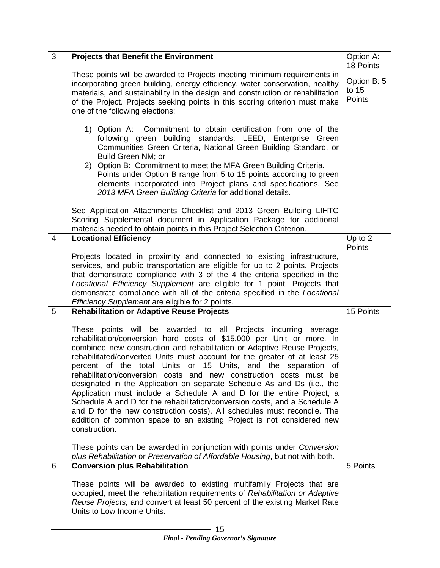| $\overline{3}$ | <b>Projects that Benefit the Environment</b>                                                                                                                                                                                                                                                                                                                                                                                                                                                                                                                                                                                                                                                                                                                                                                                                    | Option A:<br>18 Points         |
|----------------|-------------------------------------------------------------------------------------------------------------------------------------------------------------------------------------------------------------------------------------------------------------------------------------------------------------------------------------------------------------------------------------------------------------------------------------------------------------------------------------------------------------------------------------------------------------------------------------------------------------------------------------------------------------------------------------------------------------------------------------------------------------------------------------------------------------------------------------------------|--------------------------------|
|                | These points will be awarded to Projects meeting minimum requirements in<br>incorporating green building, energy efficiency, water conservation, healthy<br>materials, and sustainability in the design and construction or rehabilitation<br>of the Project. Projects seeking points in this scoring criterion must make<br>one of the following elections:                                                                                                                                                                                                                                                                                                                                                                                                                                                                                    | Option B: 5<br>to 15<br>Points |
|                | 1) Option A: Commitment to obtain certification from one of the<br>following green building standards: LEED, Enterprise Green<br>Communities Green Criteria, National Green Building Standard, or<br>Build Green NM; or<br>2) Option B: Commitment to meet the MFA Green Building Criteria.<br>Points under Option B range from 5 to 15 points according to green<br>elements incorporated into Project plans and specifications. See<br>2013 MFA Green Building Criteria for additional details.                                                                                                                                                                                                                                                                                                                                               |                                |
|                | See Application Attachments Checklist and 2013 Green Building LIHTC<br>Scoring Supplemental document in Application Package for additional<br>materials needed to obtain points in this Project Selection Criterion.                                                                                                                                                                                                                                                                                                                                                                                                                                                                                                                                                                                                                            |                                |
| $\overline{4}$ | <b>Locational Efficiency</b><br>Projects located in proximity and connected to existing infrastructure,<br>services, and public transportation are eligible for up to 2 points. Projects<br>that demonstrate compliance with 3 of the 4 the criteria specified in the<br>Locational Efficiency Supplement are eligible for 1 point. Projects that<br>demonstrate compliance with all of the criteria specified in the Locational<br>Efficiency Supplement are eligible for 2 points.                                                                                                                                                                                                                                                                                                                                                            | Up to 2<br><b>Points</b>       |
| 5              | <b>Rehabilitation or Adaptive Reuse Projects</b>                                                                                                                                                                                                                                                                                                                                                                                                                                                                                                                                                                                                                                                                                                                                                                                                | 15 Points                      |
|                | These points will be awarded to all Projects incurring average<br>rehabilitation/conversion hard costs of \$15,000 per Unit or more. In<br>combined new construction and rehabilitation or Adaptive Reuse Projects,<br>rehabilitated/converted Units must account for the greater of at least 25<br>percent of the total Units or 15 Units, and the separation of<br>rehabilitation/conversion costs and new construction costs must be<br>designated in the Application on separate Schedule As and Ds (i.e., the<br>Application must include a Schedule A and D for the entire Project, a<br>Schedule A and D for the rehabilitation/conversion costs, and a Schedule A<br>and D for the new construction costs). All schedules must reconcile. The<br>addition of common space to an existing Project is not considered new<br>construction. |                                |
|                | These points can be awarded in conjunction with points under Conversion<br>plus Rehabilitation or Preservation of Affordable Housing, but not with both.                                                                                                                                                                                                                                                                                                                                                                                                                                                                                                                                                                                                                                                                                        |                                |
| 6              | <b>Conversion plus Rehabilitation</b>                                                                                                                                                                                                                                                                                                                                                                                                                                                                                                                                                                                                                                                                                                                                                                                                           | 5 Points                       |
|                | These points will be awarded to existing multifamily Projects that are<br>occupied, meet the rehabilitation requirements of Rehabilitation or Adaptive<br>Reuse Projects, and convert at least 50 percent of the existing Market Rate<br>Units to Low Income Units.                                                                                                                                                                                                                                                                                                                                                                                                                                                                                                                                                                             |                                |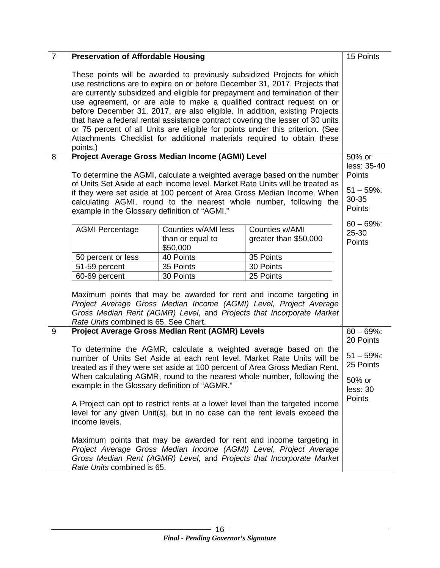| $\overline{7}$ | <b>Preservation of Affordable Housing</b>                                                                                                                                                                                                                                                                                                                                                                                                                                                                                                                                                                                                                   |                                                     |                                         |                                                                                   |  |
|----------------|-------------------------------------------------------------------------------------------------------------------------------------------------------------------------------------------------------------------------------------------------------------------------------------------------------------------------------------------------------------------------------------------------------------------------------------------------------------------------------------------------------------------------------------------------------------------------------------------------------------------------------------------------------------|-----------------------------------------------------|-----------------------------------------|-----------------------------------------------------------------------------------|--|
|                | These points will be awarded to previously subsidized Projects for which<br>use restrictions are to expire on or before December 31, 2017. Projects that<br>are currently subsidized and eligible for prepayment and termination of their<br>use agreement, or are able to make a qualified contract request on or<br>before December 31, 2017, are also eligible. In addition, existing Projects<br>that have a federal rental assistance contract covering the lesser of 30 units<br>or 75 percent of all Units are eligible for points under this criterion. (See<br>Attachments Checklist for additional materials required to obtain these<br>points.) |                                                     |                                         |                                                                                   |  |
| 8              |                                                                                                                                                                                                                                                                                                                                                                                                                                                                                                                                                                                                                                                             |                                                     |                                         | 50% or                                                                            |  |
|                | Project Average Gross Median Income (AGMI) Level<br>To determine the AGMI, calculate a weighted average based on the number<br>of Units Set Aside at each income level. Market Rate Units will be treated as<br>if they were set aside at 100 percent of Area Gross Median Income. When<br>calculating AGMI, round to the nearest whole number, following the<br>example in the Glossary definition of "AGMI."                                                                                                                                                                                                                                              |                                                     |                                         | less: 35-40<br>Points<br>$51 - 59\%$ :<br>30-35<br><b>Points</b><br>$60 - 69\%$ : |  |
|                | <b>AGMI Percentage</b>                                                                                                                                                                                                                                                                                                                                                                                                                                                                                                                                                                                                                                      | Counties w/AMI less<br>than or equal to<br>\$50,000 | Counties w/AMI<br>greater than \$50,000 | 25-30<br><b>Points</b>                                                            |  |
|                | 50 percent or less                                                                                                                                                                                                                                                                                                                                                                                                                                                                                                                                                                                                                                          | 40 Points                                           | 35 Points                               |                                                                                   |  |
|                | 51-59 percent                                                                                                                                                                                                                                                                                                                                                                                                                                                                                                                                                                                                                                               | 35 Points                                           | 30 Points                               |                                                                                   |  |
|                | 60-69 percent                                                                                                                                                                                                                                                                                                                                                                                                                                                                                                                                                                                                                                               | 30 Points                                           | 25 Points                               |                                                                                   |  |
|                | Maximum points that may be awarded for rent and income targeting in<br>Project Average Gross Median Income (AGMI) Level, Project Average<br>Gross Median Rent (AGMR) Level, and Projects that Incorporate Market<br>Rate Units combined is 65. See Chart.                                                                                                                                                                                                                                                                                                                                                                                                   |                                                     |                                         |                                                                                   |  |
| 9              | Project Average Gross Median Rent (AGMR) Levels                                                                                                                                                                                                                                                                                                                                                                                                                                                                                                                                                                                                             |                                                     |                                         | $60 - 69\%$ :                                                                     |  |
|                |                                                                                                                                                                                                                                                                                                                                                                                                                                                                                                                                                                                                                                                             |                                                     |                                         | 20 Points                                                                         |  |
|                | To determine the AGMR, calculate a weighted average based on the<br>number of Units Set Aside at each rent level. Market Rate Units will be<br>treated as if they were set aside at 100 percent of Area Gross Median Rent.                                                                                                                                                                                                                                                                                                                                                                                                                                  |                                                     |                                         |                                                                                   |  |
|                | When calculating AGMR, round to the nearest whole number, following the<br>example in the Glossary definition of "AGMR."                                                                                                                                                                                                                                                                                                                                                                                                                                                                                                                                    |                                                     |                                         |                                                                                   |  |
|                | A Project can opt to restrict rents at a lower level than the targeted income<br>level for any given Unit(s), but in no case can the rent levels exceed the<br>income levels.                                                                                                                                                                                                                                                                                                                                                                                                                                                                               |                                                     |                                         |                                                                                   |  |
|                | Maximum points that may be awarded for rent and income targeting in<br>Project Average Gross Median Income (AGMI) Level, Project Average<br>Gross Median Rent (AGMR) Level, and Projects that Incorporate Market<br>Rate Units combined is 65.                                                                                                                                                                                                                                                                                                                                                                                                              |                                                     |                                         |                                                                                   |  |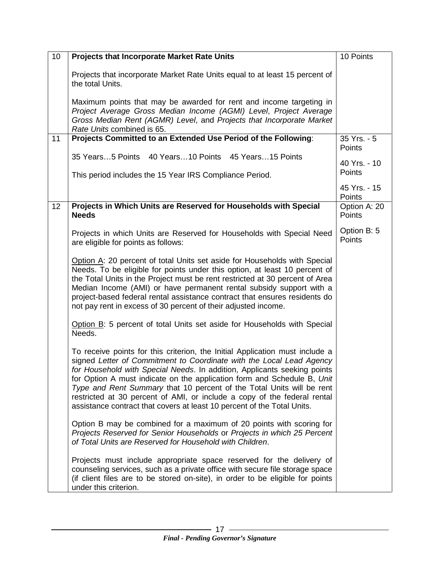| 10 | <b>Projects that Incorporate Market Rate Units</b>                                                                                                                                                                                                                                                                                                                                                                                                                                                                                          | 10 Points                    |
|----|---------------------------------------------------------------------------------------------------------------------------------------------------------------------------------------------------------------------------------------------------------------------------------------------------------------------------------------------------------------------------------------------------------------------------------------------------------------------------------------------------------------------------------------------|------------------------------|
|    | Projects that incorporate Market Rate Units equal to at least 15 percent of<br>the total Units.                                                                                                                                                                                                                                                                                                                                                                                                                                             |                              |
|    | Maximum points that may be awarded for rent and income targeting in<br>Project Average Gross Median Income (AGMI) Level, Project Average<br>Gross Median Rent (AGMR) Level, and Projects that Incorporate Market<br>Rate Units combined is 65.                                                                                                                                                                                                                                                                                              |                              |
| 11 | Projects Committed to an Extended Use Period of the Following:                                                                                                                                                                                                                                                                                                                                                                                                                                                                              | 35 Yrs. - 5                  |
|    | 35 Years5 Points 40 Years10 Points 45 Years15 Points                                                                                                                                                                                                                                                                                                                                                                                                                                                                                        | Points<br>40 Yrs. - 10       |
|    | This period includes the 15 Year IRS Compliance Period.                                                                                                                                                                                                                                                                                                                                                                                                                                                                                     | Points                       |
|    |                                                                                                                                                                                                                                                                                                                                                                                                                                                                                                                                             | 45 Yrs. - 15<br>Points       |
| 12 | Projects in Which Units are Reserved for Households with Special<br><b>Needs</b>                                                                                                                                                                                                                                                                                                                                                                                                                                                            | Option A: 20<br>Points       |
|    | Projects in which Units are Reserved for Households with Special Need<br>are eligible for points as follows:                                                                                                                                                                                                                                                                                                                                                                                                                                | Option B: 5<br><b>Points</b> |
|    | Option A: 20 percent of total Units set aside for Households with Special<br>Needs. To be eligible for points under this option, at least 10 percent of<br>the Total Units in the Project must be rent restricted at 30 percent of Area<br>Median Income (AMI) or have permanent rental subsidy support with a<br>project-based federal rental assistance contract that ensures residents do<br>not pay rent in excess of 30 percent of their adjusted income.                                                                              |                              |
|    | Option B: 5 percent of total Units set aside for Households with Special<br>Needs.                                                                                                                                                                                                                                                                                                                                                                                                                                                          |                              |
|    | To receive points for this criterion, the Initial Application must include a<br>signed Letter of Commitment to Coordinate with the Local Lead Agency<br>for Household with Special Needs. In addition, Applicants seeking points<br>for Option A must indicate on the application form and Schedule B, Unit<br>Type and Rent Summary that 10 percent of the Total Units will be rent<br>restricted at 30 percent of AMI, or include a copy of the federal rental<br>assistance contract that covers at least 10 percent of the Total Units. |                              |
|    | Option B may be combined for a maximum of 20 points with scoring for<br>Projects Reserved for Senior Households or Projects in which 25 Percent<br>of Total Units are Reserved for Household with Children.                                                                                                                                                                                                                                                                                                                                 |                              |
|    | Projects must include appropriate space reserved for the delivery of<br>counseling services, such as a private office with secure file storage space<br>(if client files are to be stored on-site), in order to be eligible for points<br>under this criterion.                                                                                                                                                                                                                                                                             |                              |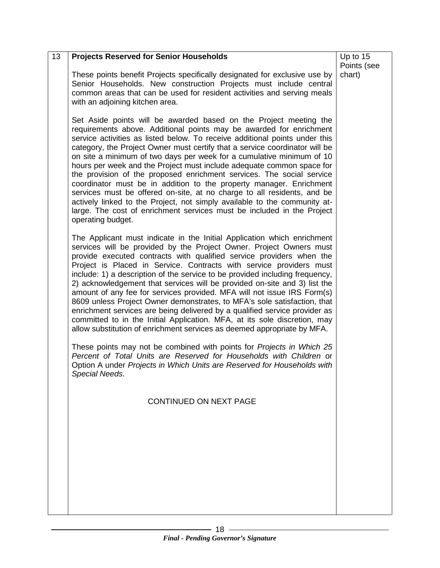| 13 | <b>Projects Reserved for Senior Households</b>                                                                                                                                                                                                                                                                                                                                                                                                                                                                                                                                                                                                                                                                                                                                                                                                                  | Up to 15              |
|----|-----------------------------------------------------------------------------------------------------------------------------------------------------------------------------------------------------------------------------------------------------------------------------------------------------------------------------------------------------------------------------------------------------------------------------------------------------------------------------------------------------------------------------------------------------------------------------------------------------------------------------------------------------------------------------------------------------------------------------------------------------------------------------------------------------------------------------------------------------------------|-----------------------|
|    | These points benefit Projects specifically designated for exclusive use by<br>Senior Households. New construction Projects must include central<br>common areas that can be used for resident activities and serving meals<br>with an adjoining kitchen area.                                                                                                                                                                                                                                                                                                                                                                                                                                                                                                                                                                                                   | Points (see<br>chart) |
|    | Set Aside points will be awarded based on the Project meeting the<br>requirements above. Additional points may be awarded for enrichment<br>service activities as listed below. To receive additional points under this<br>category, the Project Owner must certify that a service coordinator will be<br>on site a minimum of two days per week for a cumulative minimum of 10<br>hours per week and the Project must include adequate common space for<br>the provision of the proposed enrichment services. The social service<br>coordinator must be in addition to the property manager. Enrichment<br>services must be offered on-site, at no charge to all residents, and be<br>actively linked to the Project, not simply available to the community at-<br>large. The cost of enrichment services must be included in the Project<br>operating budget. |                       |
|    | The Applicant must indicate in the Initial Application which enrichment<br>services will be provided by the Project Owner. Project Owners must<br>provide executed contracts with qualified service providers when the<br>Project is Placed in Service. Contracts with service providers must<br>include: 1) a description of the service to be provided including frequency,<br>2) acknowledgement that services will be provided on-site and 3) list the<br>amount of any fee for services provided. MFA will not issue IRS Form(s)<br>8609 unless Project Owner demonstrates, to MFA's sole satisfaction, that<br>enrichment services are being delivered by a qualified service provider as<br>committed to in the Initial Application. MFA, at its sole discretion, may<br>allow substitution of enrichment services as deemed appropriate by MFA.         |                       |
|    | These points may not be combined with points for Projects in Which 25<br>Percent of Total Units are Reserved for Households with Children or<br>Option A under Projects in Which Units are Reserved for Households with<br>Special Needs.                                                                                                                                                                                                                                                                                                                                                                                                                                                                                                                                                                                                                       |                       |
|    | <b>CONTINUED ON NEXT PAGE</b>                                                                                                                                                                                                                                                                                                                                                                                                                                                                                                                                                                                                                                                                                                                                                                                                                                   |                       |
|    |                                                                                                                                                                                                                                                                                                                                                                                                                                                                                                                                                                                                                                                                                                                                                                                                                                                                 |                       |
|    |                                                                                                                                                                                                                                                                                                                                                                                                                                                                                                                                                                                                                                                                                                                                                                                                                                                                 |                       |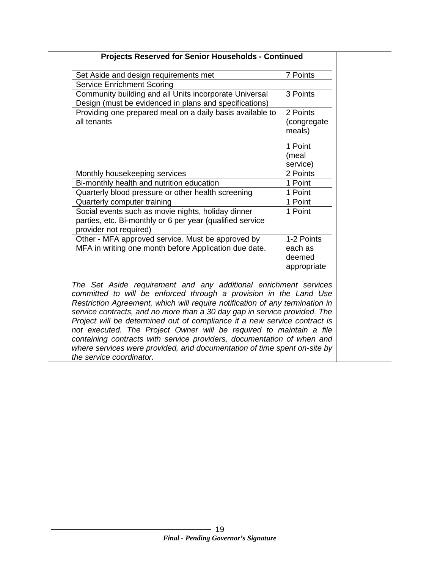| Set Aside and design requirements met                                                                                                                                                                                                                                                                                                                                                                                                                                                                                                                                                                                                    | 7 Points                                       |
|------------------------------------------------------------------------------------------------------------------------------------------------------------------------------------------------------------------------------------------------------------------------------------------------------------------------------------------------------------------------------------------------------------------------------------------------------------------------------------------------------------------------------------------------------------------------------------------------------------------------------------------|------------------------------------------------|
| Service Enrichment Scoring                                                                                                                                                                                                                                                                                                                                                                                                                                                                                                                                                                                                               |                                                |
| Community building and all Units incorporate Universal<br>Design (must be evidenced in plans and specifications)                                                                                                                                                                                                                                                                                                                                                                                                                                                                                                                         | 3 Points                                       |
| Providing one prepared meal on a daily basis available to<br>all tenants                                                                                                                                                                                                                                                                                                                                                                                                                                                                                                                                                                 | 2 Points<br>(congregate<br>meals)<br>1 Point   |
|                                                                                                                                                                                                                                                                                                                                                                                                                                                                                                                                                                                                                                          | (meal<br>service)                              |
| Monthly housekeeping services                                                                                                                                                                                                                                                                                                                                                                                                                                                                                                                                                                                                            | 2 Points                                       |
| Bi-monthly health and nutrition education                                                                                                                                                                                                                                                                                                                                                                                                                                                                                                                                                                                                | 1 Point                                        |
| Quarterly blood pressure or other health screening                                                                                                                                                                                                                                                                                                                                                                                                                                                                                                                                                                                       | 1 Point                                        |
| Quarterly computer training                                                                                                                                                                                                                                                                                                                                                                                                                                                                                                                                                                                                              | 1 Point                                        |
| Social events such as movie nights, holiday dinner<br>parties, etc. Bi-monthly or 6 per year (qualified service<br>provider not required)                                                                                                                                                                                                                                                                                                                                                                                                                                                                                                | 1 Point                                        |
| Other - MFA approved service. Must be approved by<br>MFA in writing one month before Application due date.                                                                                                                                                                                                                                                                                                                                                                                                                                                                                                                               | 1-2 Points<br>each as<br>deemed<br>appropriate |
| The Set Aside requirement and any additional enrichment services<br>committed to will be enforced through a provision in the Land Use<br>Restriction Agreement, which will require notification of any termination in<br>service contracts, and no more than a 30 day gap in service provided. The<br>Project will be determined out of compliance if a new service contract is<br>not executed. The Project Owner will be required to maintain a file<br>containing contracts with service providers, documentation of when and<br>where services were provided, and documentation of time spent on-site by<br>the service coordinator. |                                                |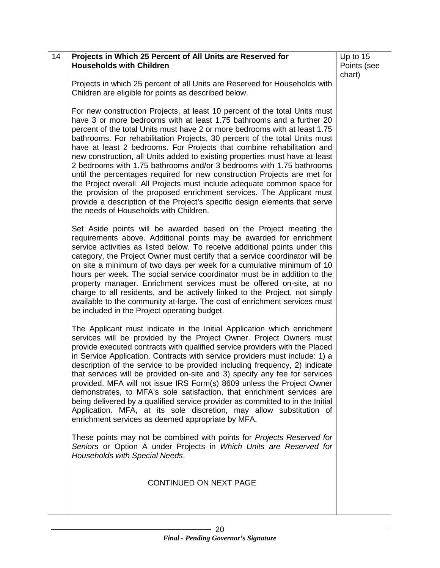| 14 | Projects in Which 25 Percent of All Units are Reserved for<br><b>Households with Children</b>                                                                                                                                                                                                                                                                                                                                                                                                                                                                                                                                                                                                                                                                                                                                                                                                             | Up to 15              |
|----|-----------------------------------------------------------------------------------------------------------------------------------------------------------------------------------------------------------------------------------------------------------------------------------------------------------------------------------------------------------------------------------------------------------------------------------------------------------------------------------------------------------------------------------------------------------------------------------------------------------------------------------------------------------------------------------------------------------------------------------------------------------------------------------------------------------------------------------------------------------------------------------------------------------|-----------------------|
|    |                                                                                                                                                                                                                                                                                                                                                                                                                                                                                                                                                                                                                                                                                                                                                                                                                                                                                                           | Points (see<br>chart) |
|    | Projects in which 25 percent of all Units are Reserved for Households with<br>Children are eligible for points as described below.                                                                                                                                                                                                                                                                                                                                                                                                                                                                                                                                                                                                                                                                                                                                                                        |                       |
|    | For new construction Projects, at least 10 percent of the total Units must<br>have 3 or more bedrooms with at least 1.75 bathrooms and a further 20<br>percent of the total Units must have 2 or more bedrooms with at least 1.75<br>bathrooms. For rehabilitation Projects, 30 percent of the total Units must<br>have at least 2 bedrooms. For Projects that combine rehabilitation and<br>new construction, all Units added to existing properties must have at least<br>2 bedrooms with 1.75 bathrooms and/or 3 bedrooms with 1.75 bathrooms<br>until the percentages required for new construction Projects are met for<br>the Project overall. All Projects must include adequate common space for<br>the provision of the proposed enrichment services. The Applicant must<br>provide a description of the Project's specific design elements that serve<br>the needs of Households with Children. |                       |
|    | Set Aside points will be awarded based on the Project meeting the<br>requirements above. Additional points may be awarded for enrichment<br>service activities as listed below. To receive additional points under this<br>category, the Project Owner must certify that a service coordinator will be<br>on site a minimum of two days per week for a cumulative minimum of 10<br>hours per week. The social service coordinator must be in addition to the<br>property manager. Enrichment services must be offered on-site, at no<br>charge to all residents, and be actively linked to the Project, not simply<br>available to the community at-large. The cost of enrichment services must<br>be included in the Project operating budget.                                                                                                                                                           |                       |
|    | The Applicant must indicate in the Initial Application which enrichment<br>services will be provided by the Project Owner. Project Owners must<br>provide executed contracts with qualified service providers with the Placed<br>in Service Application. Contracts with service providers must include: 1) a<br>description of the service to be provided including frequency, 2) indicate<br>that services will be provided on-site and 3) specify any fee for services<br>provided. MFA will not issue IRS Form(s) 8609 unless the Project Owner<br>demonstrates, to MFA's sole satisfaction, that enrichment services are<br>being delivered by a qualified service provider as committed to in the Initial<br>Application. MFA, at its sole discretion, may allow substitution of<br>enrichment services as deemed appropriate by MFA.                                                                |                       |
|    | These points may not be combined with points for Projects Reserved for<br>Seniors or Option A under Projects in Which Units are Reserved for<br>Households with Special Needs.                                                                                                                                                                                                                                                                                                                                                                                                                                                                                                                                                                                                                                                                                                                            |                       |
|    | CONTINUED ON NEXT PAGE                                                                                                                                                                                                                                                                                                                                                                                                                                                                                                                                                                                                                                                                                                                                                                                                                                                                                    |                       |
|    |                                                                                                                                                                                                                                                                                                                                                                                                                                                                                                                                                                                                                                                                                                                                                                                                                                                                                                           |                       |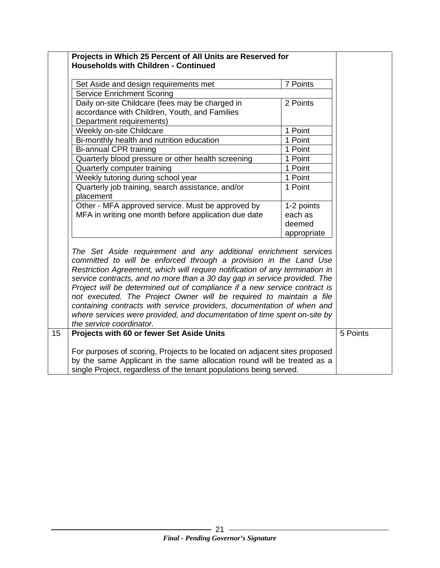|    | Projects in Which 25 Percent of All Units are Reserved for                   |             |          |
|----|------------------------------------------------------------------------------|-------------|----------|
|    | <b>Households with Children - Continued</b>                                  |             |          |
|    | Set Aside and design requirements met                                        | 7 Points    |          |
|    | <b>Service Enrichment Scoring</b>                                            |             |          |
|    | Daily on-site Childcare (fees may be charged in                              | 2 Points    |          |
|    | accordance with Children, Youth, and Families                                |             |          |
|    | Department requirements)                                                     |             |          |
|    | Weekly on-site Childcare                                                     | 1 Point     |          |
|    | Bi-monthly health and nutrition education                                    | 1 Point     |          |
|    | <b>Bi-annual CPR training</b>                                                | 1 Point     |          |
|    | Quarterly blood pressure or other health screening                           | 1 Point     |          |
|    | Quarterly computer training                                                  | 1 Point     |          |
|    | Weekly tutoring during school year                                           | 1 Point     |          |
|    | Quarterly job training, search assistance, and/or                            | 1 Point     |          |
|    | placement                                                                    |             |          |
|    | Other - MFA approved service. Must be approved by                            | 1-2 points  |          |
|    | MFA in writing one month before application due date                         | each as     |          |
|    |                                                                              | deemed      |          |
|    |                                                                              | appropriate |          |
|    | The Set Aside requirement and any additional enrichment services             |             |          |
|    | committed to will be enforced through a provision in the Land Use            |             |          |
|    | Restriction Agreement, which will require notification of any termination in |             |          |
|    | service contracts, and no more than a 30 day gap in service provided. The    |             |          |
|    | Project will be determined out of compliance if a new service contract is    |             |          |
|    | not executed. The Project Owner will be required to maintain a file          |             |          |
|    | containing contracts with service providers, documentation of when and       |             |          |
|    | where services were provided, and documentation of time spent on-site by     |             |          |
|    | the service coordinator.                                                     |             |          |
| 15 | Projects with 60 or fewer Set Aside Units                                    |             | 5 Points |
|    |                                                                              |             |          |
|    | For purposes of scoring, Projects to be located on adjacent sites proposed   |             |          |
|    | by the same Applicant in the same allocation round will be treated as a      |             |          |
|    | single Project, regardless of the tenant populations being served.           |             |          |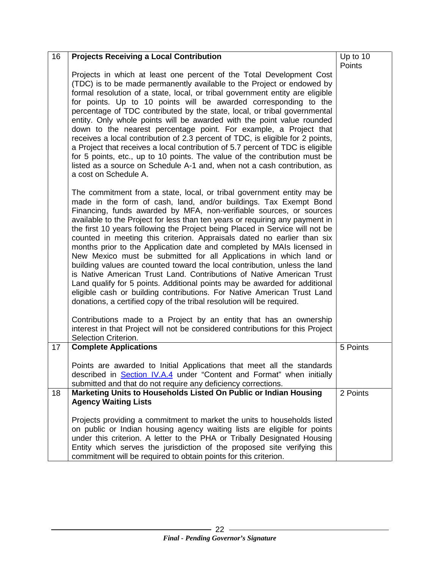| 16 | <b>Projects Receiving a Local Contribution</b>                                                                                                                                                                                                                                                                                                                                                                                                                                                                                                                                                                                                                                                                                                                                                                                                                                                                                                                                                          | Up to 10 |
|----|---------------------------------------------------------------------------------------------------------------------------------------------------------------------------------------------------------------------------------------------------------------------------------------------------------------------------------------------------------------------------------------------------------------------------------------------------------------------------------------------------------------------------------------------------------------------------------------------------------------------------------------------------------------------------------------------------------------------------------------------------------------------------------------------------------------------------------------------------------------------------------------------------------------------------------------------------------------------------------------------------------|----------|
|    | Projects in which at least one percent of the Total Development Cost<br>(TDC) is to be made permanently available to the Project or endowed by<br>formal resolution of a state, local, or tribal government entity are eligible<br>for points. Up to 10 points will be awarded corresponding to the<br>percentage of TDC contributed by the state, local, or tribal governmental<br>entity. Only whole points will be awarded with the point value rounded<br>down to the nearest percentage point. For example, a Project that<br>receives a local contribution of 2.3 percent of TDC, is eligible for 2 points,<br>a Project that receives a local contribution of 5.7 percent of TDC is eligible<br>for 5 points, etc., up to 10 points. The value of the contribution must be<br>listed as a source on Schedule A-1 and, when not a cash contribution, as<br>a cost on Schedule A.                                                                                                                  | Points   |
|    | The commitment from a state, local, or tribal government entity may be<br>made in the form of cash, land, and/or buildings. Tax Exempt Bond<br>Financing, funds awarded by MFA, non-verifiable sources, or sources<br>available to the Project for less than ten years or requiring any payment in<br>the first 10 years following the Project being Placed in Service will not be<br>counted in meeting this criterion. Appraisals dated no earlier than six<br>months prior to the Application date and completed by MAIs licensed in<br>New Mexico must be submitted for all Applications in which land or<br>building values are counted toward the local contribution, unless the land<br>is Native American Trust Land. Contributions of Native American Trust<br>Land qualify for 5 points. Additional points may be awarded for additional<br>eligible cash or building contributions. For Native American Trust Land<br>donations, a certified copy of the tribal resolution will be required. |          |
|    | Contributions made to a Project by an entity that has an ownership<br>interest in that Project will not be considered contributions for this Project<br>Selection Criterion.                                                                                                                                                                                                                                                                                                                                                                                                                                                                                                                                                                                                                                                                                                                                                                                                                            |          |
| 17 | <b>Complete Applications</b>                                                                                                                                                                                                                                                                                                                                                                                                                                                                                                                                                                                                                                                                                                                                                                                                                                                                                                                                                                            | 5 Points |
|    | Points are awarded to Initial Applications that meet all the standards<br>described in <b>Section IV.A.4</b> under "Content and Format" when initially<br>submitted and that do not require any deficiency corrections.                                                                                                                                                                                                                                                                                                                                                                                                                                                                                                                                                                                                                                                                                                                                                                                 |          |
| 18 | Marketing Units to Households Listed On Public or Indian Housing<br><b>Agency Waiting Lists</b>                                                                                                                                                                                                                                                                                                                                                                                                                                                                                                                                                                                                                                                                                                                                                                                                                                                                                                         | 2 Points |
|    | Projects providing a commitment to market the units to households listed<br>on public or Indian housing agency waiting lists are eligible for points<br>under this criterion. A letter to the PHA or Tribally Designated Housing<br>Entity which serves the jurisdiction of the proposed site verifying this<br>commitment will be required to obtain points for this criterion.                                                                                                                                                                                                                                                                                                                                                                                                                                                                                                                                                                                                                        |          |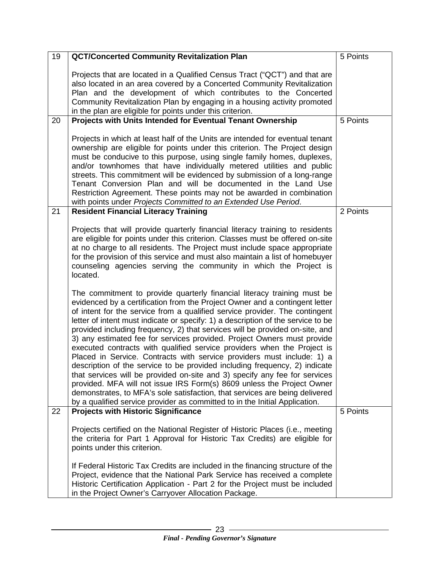| 19 | <b>QCT/Concerted Community Revitalization Plan</b>                                                                                                                                                                                                                                                                                                                                                                                                                                                                                                                                                                                                                                                                                                                                                                                                                                                                                                                                                                                            | 5 Points |
|----|-----------------------------------------------------------------------------------------------------------------------------------------------------------------------------------------------------------------------------------------------------------------------------------------------------------------------------------------------------------------------------------------------------------------------------------------------------------------------------------------------------------------------------------------------------------------------------------------------------------------------------------------------------------------------------------------------------------------------------------------------------------------------------------------------------------------------------------------------------------------------------------------------------------------------------------------------------------------------------------------------------------------------------------------------|----------|
| 20 | Projects that are located in a Qualified Census Tract ("QCT") and that are<br>also located in an area covered by a Concerted Community Revitalization<br>Plan and the development of which contributes to the Concerted<br>Community Revitalization Plan by engaging in a housing activity promoted<br>in the plan are eligible for points under this criterion.<br>Projects with Units Intended for Eventual Tenant Ownership                                                                                                                                                                                                                                                                                                                                                                                                                                                                                                                                                                                                                | 5 Points |
|    | Projects in which at least half of the Units are intended for eventual tenant<br>ownership are eligible for points under this criterion. The Project design<br>must be conducive to this purpose, using single family homes, duplexes,<br>and/or townhomes that have individually metered utilities and public<br>streets. This commitment will be evidenced by submission of a long-range<br>Tenant Conversion Plan and will be documented in the Land Use<br>Restriction Agreement. These points may not be awarded in combination<br>with points under Projects Committed to an Extended Use Period.                                                                                                                                                                                                                                                                                                                                                                                                                                       |          |
| 21 | <b>Resident Financial Literacy Training</b>                                                                                                                                                                                                                                                                                                                                                                                                                                                                                                                                                                                                                                                                                                                                                                                                                                                                                                                                                                                                   | 2 Points |
|    | Projects that will provide quarterly financial literacy training to residents<br>are eligible for points under this criterion. Classes must be offered on-site<br>at no charge to all residents. The Project must include space appropriate<br>for the provision of this service and must also maintain a list of homebuyer<br>counseling agencies serving the community in which the Project is<br>located.                                                                                                                                                                                                                                                                                                                                                                                                                                                                                                                                                                                                                                  |          |
|    | The commitment to provide quarterly financial literacy training must be<br>evidenced by a certification from the Project Owner and a contingent letter<br>of intent for the service from a qualified service provider. The contingent<br>letter of intent must indicate or specify: 1) a description of the service to be<br>provided including frequency, 2) that services will be provided on-site, and<br>3) any estimated fee for services provided. Project Owners must provide<br>executed contracts with qualified service providers when the Project is<br>Placed in Service. Contracts with service providers must include: 1) a<br>description of the service to be provided including frequency, 2) indicate<br>that services will be provided on-site and 3) specify any fee for services<br>provided. MFA will not issue IRS Form(s) 8609 unless the Project Owner<br>demonstrates, to MFA's sole satisfaction, that services are being delivered<br>by a qualified service provider as committed to in the Initial Application. |          |
| 22 | <b>Projects with Historic Significance</b>                                                                                                                                                                                                                                                                                                                                                                                                                                                                                                                                                                                                                                                                                                                                                                                                                                                                                                                                                                                                    | 5 Points |
|    | Projects certified on the National Register of Historic Places (i.e., meeting<br>the criteria for Part 1 Approval for Historic Tax Credits) are eligible for<br>points under this criterion.<br>If Federal Historic Tax Credits are included in the financing structure of the                                                                                                                                                                                                                                                                                                                                                                                                                                                                                                                                                                                                                                                                                                                                                                |          |
|    | Project, evidence that the National Park Service has received a complete<br>Historic Certification Application - Part 2 for the Project must be included<br>in the Project Owner's Carryover Allocation Package.                                                                                                                                                                                                                                                                                                                                                                                                                                                                                                                                                                                                                                                                                                                                                                                                                              |          |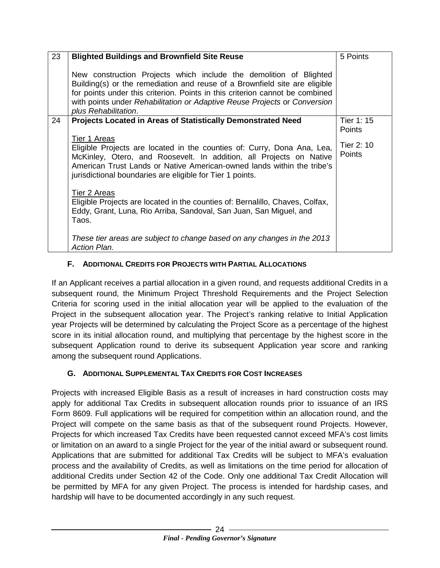| 23 | <b>Blighted Buildings and Brownfield Site Reuse</b>                                                                                                                                                                                                                                                                                   | 5 Points                                     |
|----|---------------------------------------------------------------------------------------------------------------------------------------------------------------------------------------------------------------------------------------------------------------------------------------------------------------------------------------|----------------------------------------------|
|    | New construction Projects which include the demolition of Blighted<br>Building(s) or the remediation and reuse of a Brownfield site are eligible<br>for points under this criterion. Points in this criterion cannot be combined<br>with points under Rehabilitation or Adaptive Reuse Projects or Conversion<br>plus Rehabilitation. |                                              |
| 24 | <b>Projects Located in Areas of Statistically Demonstrated Need</b>                                                                                                                                                                                                                                                                   | Tier 1: 15                                   |
|    | Tier 1 Areas<br>Eligible Projects are located in the counties of: Curry, Dona Ana, Lea,<br>McKinley, Otero, and Roosevelt. In addition, all Projects on Native<br>American Trust Lands or Native American-owned lands within the tribe's<br>jurisdictional boundaries are eligible for Tier 1 points.                                 | <b>Points</b><br>Tier 2: 10<br><b>Points</b> |
|    | Tier 2 Areas<br>Eligible Projects are located in the counties of: Bernalillo, Chaves, Colfax,<br>Eddy, Grant, Luna, Rio Arriba, Sandoval, San Juan, San Miguel, and<br>Taos.                                                                                                                                                          |                                              |
|    | These tier areas are subject to change based on any changes in the 2013<br><b>Action Plan.</b>                                                                                                                                                                                                                                        |                                              |

#### <span id="page-26-0"></span>**F. ADDITIONAL CREDITS FOR PROJECTS WITH PARTIAL ALLOCATIONS**

If an Applicant receives a partial allocation in a given round, and requests additional Credits in a subsequent round, the Minimum Project Threshold Requirements and the Project Selection Criteria for scoring used in the initial allocation year will be applied to the evaluation of the Project in the subsequent allocation year. The Project's ranking relative to Initial Application year Projects will be determined by calculating the Project Score as a percentage of the highest score in its initial allocation round, and multiplying that percentage by the highest score in the subsequent Application round to derive its subsequent Application year score and ranking among the subsequent round Applications.

#### <span id="page-26-1"></span>**G. ADDITIONAL SUPPLEMENTAL TAX CREDITS FOR COST INCREASES**

Projects with increased Eligible Basis as a result of increases in hard construction costs may apply for additional Tax Credits in subsequent allocation rounds prior to issuance of an IRS Form 8609. Full applications will be required for competition within an allocation round, and the Project will compete on the same basis as that of the subsequent round Projects. However, Projects for which increased Tax Credits have been requested cannot exceed MFA's cost limits or limitation on an award to a single Project for the year of the initial award or subsequent round. Applications that are submitted for additional Tax Credits will be subject to MFA's evaluation process and the availability of Credits, as well as limitations on the time period for allocation of additional Credits under Section 42 of the Code. Only one additional Tax Credit Allocation will be permitted by MFA for any given Project. The process is intended for hardship cases, and hardship will have to be documented accordingly in any such request.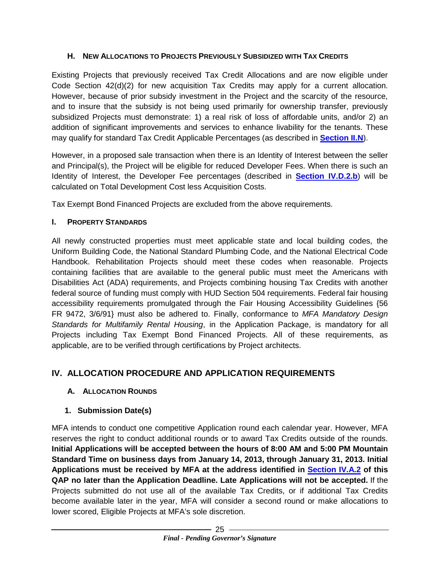#### <span id="page-27-4"></span><span id="page-27-0"></span>**H. NEW ALLOCATIONS TO PROJECTS PREVIOUSLY SUBSIDIZED WITH TAX CREDITS**

Existing Projects that previously received Tax Credit Allocations and are now eligible under Code Section 42(d)(2) for new acquisition Tax Credits may apply for a current allocation. However, because of prior subsidy investment in the Project and the scarcity of the resource, and to insure that the subsidy is not being used primarily for ownership transfer, previously subsidized Projects must demonstrate: 1) a real risk of loss of affordable units, and/or 2) an addition of significant improvements and services to enhance livability for the tenants. These may qualify for standard Tax Credit Applicable Percentages (as described in **[Section II.N](#page-9-4)**).

However, in a proposed sale transaction when there is an Identity of Interest between the seller and Principal(s), the Project will be eligible for reduced Developer Fees. When there is such an Identity of Interest, the Developer Fee percentages (described in **[Section IV.D.2.b](#page-36-0)**) will be calculated on Total Development Cost less Acquisition Costs.

Tax Exempt Bond Financed Projects are excluded from the above requirements.

# <span id="page-27-1"></span>**I. PROPERTY STANDARDS**

All newly constructed properties must meet applicable state and local building codes, the Uniform Building Code, the National Standard Plumbing Code, and the National Electrical Code Handbook. Rehabilitation Projects should meet these codes when reasonable. Projects containing facilities that are available to the general public must meet the Americans with Disabilities Act (ADA) requirements, and Projects combining housing Tax Credits with another federal source of funding must comply with HUD Section 504 requirements. Federal fair housing accessibility requirements promulgated through the Fair Housing Accessibility Guidelines {56 FR 9472, 3/6/91} must also be adhered to. Finally, conformance to *MFA Mandatory Design Standards for Multifamily Rental Housing*, in the Application Package, is mandatory for all Projects including Tax Exempt Bond Financed Projects. All of these requirements, as applicable, are to be verified through certifications by Project architects.

# <span id="page-27-2"></span>**IV. ALLOCATION PROCEDURE AND APPLICATION REQUIREMENTS**

# <span id="page-27-3"></span>**A. ALLOCATION ROUNDS**

# **1. Submission Date(s)**

MFA intends to conduct one competitive Application round each calendar year. However, MFA reserves the right to conduct additional rounds or to award Tax Credits outside of the rounds. **Initial Applications will be accepted between the hours of 8:00 AM and 5:00 PM Mountain Standard Time on business days from January 14, 2013, through January 31, 2013. Initial Applications must be received by MFA at the address identified in [Section IV.A.2](#page-28-1) of this QAP no later than the Application Deadline. Late Applications will not be accepted.** If the Projects submitted do not use all of the available Tax Credits, or if additional Tax Credits become available later in the year, MFA will consider a second round or make allocations to lower scored, Eligible Projects at MFA's sole discretion.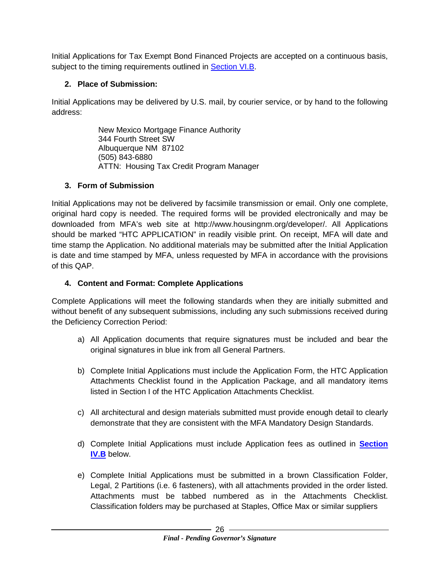Initial Applications for Tax Exempt Bond Financed Projects are accepted on a continuous basis, subject to the timing requirements outlined in **Section VI.B.** 

### **2. Place of Submission:**

Initial Applications may be delivered by U.S. mail, by courier service, or by hand to the following address:

> New Mexico Mortgage Finance Authority 344 Fourth Street SW Albuquerque NM 87102 (505) 843-6880 ATTN: Housing Tax Credit Program Manager

#### <span id="page-28-1"></span>**3. Form of Submission**

Initial Applications may not be delivered by facsimile transmission or email. Only one complete, original hard copy is needed. The required forms will be provided electronically and may be downloaded from MFA's web site at http://www.housingnm.org/developer/. All Applications should be marked "HTC APPLICATION" in readily visible print. On receipt, MFA will date and time stamp the Application. No additional materials may be submitted after the Initial Application is date and time stamped by MFA, unless requested by MFA in accordance with the provisions of this QAP.

#### <span id="page-28-0"></span>**4. Content and Format: Complete Applications**

Complete Applications will meet the following standards when they are initially submitted and without benefit of any subsequent submissions, including any such submissions received during the Deficiency Correction Period:

- a) All Application documents that require signatures must be included and bear the original signatures in blue ink from all General Partners.
- b) Complete Initial Applications must include the Application Form, the HTC Application Attachments Checklist found in the Application Package, and all mandatory items listed in Section I of the HTC Application Attachments Checklist.
- c) All architectural and design materials submitted must provide enough detail to clearly demonstrate that they are consistent with the MFA Mandatory Design Standards.
- d) Complete Initial Applications must include Application fees as outlined in **[Section](#page-30-1)  [IV.B](#page-30-1)** below.
- e) Complete Initial Applications must be submitted in a brown Classification Folder, Legal, 2 Partitions (i.e. 6 fasteners), with all attachments provided in the order listed. Attachments must be tabbed numbered as in the Attachments Checklist. Classification folders may be purchased at Staples, Office Max or similar suppliers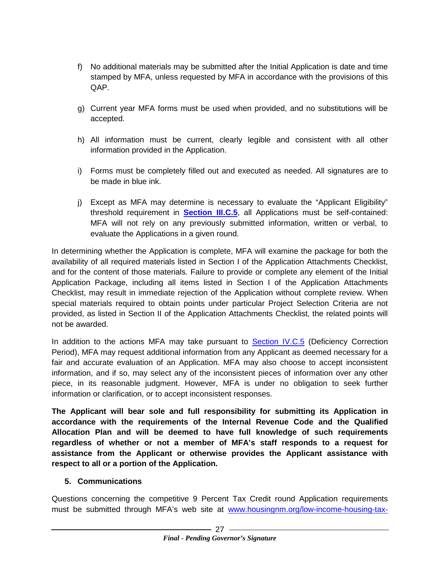- f) No additional materials may be submitted after the Initial Application is date and time stamped by MFA, unless requested by MFA in accordance with the provisions of this QAP.
- g) Current year MFA forms must be used when provided, and no substitutions will be accepted.
- h) All information must be current, clearly legible and consistent with all other information provided in the Application.
- i) Forms must be completely filled out and executed as needed. All signatures are to be made in blue ink.
- j) Except as MFA may determine is necessary to evaluate the "Applicant Eligibility" threshold requirement in **[Section III.C.5](#page-13-0)**, all Applications must be self-contained: MFA will not rely on any previously submitted information, written or verbal, to evaluate the Applications in a given round.

In determining whether the Application is complete, MFA will examine the package for both the availability of all required materials listed in Section I of the Application Attachments Checklist, and for the content of those materials. Failure to provide or complete any element of the Initial Application Package, including all items listed in Section I of the Application Attachments Checklist, may result in immediate rejection of the Application without complete review. When special materials required to obtain points under particular Project Selection Criteria are not provided, as listed in Section II of the Application Attachments Checklist, the related points will not be awarded.

In addition to the actions MFA may take pursuant to [Section IV.C.5](#page-33-0) (Deficiency Correction Period), MFA may request additional information from any Applicant as deemed necessary for a fair and accurate evaluation of an Application. MFA may also choose to accept inconsistent information, and if so, may select any of the inconsistent pieces of information over any other piece, in its reasonable judgment. However, MFA is under no obligation to seek further information or clarification, or to accept inconsistent responses.

**The Applicant will bear sole and full responsibility for submitting its Application in accordance with the requirements of the Internal Revenue Code and the Qualified Allocation Plan and will be deemed to have full knowledge of such requirements regardless of whether or not a member of MFA's staff responds to a request for assistance from the Applicant or otherwise provides the Applicant assistance with respect to all or a portion of the Application.**

#### **5. Communications**

Questions concerning the competitive 9 Percent Tax Credit round Application requirements must be submitted through MFA's web site at [www.housingnm.org/low-income-housing-tax-](http://www.housingnm.org/low-income-housing-tax-credits-lihtc-allocations)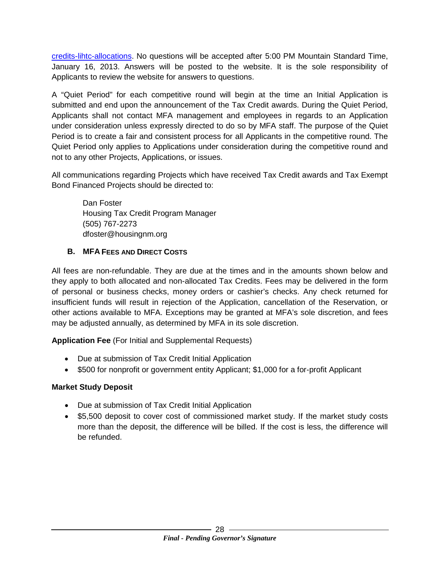[credits-lihtc-allocations.](http://www.housingnm.org/low-income-housing-tax-credits-lihtc-allocations) No questions will be accepted after 5:00 PM Mountain Standard Time, January 16, 2013. Answers will be posted to the website. It is the sole responsibility of Applicants to review the website for answers to questions.

A "Quiet Period" for each competitive round will begin at the time an Initial Application is submitted and end upon the announcement of the Tax Credit awards. During the Quiet Period, Applicants shall not contact MFA management and employees in regards to an Application under consideration unless expressly directed to do so by MFA staff. The purpose of the Quiet Period is to create a fair and consistent process for all Applicants in the competitive round. The Quiet Period only applies to Applications under consideration during the competitive round and not to any other Projects, Applications, or issues.

All communications regarding Projects which have received Tax Credit awards and Tax Exempt Bond Financed Projects should be directed to:

Dan Foster Housing Tax Credit Program Manager (505) 767-2273 dfoster@housingnm.org

#### <span id="page-30-1"></span><span id="page-30-0"></span>**B. MFA FEES AND DIRECT COSTS**

All fees are non-refundable. They are due at the times and in the amounts shown below and they apply to both allocated and non-allocated Tax Credits. Fees may be delivered in the form of personal or business checks, money orders or cashier's checks. Any check returned for insufficient funds will result in rejection of the Application, cancellation of the Reservation, or other actions available to MFA. Exceptions may be granted at MFA's sole discretion, and fees may be adjusted annually, as determined by MFA in its sole discretion.

**Application Fee** (For Initial and Supplemental Requests)

- Due at submission of Tax Credit Initial Application
- \$500 for nonprofit or government entity Applicant; \$1,000 for a for-profit Applicant

#### **Market Study Deposit**

- Due at submission of Tax Credit Initial Application
- \$5,500 deposit to cover cost of commissioned market study. If the market study costs more than the deposit, the difference will be billed. If the cost is less, the difference will be refunded.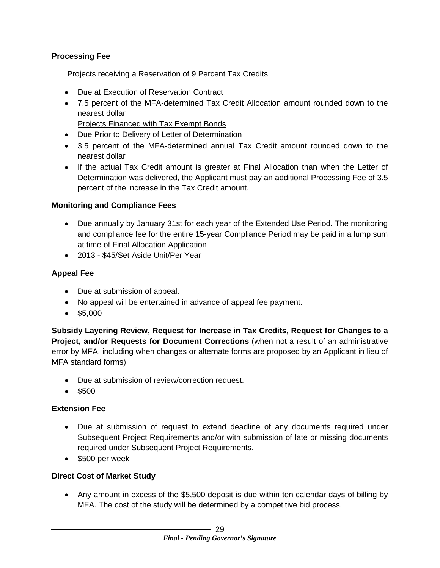#### **Processing Fee**

#### Projects receiving a Reservation of 9 Percent Tax Credits

- Due at Execution of Reservation Contract
- 7.5 percent of the MFA-determined Tax Credit Allocation amount rounded down to the nearest dollar

Projects Financed with Tax Exempt Bonds

- Due Prior to Delivery of Letter of Determination
- 3.5 percent of the MFA-determined annual Tax Credit amount rounded down to the nearest dollar
- If the actual Tax Credit amount is greater at Final Allocation than when the Letter of Determination was delivered, the Applicant must pay an additional Processing Fee of 3.5 percent of the increase in the Tax Credit amount.

#### **Monitoring and Compliance Fees**

- Due annually by January 31st for each year of the Extended Use Period. The monitoring and compliance fee for the entire 15-year Compliance Period may be paid in a lump sum at time of Final Allocation Application
- 2013 \$45/Set Aside Unit/Per Year

#### **Appeal Fee**

- Due at submission of appeal.
- No appeal will be entertained in advance of appeal fee payment.
- \$5,000

**Subsidy Layering Review, Request for Increase in Tax Credits, Request for Changes to a Project, and/or Requests for Document Corrections** (when not a result of an administrative error by MFA, including when changes or alternate forms are proposed by an Applicant in lieu of MFA standard forms)

- Due at submission of review/correction request.
- \$500

#### **Extension Fee**

- Due at submission of request to extend deadline of any documents required under Subsequent Project Requirements and/or with submission of late or missing documents required under Subsequent Project Requirements.
- \$500 per week

#### **Direct Cost of Market Study**

• Any amount in excess of the \$5,500 deposit is due within ten calendar days of billing by MFA. The cost of the study will be determined by a competitive bid process.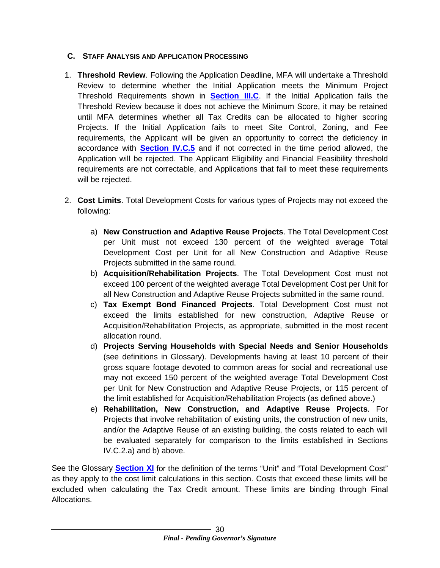#### <span id="page-32-0"></span>**C. STAFF ANALYSIS AND APPLICATION PROCESSING**

- 1. **Threshold Review**. Following the Application Deadline, MFA will undertake a Threshold Review to determine whether the Initial Application meets the Minimum Project Threshold Requirements shown in **[Section III.C](#page-12-2)**. If the Initial Application fails the Threshold Review because it does not achieve the Minimum Score, it may be retained until MFA determines whether all Tax Credits can be allocated to higher scoring Projects. If the Initial Application fails to meet Site Control, Zoning, and Fee requirements, the Applicant will be given an opportunity to correct the deficiency in accordance with **[Section IV.C.5](#page-33-0)** and if not corrected in the time period allowed, the Application will be rejected. The Applicant Eligibility and Financial Feasibility threshold requirements are not correctable, and Applications that fail to meet these requirements will be rejected.
- <span id="page-32-1"></span>2. **Cost Limits**. Total Development Costs for various types of Projects may not exceed the following:
	- a) **New Construction and Adaptive Reuse Projects**. The Total Development Cost per Unit must not exceed 130 percent of the weighted average Total Development Cost per Unit for all New Construction and Adaptive Reuse Projects submitted in the same round.
	- b) **Acquisition/Rehabilitation Projects**. The Total Development Cost must not exceed 100 percent of the weighted average Total Development Cost per Unit for all New Construction and Adaptive Reuse Projects submitted in the same round.
	- c) **Tax Exempt Bond Financed Projects**. Total Development Cost must not exceed the limits established for new construction, Adaptive Reuse or Acquisition/Rehabilitation Projects, as appropriate, submitted in the most recent allocation round.
	- d) **Projects Serving Households with Special Needs and Senior Households** (see definitions in Glossary). Developments having at least 10 percent of their gross square footage devoted to common areas for social and recreational use may not exceed 150 percent of the weighted average Total Development Cost per Unit for New Construction and Adaptive Reuse Projects, or 115 percent of the limit established for Acquisition/Rehabilitation Projects (as defined above.)
	- e) **Rehabilitation, New Construction, and Adaptive Reuse Projects**. For Projects that involve rehabilitation of existing units, the construction of new units, and/or the Adaptive Reuse of an existing building, the costs related to each will be evaluated separately for comparison to the limits established in Sections IV.C.2.a) and b) above.

See the Glossary **[Section XI](#page-57-0)** for the definition of the terms "Unit" and "Total Development Cost" as they apply to the cost limit calculations in this section. Costs that exceed these limits will be excluded when calculating the Tax Credit amount. These limits are binding through Final Allocations.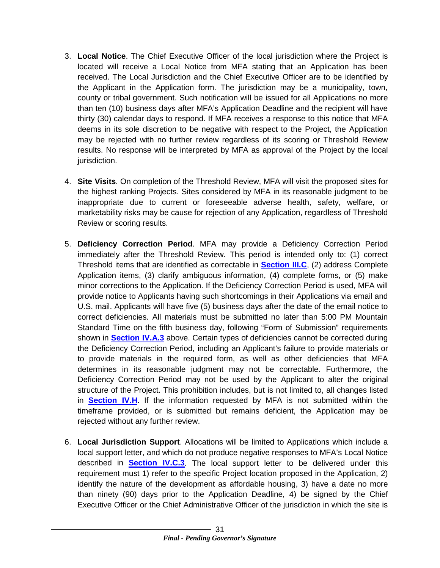- <span id="page-33-1"></span>3. **Local Notice**. The Chief Executive Officer of the local jurisdiction where the Project is located will receive a Local Notice from MFA stating that an Application has been received. The Local Jurisdiction and the Chief Executive Officer are to be identified by the Applicant in the Application form. The jurisdiction may be a municipality, town, county or tribal government. Such notification will be issued for all Applications no more than ten (10) business days after MFA's Application Deadline and the recipient will have thirty (30) calendar days to respond. If MFA receives a response to this notice that MFA deems in its sole discretion to be negative with respect to the Project, the Application may be rejected with no further review regardless of its scoring or Threshold Review results. No response will be interpreted by MFA as approval of the Project by the local jurisdiction.
- 4. **Site Visits**. On completion of the Threshold Review, MFA will visit the proposed sites for the highest ranking Projects. Sites considered by MFA in its reasonable judgment to be inappropriate due to current or foreseeable adverse health, safety, welfare, or marketability risks may be cause for rejection of any Application, regardless of Threshold Review or scoring results.
- <span id="page-33-0"></span>5. **Deficiency Correction Period**. MFA may provide a Deficiency Correction Period immediately after the Threshold Review. This period is intended only to: (1) correct Threshold items that are identified as correctable in **[Section III.C](#page-12-2)**, (2) address Complete Application items, (3) clarify ambiguous information, (4) complete forms, or (5) make minor corrections to the Application. If the Deficiency Correction Period is used, MFA will provide notice to Applicants having such shortcomings in their Applications via email and U.S. mail. Applicants will have five (5) business days after the date of the email notice to correct deficiencies. All materials must be submitted no later than 5:00 PM Mountain Standard Time on the fifth business day, following "Form of Submission" requirements shown in **[Section IV.A.3](#page-28-1)** above. Certain types of deficiencies cannot be corrected during the Deficiency Correction Period, including an Applicant's failure to provide materials or to provide materials in the required form, as well as other deficiencies that MFA determines in its reasonable judgment may not be correctable. Furthermore, the Deficiency Correction Period may not be used by the Applicant to alter the original structure of the Project. This prohibition includes, but is not limited to, all changes listed in **[Section IV.H](#page-46-2)**. If the information requested by MFA is not submitted within the timeframe provided, or is submitted but remains deficient, the Application may be rejected without any further review.
- 6. **Local Jurisdiction Support**. Allocations will be limited to Applications which include a local support letter, and which do not produce negative responses to MFA's Local Notice described in **[Section IV.C.3](#page-33-1)**. The local support letter to be delivered under this requirement must 1) refer to the specific Project location proposed in the Application, 2) identify the nature of the development as affordable housing, 3) have a date no more than ninety (90) days prior to the Application Deadline, 4) be signed by the Chief Executive Officer or the Chief Administrative Officer of the jurisdiction in which the site is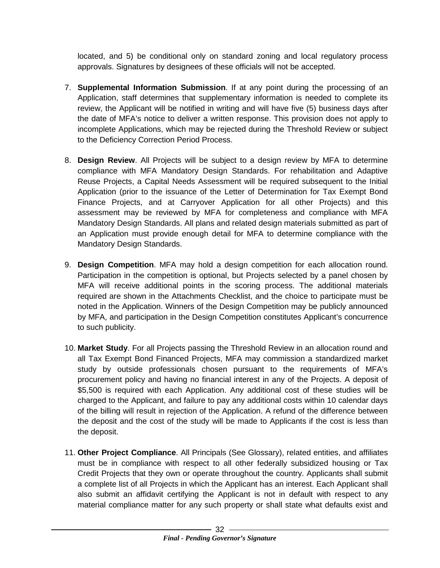located, and 5) be conditional only on standard zoning and local regulatory process approvals. Signatures by designees of these officials will not be accepted.

- 7. **Supplemental Information Submission**. If at any point during the processing of an Application, staff determines that supplementary information is needed to complete its review, the Applicant will be notified in writing and will have five (5) business days after the date of MFA's notice to deliver a written response. This provision does not apply to incomplete Applications, which may be rejected during the Threshold Review or subject to the Deficiency Correction Period Process.
- 8. **Design Review**. All Projects will be subject to a design review by MFA to determine compliance with MFA Mandatory Design Standards. For rehabilitation and Adaptive Reuse Projects, a Capital Needs Assessment will be required subsequent to the Initial Application (prior to the issuance of the Letter of Determination for Tax Exempt Bond Finance Projects, and at Carryover Application for all other Projects) and this assessment may be reviewed by MFA for completeness and compliance with MFA Mandatory Design Standards. All plans and related design materials submitted as part of an Application must provide enough detail for MFA to determine compliance with the Mandatory Design Standards.
- 9. **Design Competition**. MFA may hold a design competition for each allocation round. Participation in the competition is optional, but Projects selected by a panel chosen by MFA will receive additional points in the scoring process. The additional materials required are shown in the Attachments Checklist, and the choice to participate must be noted in the Application. Winners of the Design Competition may be publicly announced by MFA, and participation in the Design Competition constitutes Applicant's concurrence to such publicity.
- 10. **Market Study**. For all Projects passing the Threshold Review in an allocation round and all Tax Exempt Bond Financed Projects, MFA may commission a standardized market study by outside professionals chosen pursuant to the requirements of MFA's procurement policy and having no financial interest in any of the Projects. A deposit of \$5,500 is required with each Application. Any additional cost of these studies will be charged to the Applicant, and failure to pay any additional costs within 10 calendar days of the billing will result in rejection of the Application. A refund of the difference between the deposit and the cost of the study will be made to Applicants if the cost is less than the deposit.
- <span id="page-34-0"></span>11. **Other Project Compliance**. All Principals (See Glossary), related entities, and affiliates must be in compliance with respect to all other federally subsidized housing or Tax Credit Projects that they own or operate throughout the country. Applicants shall submit a complete list of all Projects in which the Applicant has an interest. Each Applicant shall also submit an affidavit certifying the Applicant is not in default with respect to any material compliance matter for any such property or shall state what defaults exist and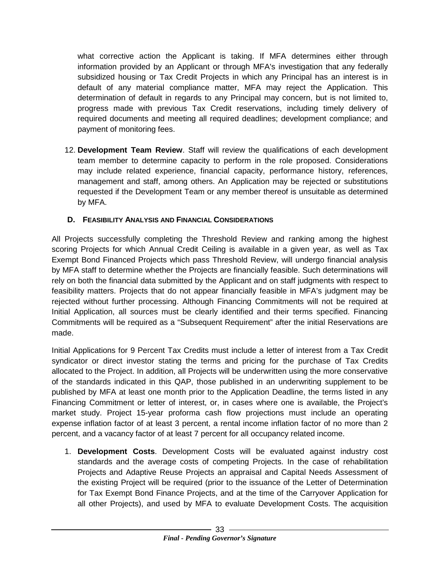what corrective action the Applicant is taking. If MFA determines either through information provided by an Applicant or through MFA's investigation that any federally subsidized housing or Tax Credit Projects in which any Principal has an interest is in default of any material compliance matter, MFA may reject the Application. This determination of default in regards to any Principal may concern, but is not limited to, progress made with previous Tax Credit reservations, including timely delivery of required documents and meeting all required deadlines; development compliance; and payment of monitoring fees.

12. **Development Team Review**. Staff will review the qualifications of each development team member to determine capacity to perform in the role proposed. Considerations may include related experience, financial capacity, performance history, references, management and staff, among others. An Application may be rejected or substitutions requested if the Development Team or any member thereof is unsuitable as determined by MFA.

#### <span id="page-35-1"></span><span id="page-35-0"></span>**D. FEASIBILITY ANALYSIS AND FINANCIAL CONSIDERATIONS**

All Projects successfully completing the Threshold Review and ranking among the highest scoring Projects for which Annual Credit Ceiling is available in a given year, as well as Tax Exempt Bond Financed Projects which pass Threshold Review, will undergo financial analysis by MFA staff to determine whether the Projects are financially feasible. Such determinations will rely on both the financial data submitted by the Applicant and on staff judgments with respect to feasibility matters. Projects that do not appear financially feasible in MFA's judgment may be rejected without further processing. Although Financing Commitments will not be required at Initial Application, all sources must be clearly identified and their terms specified. Financing Commitments will be required as a "Subsequent Requirement" after the initial Reservations are made.

Initial Applications for 9 Percent Tax Credits must include a letter of interest from a Tax Credit syndicator or direct investor stating the terms and pricing for the purchase of Tax Credits allocated to the Project. In addition, all Projects will be underwritten using the more conservative of the standards indicated in this QAP, those published in an underwriting supplement to be published by MFA at least one month prior to the Application Deadline, the terms listed in any Financing Commitment or letter of interest, or, in cases where one is available, the Project's market study. Project 15-year proforma cash flow projections must include an operating expense inflation factor of at least 3 percent, a rental income inflation factor of no more than 2 percent, and a vacancy factor of at least 7 percent for all occupancy related income.

1. **Development Costs**. Development Costs will be evaluated against industry cost standards and the average costs of competing Projects. In the case of rehabilitation Projects and Adaptive Reuse Projects an appraisal and Capital Needs Assessment of the existing Project will be required (prior to the issuance of the Letter of Determination for Tax Exempt Bond Finance Projects, and at the time of the Carryover Application for all other Projects), and used by MFA to evaluate Development Costs. The acquisition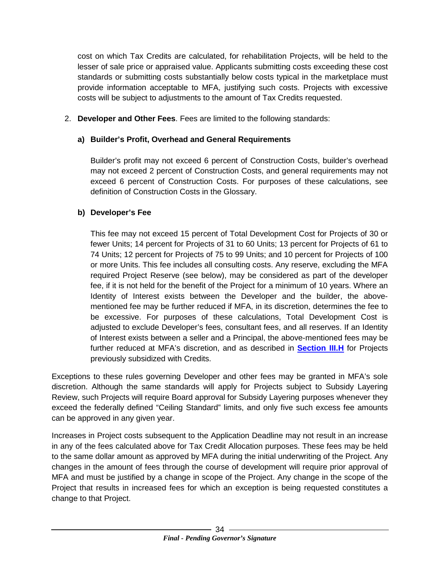cost on which Tax Credits are calculated, for rehabilitation Projects, will be held to the lesser of sale price or appraised value. Applicants submitting costs exceeding these cost standards or submitting costs substantially below costs typical in the marketplace must provide information acceptable to MFA, justifying such costs. Projects with excessive costs will be subject to adjustments to the amount of Tax Credits requested.

<span id="page-36-1"></span>2. **Developer and Other Fees**. Fees are limited to the following standards:

#### **a) Builder's Profit, Overhead and General Requirements**

Builder's profit may not exceed 6 percent of Construction Costs, builder's overhead may not exceed 2 percent of Construction Costs, and general requirements may not exceed 6 percent of Construction Costs. For purposes of these calculations, see definition of Construction Costs in the Glossary.

#### <span id="page-36-0"></span>**b) Developer's Fee**

This fee may not exceed 15 percent of Total Development Cost for Projects of 30 or fewer Units; 14 percent for Projects of 31 to 60 Units; 13 percent for Projects of 61 to 74 Units; 12 percent for Projects of 75 to 99 Units; and 10 percent for Projects of 100 or more Units. This fee includes all consulting costs. Any reserve, excluding the MFA required Project Reserve (see below), may be considered as part of the developer fee, if it is not held for the benefit of the Project for a minimum of 10 years. Where an Identity of Interest exists between the Developer and the builder, the abovementioned fee may be further reduced if MFA, in its discretion, determines the fee to be excessive. For purposes of these calculations, Total Development Cost is adjusted to exclude Developer's fees, consultant fees, and all reserves. If an Identity of Interest exists between a seller and a Principal, the above-mentioned fees may be further reduced at MFA's discretion, and as described in **[Section III.H](#page-27-4)** for Projects previously subsidized with Credits.

Exceptions to these rules governing Developer and other fees may be granted in MFA's sole discretion. Although the same standards will apply for Projects subject to Subsidy Layering Review, such Projects will require Board approval for Subsidy Layering purposes whenever they exceed the federally defined "Ceiling Standard" limits, and only five such excess fee amounts can be approved in any given year.

Increases in Project costs subsequent to the Application Deadline may not result in an increase in any of the fees calculated above for Tax Credit Allocation purposes. These fees may be held to the same dollar amount as approved by MFA during the initial underwriting of the Project. Any changes in the amount of fees through the course of development will require prior approval of MFA and must be justified by a change in scope of the Project. Any change in the scope of the Project that results in increased fees for which an exception is being requested constitutes a change to that Project.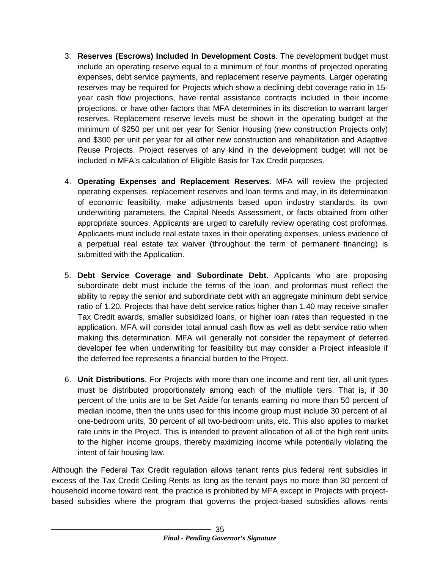- 3. **Reserves (Escrows) Included In Development Costs**. The development budget must include an operating reserve equal to a minimum of four months of projected operating expenses, debt service payments, and replacement reserve payments. Larger operating reserves may be required for Projects which show a declining debt coverage ratio in 15 year cash flow projections, have rental assistance contracts included in their income projections, or have other factors that MFA determines in its discretion to warrant larger reserves. Replacement reserve levels must be shown in the operating budget at the minimum of \$250 per unit per year for Senior Housing (new construction Projects only) and \$300 per unit per year for all other new construction and rehabilitation and Adaptive Reuse Projects. Project reserves of any kind in the development budget will not be included in MFA's calculation of Eligible Basis for Tax Credit purposes.
- 4. **Operating Expenses and Replacement Reserves**. MFA will review the projected operating expenses, replacement reserves and loan terms and may, in its determination of economic feasibility, make adjustments based upon industry standards, its own underwriting parameters, the Capital Needs Assessment, or facts obtained from other appropriate sources. Applicants are urged to carefully review operating cost proformas. Applicants must include real estate taxes in their operating expenses, unless evidence of a perpetual real estate tax waiver (throughout the term of permanent financing) is submitted with the Application.
- 5. **Debt Service Coverage and Subordinate Debt**. Applicants who are proposing subordinate debt must include the terms of the loan, and proformas must reflect the ability to repay the senior and subordinate debt with an aggregate minimum debt service ratio of 1.20. Projects that have debt service ratios higher than 1.40 may receive smaller Tax Credit awards, smaller subsidized loans, or higher loan rates than requested in the application. MFA will consider total annual cash flow as well as debt service ratio when making this determination. MFA will generally not consider the repayment of deferred developer fee when underwriting for feasibility but may consider a Project infeasible if the deferred fee represents a financial burden to the Project.
- 6. **Unit Distributions**. For Projects with more than one income and rent tier, all unit types must be distributed proportionately among each of the multiple tiers. That is, if 30 percent of the units are to be Set Aside for tenants earning no more than 50 percent of median income, then the units used for this income group must include 30 percent of all one-bedroom units, 30 percent of all two-bedroom units, etc. This also applies to market rate units in the Project. This is intended to prevent allocation of all of the high rent units to the higher income groups, thereby maximizing income while potentially violating the intent of fair housing law.

Although the Federal Tax Credit regulation allows tenant rents plus federal rent subsidies in excess of the Tax Credit Ceiling Rents as long as the tenant pays no more than 30 percent of household income toward rent, the practice is prohibited by MFA except in Projects with projectbased subsidies where the program that governs the project-based subsidies allows rents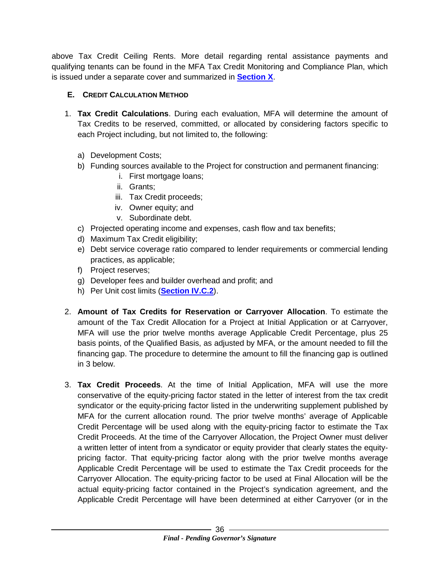above Tax Credit Ceiling Rents. More detail regarding rental assistance payments and qualifying tenants can be found in the MFA Tax Credit Monitoring and Compliance Plan, which is issued under a separate cover and summarized in **[Section X](#page-52-0)**.

#### <span id="page-38-1"></span><span id="page-38-0"></span>**E. CREDIT CALCULATION METHOD**

- 1. **Tax Credit Calculations**. During each evaluation, MFA will determine the amount of Tax Credits to be reserved, committed, or allocated by considering factors specific to each Project including, but not limited to, the following:
	- a) Development Costs;
	- b) Funding sources available to the Project for construction and permanent financing:
		- i. First mortgage loans;
		- ii. Grants;
		- iii. Tax Credit proceeds;
		- iv. Owner equity; and
		- v. Subordinate debt.
	- c) Projected operating income and expenses, cash flow and tax benefits;
	- d) Maximum Tax Credit eligibility;
	- e) Debt service coverage ratio compared to lender requirements or commercial lending practices, as applicable;
	- f) Project reserves;
	- g) Developer fees and builder overhead and profit; and
	- h) Per Unit cost limits (**[Section IV.C.2](#page-32-1)**).
- <span id="page-38-2"></span>2. **Amount of Tax Credits for Reservation or Carryover Allocation**. To estimate the amount of the Tax Credit Allocation for a Project at Initial Application or at Carryover, MFA will use the prior twelve months average Applicable Credit Percentage, plus 25 basis points, of the Qualified Basis, as adjusted by MFA, or the amount needed to fill the financing gap. The procedure to determine the amount to fill the financing gap is outlined in 3 below.
- <span id="page-38-3"></span>3. **Tax Credit Proceeds**. At the time of Initial Application, MFA will use the more conservative of the equity-pricing factor stated in the letter of interest from the tax credit syndicator or the equity-pricing factor listed in the underwriting supplement published by MFA for the current allocation round. The prior twelve months' average of Applicable Credit Percentage will be used along with the equity-pricing factor to estimate the Tax Credit Proceeds. At the time of the Carryover Allocation, the Project Owner must deliver a written letter of intent from a syndicator or equity provider that clearly states the equitypricing factor. That equity-pricing factor along with the prior twelve months average Applicable Credit Percentage will be used to estimate the Tax Credit proceeds for the Carryover Allocation. The equity-pricing factor to be used at Final Allocation will be the actual equity-pricing factor contained in the Project's syndication agreement, and the Applicable Credit Percentage will have been determined at either Carryover (or in the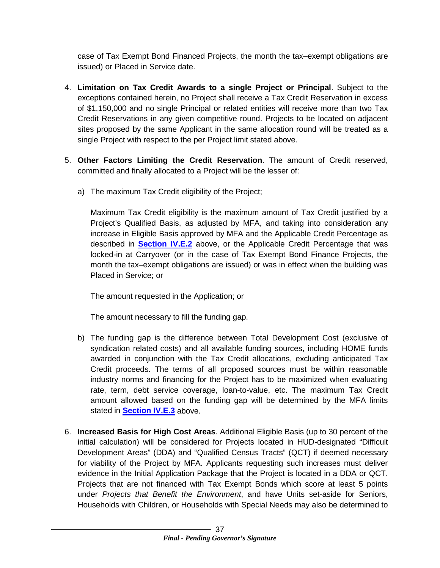case of Tax Exempt Bond Financed Projects, the month the tax–exempt obligations are issued) or Placed in Service date.

- 4. **Limitation on Tax Credit Awards to a single Project or Principal**. Subject to the exceptions contained herein, no Project shall receive a Tax Credit Reservation in excess of \$1,150,000 and no single Principal or related entities will receive more than two Tax Credit Reservations in any given competitive round. Projects to be located on adjacent sites proposed by the same Applicant in the same allocation round will be treated as a single Project with respect to the per Project limit stated above.
- 5. **Other Factors Limiting the Credit Reservation**. The amount of Credit reserved, committed and finally allocated to a Project will be the lesser of:
	- a) The maximum Tax Credit eligibility of the Project;

Maximum Tax Credit eligibility is the maximum amount of Tax Credit justified by a Project's Qualified Basis, as adjusted by MFA, and taking into consideration any increase in Eligible Basis approved by MFA and the Applicable Credit Percentage as described in **[Section IV.E.2](#page-38-2)** above, or the Applicable Credit Percentage that was locked-in at Carryover (or in the case of Tax Exempt Bond Finance Projects, the month the tax–exempt obligations are issued) or was in effect when the building was Placed in Service; or

The amount requested in the Application; or

The amount necessary to fill the funding gap.

- b) The funding gap is the difference between Total Development Cost (exclusive of syndication related costs) and all available funding sources, including HOME funds awarded in conjunction with the Tax Credit allocations, excluding anticipated Tax Credit proceeds. The terms of all proposed sources must be within reasonable industry norms and financing for the Project has to be maximized when evaluating rate, term, debt service coverage, loan-to-value, etc. The maximum Tax Credit amount allowed based on the funding gap will be determined by the MFA limits stated in **[Section IV.E.3](#page-38-3)** above.
- 6. **Increased Basis for High Cost Areas**. Additional Eligible Basis (up to 30 percent of the initial calculation) will be considered for Projects located in HUD-designated "Difficult Development Areas" (DDA) and "Qualified Census Tracts" (QCT) if deemed necessary for viability of the Project by MFA. Applicants requesting such increases must deliver evidence in the Initial Application Package that the Project is located in a DDA or QCT. Projects that are not financed with Tax Exempt Bonds which score at least 5 points under *Projects that Benefit the Environment*, and have Units set-aside for Seniors, Households with Children, or Households with Special Needs may also be determined to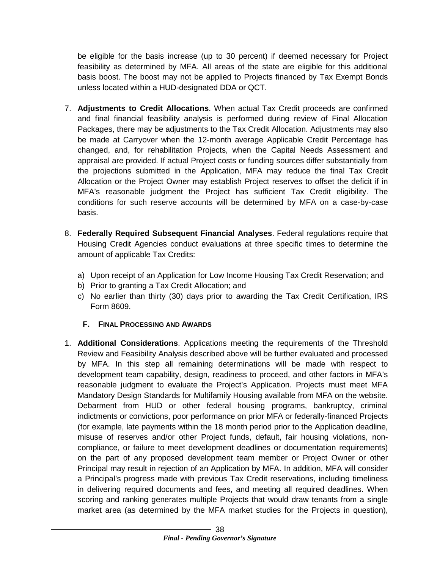be eligible for the basis increase (up to 30 percent) if deemed necessary for Project feasibility as determined by MFA. All areas of the state are eligible for this additional basis boost. The boost may not be applied to Projects financed by Tax Exempt Bonds unless located within a HUD-designated DDA or QCT.

- 7. **Adjustments to Credit Allocations**. When actual Tax Credit proceeds are confirmed and final financial feasibility analysis is performed during review of Final Allocation Packages, there may be adjustments to the Tax Credit Allocation. Adjustments may also be made at Carryover when the 12-month average Applicable Credit Percentage has changed, and, for rehabilitation Projects, when the Capital Needs Assessment and appraisal are provided. If actual Project costs or funding sources differ substantially from the projections submitted in the Application, MFA may reduce the final Tax Credit Allocation or the Project Owner may establish Project reserves to offset the deficit if in MFA's reasonable judgment the Project has sufficient Tax Credit eligibility. The conditions for such reserve accounts will be determined by MFA on a case-by-case basis.
- 8. **Federally Required Subsequent Financial Analyses**. Federal regulations require that Housing Credit Agencies conduct evaluations at three specific times to determine the amount of applicable Tax Credits:
	- a) Upon receipt of an Application for Low Income Housing Tax Credit Reservation; and
	- b) Prior to granting a Tax Credit Allocation; and
	- c) No earlier than thirty (30) days prior to awarding the Tax Credit Certification, IRS Form 8609.

#### <span id="page-40-0"></span>**F. FINAL PROCESSING AND AWARDS**

<span id="page-40-1"></span>1. **Additional Considerations**. Applications meeting the requirements of the Threshold Review and Feasibility Analysis described above will be further evaluated and processed by MFA. In this step all remaining determinations will be made with respect to development team capability, design, readiness to proceed, and other factors in MFA's reasonable judgment to evaluate the Project's Application. Projects must meet MFA Mandatory Design Standards for Multifamily Housing available from MFA on the website. Debarment from HUD or other federal housing programs, bankruptcy, criminal indictments or convictions, poor performance on prior MFA or federally-financed Projects (for example, late payments within the 18 month period prior to the Application deadline, misuse of reserves and/or other Project funds, default, fair housing violations, noncompliance, or failure to meet development deadlines or documentation requirements) on the part of any proposed development team member or Project Owner or other Principal may result in rejection of an Application by MFA. In addition, MFA will consider a Principal's progress made with previous Tax Credit reservations, including timeliness in delivering required documents and fees, and meeting all required deadlines. When scoring and ranking generates multiple Projects that would draw tenants from a single market area (as determined by the MFA market studies for the Projects in question),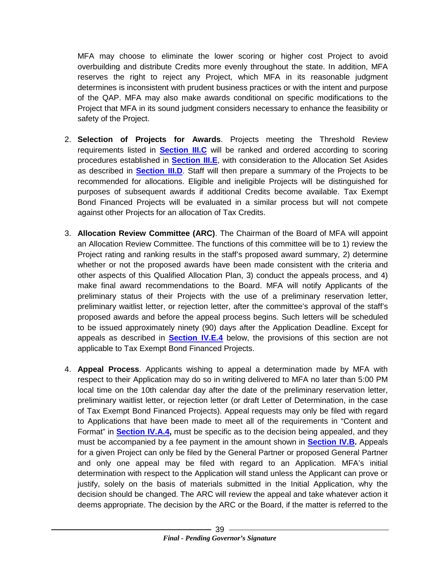MFA may choose to eliminate the lower scoring or higher cost Project to avoid overbuilding and distribute Credits more evenly throughout the state. In addition, MFA reserves the right to reject any Project, which MFA in its reasonable judgment determines is inconsistent with prudent business practices or with the intent and purpose of the QAP. MFA may also make awards conditional on specific modifications to the Project that MFA in its sound judgment considers necessary to enhance the feasibility or safety of the Project.

- 2. **Selection of Projects for Awards**. Projects meeting the Threshold Review requirements listed in **[Section III.C](#page-12-2)** will be ranked and ordered according to scoring procedures established in **[Section III.E](#page-15-1)**, with consideration to the Allocation Set Asides as described in **[Section III.D](#page-14-1)**. Staff will then prepare a summary of the Projects to be recommended for allocations. Eligible and ineligible Projects will be distinguished for purposes of subsequent awards if additional Credits become available. Tax Exempt Bond Financed Projects will be evaluated in a similar process but will not compete against other Projects for an allocation of Tax Credits.
- 3. **Allocation Review Committee (ARC)**. The Chairman of the Board of MFA will appoint an Allocation Review Committee. The functions of this committee will be to 1) review the Project rating and ranking results in the staff's proposed award summary, 2) determine whether or not the proposed awards have been made consistent with the criteria and other aspects of this Qualified Allocation Plan, 3) conduct the appeals process, and 4) make final award recommendations to the Board. MFA will notify Applicants of the preliminary status of their Projects with the use of a preliminary reservation letter, preliminary waitlist letter, or rejection letter, after the committee's approval of the staff's proposed awards and before the appeal process begins. Such letters will be scheduled to be issued approximately ninety (90) days after the Application Deadline. Except for appeals as described in **[Section IV.E.4](#page-44-0)** below, the provisions of this section are not applicable to Tax Exempt Bond Financed Projects.
- 4. **Appeal Process**. Applicants wishing to appeal a determination made by MFA with respect to their Application may do so in writing delivered to MFA no later than 5:00 PM local time on the 10th calendar day after the date of the preliminary reservation letter, preliminary waitlist letter, or rejection letter (or draft Letter of Determination, in the case of Tax Exempt Bond Financed Projects). Appeal requests may only be filed with regard to Applications that have been made to meet all of the requirements in "Content and Format" in **[Section IV.A.4,](#page-28-0)** must be specific as to the decision being appealed, and they must be accompanied by a fee payment in the amount shown in **[Section IV.B.](#page-30-1)** Appeals for a given Project can only be filed by the General Partner or proposed General Partner and only one appeal may be filed with regard to an Application. MFA's initial determination with respect to the Application will stand unless the Applicant can prove or justify, solely on the basis of materials submitted in the Initial Application, why the decision should be changed. The ARC will review the appeal and take whatever action it deems appropriate. The decision by the ARC or the Board, if the matter is referred to the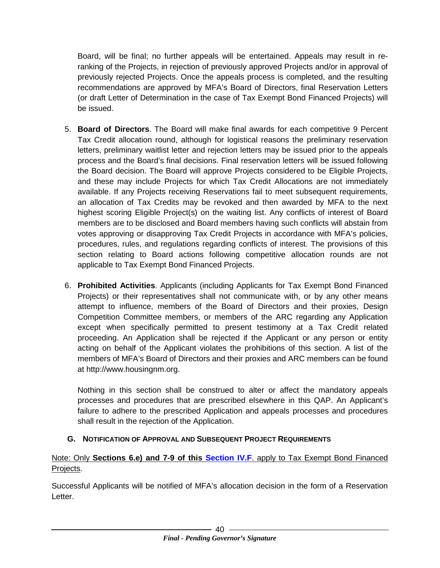Board, will be final; no further appeals will be entertained. Appeals may result in reranking of the Projects, in rejection of previously approved Projects and/or in approval of previously rejected Projects. Once the appeals process is completed, and the resulting recommendations are approved by MFA's Board of Directors, final Reservation Letters (or draft Letter of Determination in the case of Tax Exempt Bond Financed Projects) will be issued.

- 5. **Board of Directors**. The Board will make final awards for each competitive 9 Percent Tax Credit allocation round, although for logistical reasons the preliminary reservation letters, preliminary waitlist letter and rejection letters may be issued prior to the appeals process and the Board's final decisions. Final reservation letters will be issued following the Board decision. The Board will approve Projects considered to be Eligible Projects, and these may include Projects for which Tax Credit Allocations are not immediately available. If any Projects receiving Reservations fail to meet subsequent requirements, an allocation of Tax Credits may be revoked and then awarded by MFA to the next highest scoring Eligible Project(s) on the waiting list. Any conflicts of interest of Board members are to be disclosed and Board members having such conflicts will abstain from votes approving or disapproving Tax Credit Projects in accordance with MFA's policies, procedures, rules, and regulations regarding conflicts of interest. The provisions of this section relating to Board actions following competitive allocation rounds are not applicable to Tax Exempt Bond Financed Projects.
- 6. **Prohibited Activities**. Applicants (including Applicants for Tax Exempt Bond Financed Projects) or their representatives shall not communicate with, or by any other means attempt to influence, members of the Board of Directors and their proxies, Design Competition Committee members, or members of the ARC regarding any Application except when specifically permitted to present testimony at a Tax Credit related proceeding. An Application shall be rejected if the Applicant or any person or entity acting on behalf of the Applicant violates the prohibitions of this section. A list of the members of MFA's Board of Directors and their proxies and ARC members can be found at http://www.housingnm.org.

Nothing in this section shall be construed to alter or affect the mandatory appeals processes and procedures that are prescribed elsewhere in this QAP. An Applicant's failure to adhere to the prescribed Application and appeals processes and procedures shall result in the rejection of the Application.

#### <span id="page-42-1"></span><span id="page-42-0"></span>**G. NOTIFICATION OF APPROVAL AND SUBSEQUENT PROJECT REQUIREMENTS**

#### Note: Only **Sections 6.e) and 7-9 of this [Section IV.F](#page-40-1)**. apply to Tax Exempt Bond Financed Projects.

Successful Applicants will be notified of MFA's allocation decision in the form of a Reservation Letter.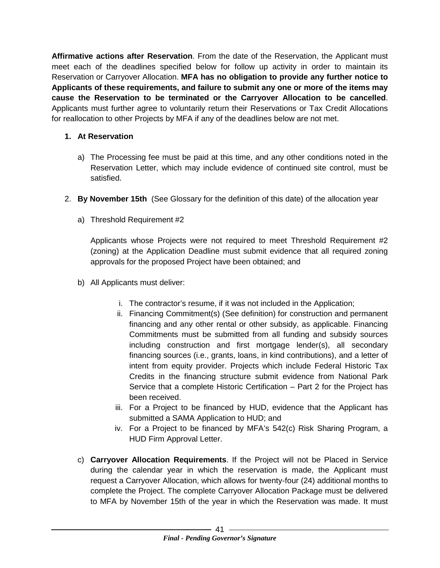**Affirmative actions after Reservation**. From the date of the Reservation, the Applicant must meet each of the deadlines specified below for follow up activity in order to maintain its Reservation or Carryover Allocation. **MFA has no obligation to provide any further notice to Applicants of these requirements, and failure to submit any one or more of the items may cause the Reservation to be terminated or the Carryover Allocation to be cancelled**. Applicants must further agree to voluntarily return their Reservations or Tax Credit Allocations for reallocation to other Projects by MFA if any of the deadlines below are not met.

#### **1. At Reservation**

- a) The Processing fee must be paid at this time, and any other conditions noted in the Reservation Letter, which may include evidence of continued site control, must be satisfied.
- 2. **By November 15th** (See Glossary for the definition of this date) of the allocation year
	- a) Threshold Requirement #2

Applicants whose Projects were not required to meet Threshold Requirement #2 (zoning) at the Application Deadline must submit evidence that all required zoning approvals for the proposed Project have been obtained; and

- b) All Applicants must deliver:
	- i. The contractor's resume, if it was not included in the Application;
	- ii. Financing Commitment(s) (See definition) for construction and permanent financing and any other rental or other subsidy, as applicable. Financing Commitments must be submitted from all funding and subsidy sources including construction and first mortgage lender(s), all secondary financing sources (i.e., grants, loans, in kind contributions), and a letter of intent from equity provider. Projects which include Federal Historic Tax Credits in the financing structure submit evidence from National Park Service that a complete Historic Certification – Part 2 for the Project has been received.
	- iii. For a Project to be financed by HUD, evidence that the Applicant has submitted a SAMA Application to HUD; and
	- iv. For a Project to be financed by MFA's 542(c) Risk Sharing Program, a HUD Firm Approval Letter.
- c) **Carryover Allocation Requirements**. If the Project will not be Placed in Service during the calendar year in which the reservation is made, the Applicant must request a Carryover Allocation, which allows for twenty-four (24) additional months to complete the Project. The complete Carryover Allocation Package must be delivered to MFA by November 15th of the year in which the Reservation was made. It must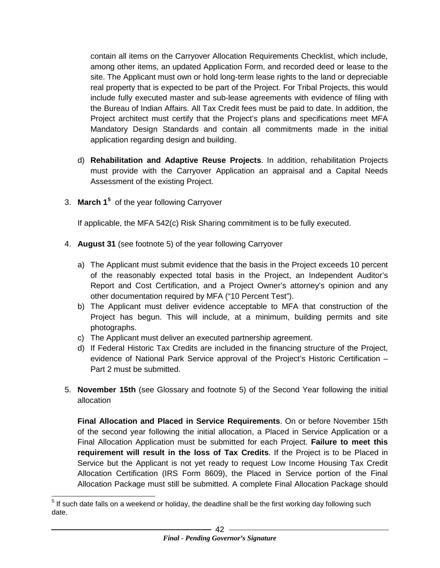contain all items on the Carryover Allocation Requirements Checklist, which include, among other items, an updated Application Form, and recorded deed or lease to the site. The Applicant must own or hold long-term lease rights to the land or depreciable real property that is expected to be part of the Project. For Tribal Projects, this would include fully executed master and sub-lease agreements with evidence of filing with the Bureau of Indian Affairs. All Tax Credit fees must be paid to date. In addition, the Project architect must certify that the Project's plans and specifications meet MFA Mandatory Design Standards and contain all commitments made in the initial application regarding design and building.

- d) **Rehabilitation and Adaptive Reuse Projects**. In addition, rehabilitation Projects must provide with the Carryover Application an appraisal and a Capital Needs Assessment of the existing Project.
- 3. March 1<sup>[5](#page-44-1)</sup> of the year following Carryover

If applicable, the MFA 542(c) Risk Sharing commitment is to be fully executed.

- <span id="page-44-0"></span>4. **August 31** (see footnote 5) of the year following Carryover
	- a) The Applicant must submit evidence that the basis in the Project exceeds 10 percent of the reasonably expected total basis in the Project, an Independent Auditor's Report and Cost Certification, and a Project Owner's attorney's opinion and any other documentation required by MFA ("10 Percent Test").
	- b) The Applicant must deliver evidence acceptable to MFA that construction of the Project has begun. This will include, at a minimum, building permits and site photographs.
	- c) The Applicant must deliver an executed partnership agreement.
	- d) If Federal Historic Tax Credits are included in the financing structure of the Project, evidence of National Park Service approval of the Project's Historic Certification – Part 2 must be submitted.
- 5. **November 15th** (see Glossary and footnote 5) of the Second Year following the initial allocation

**Final Allocation and Placed in Service Requirements**. On or before November 15th of the second year following the initial allocation, a Placed in Service Application or a Final Allocation Application must be submitted for each Project. **Failure to meet this requirement will result in the loss of Tax Credits**. If the Project is to be Placed in Service but the Applicant is not yet ready to request Low Income Housing Tax Credit Allocation Certification (IRS Form 8609), the Placed in Service portion of the Final Allocation Package must still be submitted. A complete Final Allocation Package should

<span id="page-44-1"></span> $<sup>5</sup>$  If such date falls on a weekend or holiday, the deadline shall be the first working day following such</sup> date.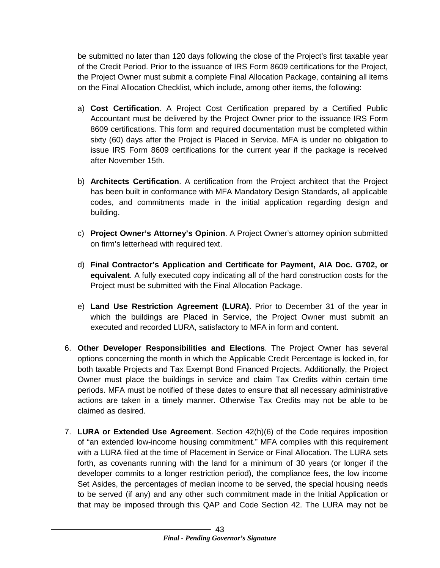be submitted no later than 120 days following the close of the Project's first taxable year of the Credit Period. Prior to the issuance of IRS Form 8609 certifications for the Project, the Project Owner must submit a complete Final Allocation Package, containing all items on the Final Allocation Checklist, which include, among other items, the following:

- a) **Cost Certification**. A Project Cost Certification prepared by a Certified Public Accountant must be delivered by the Project Owner prior to the issuance IRS Form 8609 certifications. This form and required documentation must be completed within sixty (60) days after the Project is Placed in Service. MFA is under no obligation to issue IRS Form 8609 certifications for the current year if the package is received after November 15th.
- b) **Architects Certification**. A certification from the Project architect that the Project has been built in conformance with MFA Mandatory Design Standards, all applicable codes, and commitments made in the initial application regarding design and building.
- c) **Project Owner's Attorney's Opinion**. A Project Owner's attorney opinion submitted on firm's letterhead with required text.
- d) **Final Contractor's Application and Certificate for Payment, AIA Doc. G702, or equivalent**. A fully executed copy indicating all of the hard construction costs for the Project must be submitted with the Final Allocation Package.
- e) **Land Use Restriction Agreement (LURA)**. Prior to December 31 of the year in which the buildings are Placed in Service, the Project Owner must submit an executed and recorded LURA, satisfactory to MFA in form and content.
- 6. **Other Developer Responsibilities and Elections**. The Project Owner has several options concerning the month in which the Applicable Credit Percentage is locked in, for both taxable Projects and Tax Exempt Bond Financed Projects. Additionally, the Project Owner must place the buildings in service and claim Tax Credits within certain time periods. MFA must be notified of these dates to ensure that all necessary administrative actions are taken in a timely manner. Otherwise Tax Credits may not be able to be claimed as desired.
- 7. **LURA or Extended Use Agreement**. Section 42(h)(6) of the Code requires imposition of "an extended low-income housing commitment." MFA complies with this requirement with a LURA filed at the time of Placement in Service or Final Allocation. The LURA sets forth, as covenants running with the land for a minimum of 30 years (or longer if the developer commits to a longer restriction period), the compliance fees, the low income Set Asides, the percentages of median income to be served, the special housing needs to be served (if any) and any other such commitment made in the Initial Application or that may be imposed through this QAP and Code Section 42. The LURA may not be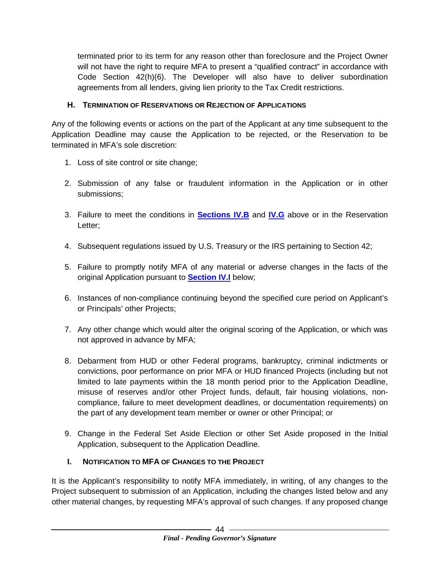terminated prior to its term for any reason other than foreclosure and the Project Owner will not have the right to require MFA to present a "qualified contract" in accordance with Code Section 42(h)(6). The Developer will also have to deliver subordination agreements from all lenders, giving lien priority to the Tax Credit restrictions.

#### <span id="page-46-0"></span>**H. TERMINATION OF RESERVATIONS OR REJECTION OF APPLICATIONS**

Any of the following events or actions on the part of the Applicant at any time subsequent to the Application Deadline may cause the Application to be rejected, or the Reservation to be terminated in MFA's sole discretion:

- 1. Loss of site control or site change;
- 2. Submission of any false or fraudulent information in the Application or in other submissions;
- 3. Failure to meet the conditions in **[Sections IV.B](#page-30-1)** and **[IV.G](#page-42-1)** above or in the Reservation Letter;
- 4. Subsequent regulations issued by U.S. Treasury or the IRS pertaining to Section 42;
- 5. Failure to promptly notify MFA of any material or adverse changes in the facts of the original Application pursuant to **[Section IV.I](#page-46-2)** below;
- 6. Instances of non-compliance continuing beyond the specified cure period on Applicant's or Principals' other Projects;
- 7. Any other change which would alter the original scoring of the Application, or which was not approved in advance by MFA;
- 8. Debarment from HUD or other Federal programs, bankruptcy, criminal indictments or convictions, poor performance on prior MFA or HUD financed Projects (including but not limited to late payments within the 18 month period prior to the Application Deadline, misuse of reserves and/or other Project funds, default, fair housing violations, noncompliance, failure to meet development deadlines, or documentation requirements) on the part of any development team member or owner or other Principal; or
- 9. Change in the Federal Set Aside Election or other Set Aside proposed in the Initial Application, subsequent to the Application Deadline.

# <span id="page-46-2"></span><span id="page-46-1"></span>**I. NOTIFICATION TO MFA OF CHANGES TO THE PROJECT**

It is the Applicant's responsibility to notify MFA immediately, in writing, of any changes to the Project subsequent to submission of an Application, including the changes listed below and any other material changes, by requesting MFA's approval of such changes. If any proposed change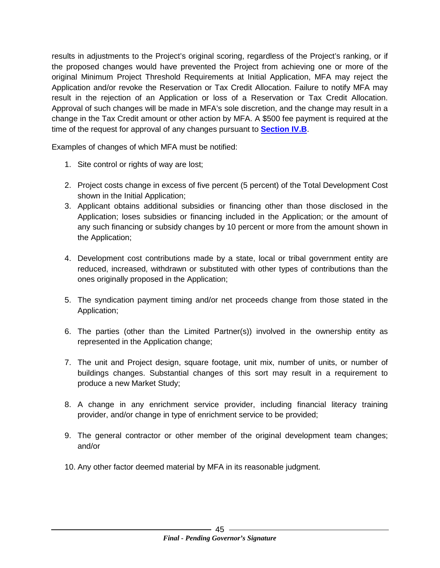results in adjustments to the Project's original scoring, regardless of the Project's ranking, or if the proposed changes would have prevented the Project from achieving one or more of the original Minimum Project Threshold Requirements at Initial Application, MFA may reject the Application and/or revoke the Reservation or Tax Credit Allocation. Failure to notify MFA may result in the rejection of an Application or loss of a Reservation or Tax Credit Allocation. Approval of such changes will be made in MFA's sole discretion, and the change may result in a change in the Tax Credit amount or other action by MFA. A \$500 fee payment is required at the time of the request for approval of any changes pursuant to **[Section IV.B](#page-30-1)**.

Examples of changes of which MFA must be notified:

- 1. Site control or rights of way are lost;
- 2. Project costs change in excess of five percent (5 percent) of the Total Development Cost shown in the Initial Application;
- 3. Applicant obtains additional subsidies or financing other than those disclosed in the Application; loses subsidies or financing included in the Application; or the amount of any such financing or subsidy changes by 10 percent or more from the amount shown in the Application;
- 4. Development cost contributions made by a state, local or tribal government entity are reduced, increased, withdrawn or substituted with other types of contributions than the ones originally proposed in the Application;
- 5. The syndication payment timing and/or net proceeds change from those stated in the Application;
- 6. The parties (other than the Limited Partner(s)) involved in the ownership entity as represented in the Application change;
- 7. The unit and Project design, square footage, unit mix, number of units, or number of buildings changes. Substantial changes of this sort may result in a requirement to produce a new Market Study;
- 8. A change in any enrichment service provider, including financial literacy training provider, and/or change in type of enrichment service to be provided;
- 9. The general contractor or other member of the original development team changes; and/or
- <span id="page-47-0"></span>10. Any other factor deemed material by MFA in its reasonable judgment.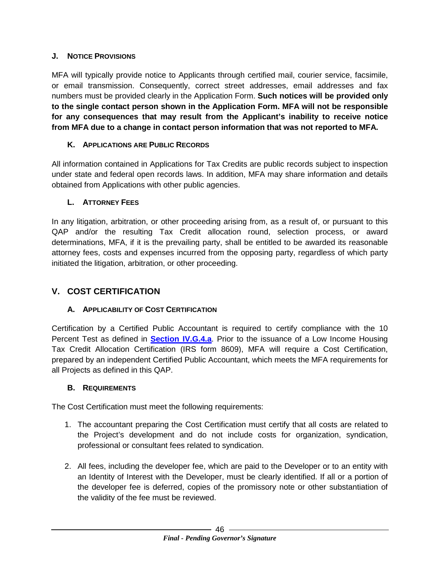#### **J. NOTICE PROVISIONS**

MFA will typically provide notice to Applicants through certified mail, courier service, facsimile, or email transmission. Consequently, correct street addresses, email addresses and fax numbers must be provided clearly in the Application Form. **Such notices will be provided only to the single contact person shown in the Application Form. MFA will not be responsible for any consequences that may result from the Applicant's inability to receive notice from MFA due to a change in contact person information that was not reported to MFA.**

#### <span id="page-48-0"></span>**K. APPLICATIONS ARE PUBLIC RECORDS**

All information contained in Applications for Tax Credits are public records subject to inspection under state and federal open records laws. In addition, MFA may share information and details obtained from Applications with other public agencies.

#### <span id="page-48-1"></span>**L. ATTORNEY FEES**

In any litigation, arbitration, or other proceeding arising from, as a result of, or pursuant to this QAP and/or the resulting Tax Credit allocation round, selection process, or award determinations, MFA, if it is the prevailing party, shall be entitled to be awarded its reasonable attorney fees, costs and expenses incurred from the opposing party, regardless of which party initiated the litigation, arbitration, or other proceeding.

# <span id="page-48-2"></span>**V. COST CERTIFICATION**

#### <span id="page-48-3"></span>**A. APPLICABILITY OF COST CERTIFICATION**

Certification by a Certified Public Accountant is required to certify compliance with the 10 Percent Test as defined in **[Section IV.G.4.a](#page-44-0)**. Prior to the issuance of a Low Income Housing Tax Credit Allocation Certification (IRS form 8609), MFA will require a Cost Certification, prepared by an independent Certified Public Accountant, which meets the MFA requirements for all Projects as defined in this QAP.

#### <span id="page-48-4"></span>**B. REQUIREMENTS**

The Cost Certification must meet the following requirements:

- 1. The accountant preparing the Cost Certification must certify that all costs are related to the Project's development and do not include costs for organization, syndication, professional or consultant fees related to syndication.
- 2. All fees, including the developer fee, which are paid to the Developer or to an entity with an Identity of Interest with the Developer, must be clearly identified. If all or a portion of the developer fee is deferred, copies of the promissory note or other substantiation of the validity of the fee must be reviewed.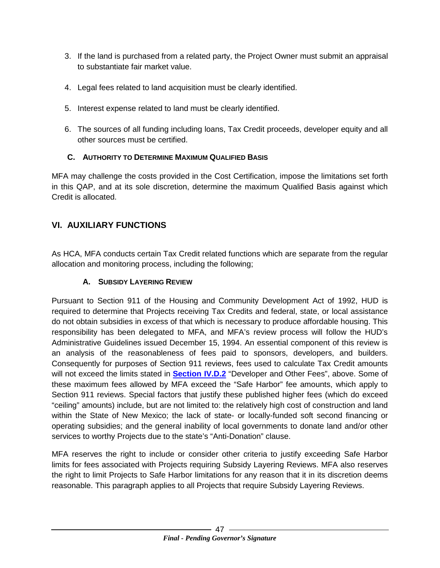- 3. If the land is purchased from a related party, the Project Owner must submit an appraisal to substantiate fair market value.
- 4. Legal fees related to land acquisition must be clearly identified.
- 5. Interest expense related to land must be clearly identified.
- 6. The sources of all funding including loans, Tax Credit proceeds, developer equity and all other sources must be certified.

#### <span id="page-49-0"></span>**C. AUTHORITY TO DETERMINE MAXIMUM QUALIFIED BASIS**

MFA may challenge the costs provided in the Cost Certification, impose the limitations set forth in this QAP, and at its sole discretion, determine the maximum Qualified Basis against which Credit is allocated.

# <span id="page-49-1"></span>**VI. AUXILIARY FUNCTIONS**

As HCA, MFA conducts certain Tax Credit related functions which are separate from the regular allocation and monitoring process, including the following;

# <span id="page-49-2"></span>**A. SUBSIDY LAYERING REVIEW**

Pursuant to Section 911 of the Housing and Community Development Act of 1992, HUD is required to determine that Projects receiving Tax Credits and federal, state, or local assistance do not obtain subsidies in excess of that which is necessary to produce affordable housing. This responsibility has been delegated to MFA, and MFA's review process will follow the HUD's Administrative Guidelines issued December 15, 1994. An essential component of this review is an analysis of the reasonableness of fees paid to sponsors, developers, and builders. Consequently for purposes of Section 911 reviews, fees used to calculate Tax Credit amounts will not exceed the limits stated in **[Section IV.D.2](#page-36-1)** "Developer and Other Fees", above. Some of these maximum fees allowed by MFA exceed the "Safe Harbor" fee amounts, which apply to Section 911 reviews. Special factors that justify these published higher fees (which do exceed "ceiling" amounts) include, but are not limited to: the relatively high cost of construction and land within the State of New Mexico; the lack of state- or locally-funded soft second financing or operating subsidies; and the general inability of local governments to donate land and/or other services to worthy Projects due to the state's "Anti-Donation" clause.

MFA reserves the right to include or consider other criteria to justify exceeding Safe Harbor limits for fees associated with Projects requiring Subsidy Layering Reviews. MFA also reserves the right to limit Projects to Safe Harbor limitations for any reason that it in its discretion deems reasonable. This paragraph applies to all Projects that require Subsidy Layering Reviews.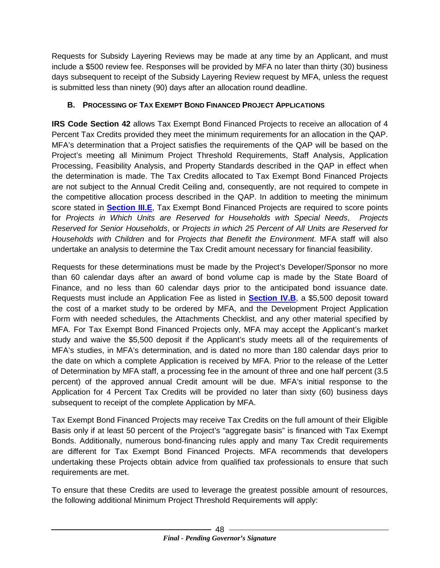Requests for Subsidy Layering Reviews may be made at any time by an Applicant, and must include a \$500 review fee. Responses will be provided by MFA no later than thirty (30) business days subsequent to receipt of the Subsidy Layering Review request by MFA, unless the request is submitted less than ninety (90) days after an allocation round deadline.

# <span id="page-50-1"></span><span id="page-50-0"></span>**B. PROCESSING OF TAX EXEMPT BOND FINANCED PROJECT APPLICATIONS**

**IRS Code Section 42** allows Tax Exempt Bond Financed Projects to receive an allocation of 4 Percent Tax Credits provided they meet the minimum requirements for an allocation in the QAP. MFA's determination that a Project satisfies the requirements of the QAP will be based on the Project's meeting all Minimum Project Threshold Requirements, Staff Analysis, Application Processing, Feasibility Analysis, and Property Standards described in the QAP in effect when the determination is made. The Tax Credits allocated to Tax Exempt Bond Financed Projects are not subject to the Annual Credit Ceiling and, consequently, are not required to compete in the competitive allocation process described in the QAP. In addition to meeting the minimum score stated in **[Section III.E](#page-15-1)**, Tax Exempt Bond Financed Projects are required to score points for *Projects in Which Units are Reserved for Households with Special Needs*, *Projects Reserved for Senior Households*, or *Projects in which 25 Percent of All Units are Reserved for Households with Children* and for *Projects that Benefit the Environment*. MFA staff will also undertake an analysis to determine the Tax Credit amount necessary for financial feasibility.

Requests for these determinations must be made by the Project's Developer/Sponsor no more than 60 calendar days after an award of bond volume cap is made by the State Board of Finance, and no less than 60 calendar days prior to the anticipated bond issuance date. Requests must include an Application Fee as listed in **[Section IV.B](#page-30-1)**, a \$5,500 deposit toward the cost of a market study to be ordered by MFA, and the Development Project Application Form with needed schedules, the Attachments Checklist, and any other material specified by MFA. For Tax Exempt Bond Financed Projects only, MFA may accept the Applicant's market study and waive the \$5,500 deposit if the Applicant's study meets all of the requirements of MFA's studies, in MFA's determination, and is dated no more than 180 calendar days prior to the date on which a complete Application is received by MFA. Prior to the release of the Letter of Determination by MFA staff, a processing fee in the amount of three and one half percent (3.5 percent) of the approved annual Credit amount will be due. MFA's initial response to the Application for 4 Percent Tax Credits will be provided no later than sixty (60) business days subsequent to receipt of the complete Application by MFA.

Tax Exempt Bond Financed Projects may receive Tax Credits on the full amount of their Eligible Basis only if at least 50 percent of the Project's "aggregate basis" is financed with Tax Exempt Bonds. Additionally, numerous bond-financing rules apply and many Tax Credit requirements are different for Tax Exempt Bond Financed Projects. MFA recommends that developers undertaking these Projects obtain advice from qualified tax professionals to ensure that such requirements are met.

To ensure that these Credits are used to leverage the greatest possible amount of resources, the following additional Minimum Project Threshold Requirements will apply: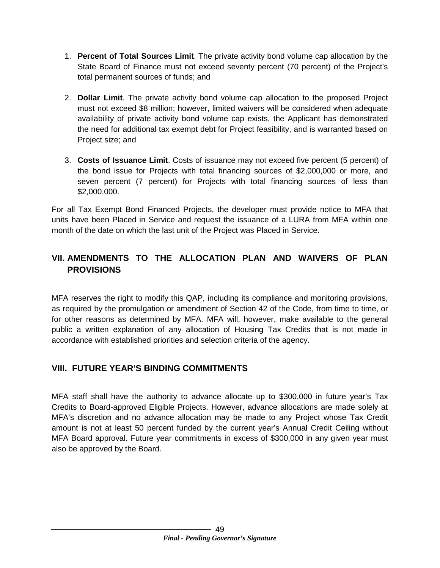- 1. **Percent of Total Sources Limit**. The private activity bond volume cap allocation by the State Board of Finance must not exceed seventy percent (70 percent) of the Project's total permanent sources of funds; and
- 2. **Dollar Limit**. The private activity bond volume cap allocation to the proposed Project must not exceed \$8 million; however, limited waivers will be considered when adequate availability of private activity bond volume cap exists, the Applicant has demonstrated the need for additional tax exempt debt for Project feasibility, and is warranted based on Project size; and
- 3. **Costs of Issuance Limit**. Costs of issuance may not exceed five percent (5 percent) of the bond issue for Projects with total financing sources of \$2,000,000 or more, and seven percent (7 percent) for Projects with total financing sources of less than \$2,000,000.

For all Tax Exempt Bond Financed Projects, the developer must provide notice to MFA that units have been Placed in Service and request the issuance of a LURA from MFA within one month of the date on which the last unit of the Project was Placed in Service.

# <span id="page-51-0"></span>**VII. AMENDMENTS TO THE ALLOCATION PLAN AND WAIVERS OF PLAN PROVISIONS**

MFA reserves the right to modify this QAP, including its compliance and monitoring provisions, as required by the promulgation or amendment of Section 42 of the Code, from time to time, or for other reasons as determined by MFA. MFA will, however, make available to the general public a written explanation of any allocation of Housing Tax Credits that is not made in accordance with established priorities and selection criteria of the agency.

# <span id="page-51-1"></span>**VIII. FUTURE YEAR'S BINDING COMMITMENTS**

<span id="page-51-2"></span>MFA staff shall have the authority to advance allocate up to \$300,000 in future year's Tax Credits to Board-approved Eligible Projects. However, advance allocations are made solely at MFA's discretion and no advance allocation may be made to any Project whose Tax Credit amount is not at least 50 percent funded by the current year's Annual Credit Ceiling without MFA Board approval. Future year commitments in excess of \$300,000 in any given year must also be approved by the Board.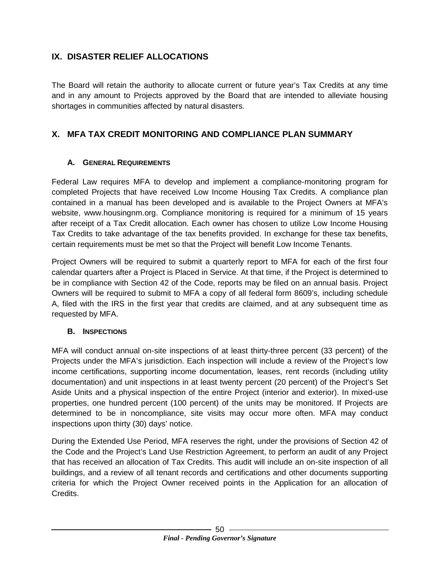# **IX. DISASTER RELIEF ALLOCATIONS**

The Board will retain the authority to allocate current or future year's Tax Credits at any time and in any amount to Projects approved by the Board that are intended to alleviate housing shortages in communities affected by natural disasters.

# <span id="page-52-0"></span>**X. MFA TAX CREDIT MONITORING AND COMPLIANCE PLAN SUMMARY**

#### <span id="page-52-1"></span>**A. GENERAL REQUIREMENTS**

Federal Law requires MFA to develop and implement a compliance-monitoring program for completed Projects that have received Low Income Housing Tax Credits. A compliance plan contained in a manual has been developed and is available to the Project Owners at MFA's website, www.housingnm.org. Compliance monitoring is required for a minimum of 15 years after receipt of a Tax Credit allocation. Each owner has chosen to utilize Low Income Housing Tax Credits to take advantage of the tax benefits provided. In exchange for these tax benefits, certain requirements must be met so that the Project will benefit Low Income Tenants.

Project Owners will be required to submit a quarterly report to MFA for each of the first four calendar quarters after a Project is Placed in Service. At that time, if the Project is determined to be in compliance with Section 42 of the Code, reports may be filed on an annual basis. Project Owners will be required to submit to MFA a copy of all federal form 8609's, including schedule A, filed with the IRS in the first year that credits are claimed, and at any subsequent time as requested by MFA.

#### <span id="page-52-2"></span>**B. INSPECTIONS**

MFA will conduct annual on-site inspections of at least thirty-three percent (33 percent) of the Projects under the MFA's jurisdiction. Each inspection will include a review of the Project's low income certifications, supporting income documentation, leases, rent records (including utility documentation) and unit inspections in at least twenty percent (20 percent) of the Project's Set Aside Units and a physical inspection of the entire Project (interior and exterior). In mixed-use properties, one hundred percent (100 percent) of the units may be monitored. If Projects are determined to be in noncompliance, site visits may occur more often. MFA may conduct inspections upon thirty (30) days' notice.

During the Extended Use Period, MFA reserves the right, under the provisions of Section 42 of the Code and the Project's Land Use Restriction Agreement, to perform an audit of any Project that has received an allocation of Tax Credits. This audit will include an on-site inspection of all buildings, and a review of all tenant records and certifications and other documents supporting criteria for which the Project Owner received points in the Application for an allocation of Credits.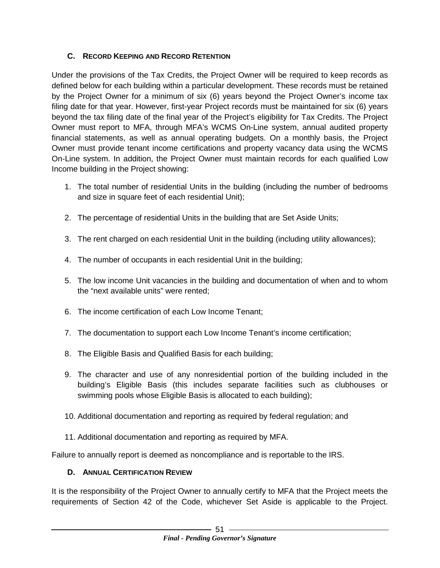#### <span id="page-53-0"></span>**C. RECORD KEEPING AND RECORD RETENTION**

Under the provisions of the Tax Credits, the Project Owner will be required to keep records as defined below for each building within a particular development. These records must be retained by the Project Owner for a minimum of six (6) years beyond the Project Owner's income tax filing date for that year. However, first-year Project records must be maintained for six (6) years beyond the tax filing date of the final year of the Project's eligibility for Tax Credits. The Project Owner must report to MFA, through MFA's WCMS On-Line system, annual audited property financial statements, as well as annual operating budgets. On a monthly basis, the Project Owner must provide tenant income certifications and property vacancy data using the WCMS On-Line system. In addition, the Project Owner must maintain records for each qualified Low Income building in the Project showing:

- 1. The total number of residential Units in the building (including the number of bedrooms and size in square feet of each residential Unit);
- 2. The percentage of residential Units in the building that are Set Aside Units;
- 3. The rent charged on each residential Unit in the building (including utility allowances);
- 4. The number of occupants in each residential Unit in the building;
- 5. The low income Unit vacancies in the building and documentation of when and to whom the "next available units" were rented;
- 6. The income certification of each Low Income Tenant;
- 7. The documentation to support each Low Income Tenant's income certification;
- 8. The Eligible Basis and Qualified Basis for each building;
- 9. The character and use of any nonresidential portion of the building included in the building's Eligible Basis (this includes separate facilities such as clubhouses or swimming pools whose Eligible Basis is allocated to each building);
- 10. Additional documentation and reporting as required by federal regulation; and
- 11. Additional documentation and reporting as required by MFA.

Failure to annually report is deemed as noncompliance and is reportable to the IRS.

# <span id="page-53-1"></span>**D. ANNUAL CERTIFICATION REVIEW**

It is the responsibility of the Project Owner to annually certify to MFA that the Project meets the requirements of Section 42 of the Code, whichever Set Aside is applicable to the Project.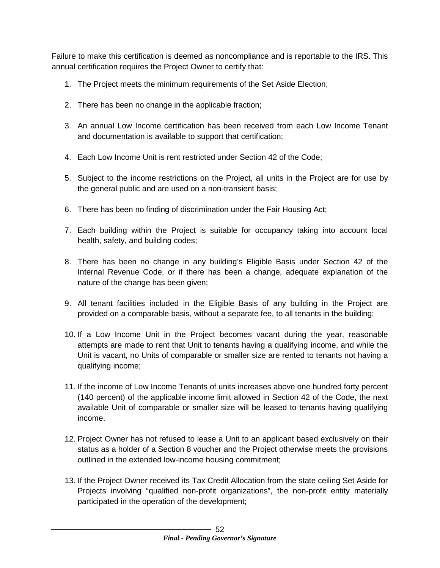Failure to make this certification is deemed as noncompliance and is reportable to the IRS. This annual certification requires the Project Owner to certify that:

- 1. The Project meets the minimum requirements of the Set Aside Election;
- 2. There has been no change in the applicable fraction;
- 3. An annual Low Income certification has been received from each Low Income Tenant and documentation is available to support that certification;
- 4. Each Low Income Unit is rent restricted under Section 42 of the Code;
- 5. Subject to the income restrictions on the Project, all units in the Project are for use by the general public and are used on a non-transient basis;
- 6. There has been no finding of discrimination under the Fair Housing Act;
- 7. Each building within the Project is suitable for occupancy taking into account local health, safety, and building codes;
- 8. There has been no change in any building's Eligible Basis under Section 42 of the Internal Revenue Code, or if there has been a change, adequate explanation of the nature of the change has been given;
- 9. All tenant facilities included in the Eligible Basis of any building in the Project are provided on a comparable basis, without a separate fee, to all tenants in the building;
- 10. If a Low Income Unit in the Project becomes vacant during the year, reasonable attempts are made to rent that Unit to tenants having a qualifying income, and while the Unit is vacant, no Units of comparable or smaller size are rented to tenants not having a qualifying income;
- 11. If the income of Low Income Tenants of units increases above one hundred forty percent (140 percent) of the applicable income limit allowed in Section 42 of the Code, the next available Unit of comparable or smaller size will be leased to tenants having qualifying income.
- 12. Project Owner has not refused to lease a Unit to an applicant based exclusively on their status as a holder of a Section 8 voucher and the Project otherwise meets the provisions outlined in the extended low-income housing commitment;
- 13. If the Project Owner received its Tax Credit Allocation from the state ceiling Set Aside for Projects involving "qualified non-profit organizations", the non-profit entity materially participated in the operation of the development;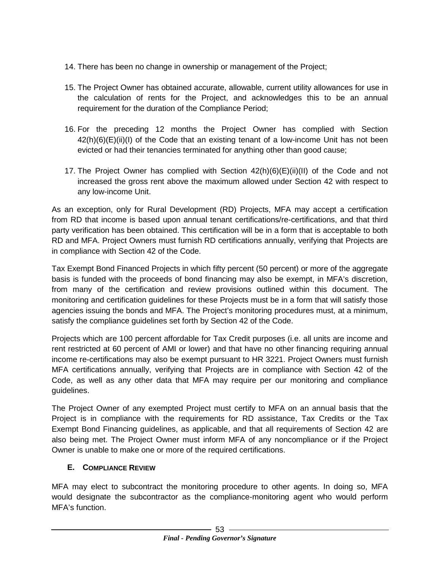- 14. There has been no change in ownership or management of the Project;
- 15. The Project Owner has obtained accurate, allowable, current utility allowances for use in the calculation of rents for the Project, and acknowledges this to be an annual requirement for the duration of the Compliance Period;
- 16. For the preceding 12 months the Project Owner has complied with Section 42(h)(6)(E)(ii)(I) of the Code that an existing tenant of a low-income Unit has not been evicted or had their tenancies terminated for anything other than good cause;
- 17. The Project Owner has complied with Section  $42(h)(6)(E)(ii)(II)$  of the Code and not increased the gross rent above the maximum allowed under Section 42 with respect to any low-income Unit.

As an exception, only for Rural Development (RD) Projects, MFA may accept a certification from RD that income is based upon annual tenant certifications/re-certifications, and that third party verification has been obtained. This certification will be in a form that is acceptable to both RD and MFA. Project Owners must furnish RD certifications annually, verifying that Projects are in compliance with Section 42 of the Code.

Tax Exempt Bond Financed Projects in which fifty percent (50 percent) or more of the aggregate basis is funded with the proceeds of bond financing may also be exempt, in MFA's discretion, from many of the certification and review provisions outlined within this document. The monitoring and certification guidelines for these Projects must be in a form that will satisfy those agencies issuing the bonds and MFA. The Project's monitoring procedures must, at a minimum, satisfy the compliance guidelines set forth by Section 42 of the Code.

Projects which are 100 percent affordable for Tax Credit purposes (i.e. all units are income and rent restricted at 60 percent of AMI or lower) and that have no other financing requiring annual income re-certifications may also be exempt pursuant to HR 3221. Project Owners must furnish MFA certifications annually, verifying that Projects are in compliance with Section 42 of the Code, as well as any other data that MFA may require per our monitoring and compliance guidelines.

The Project Owner of any exempted Project must certify to MFA on an annual basis that the Project is in compliance with the requirements for RD assistance, Tax Credits or the Tax Exempt Bond Financing guidelines, as applicable, and that all requirements of Section 42 are also being met. The Project Owner must inform MFA of any noncompliance or if the Project Owner is unable to make one or more of the required certifications.

# <span id="page-55-0"></span>**E. COMPLIANCE REVIEW**

MFA may elect to subcontract the monitoring procedure to other agents. In doing so, MFA would designate the subcontractor as the compliance-monitoring agent who would perform MFA's function.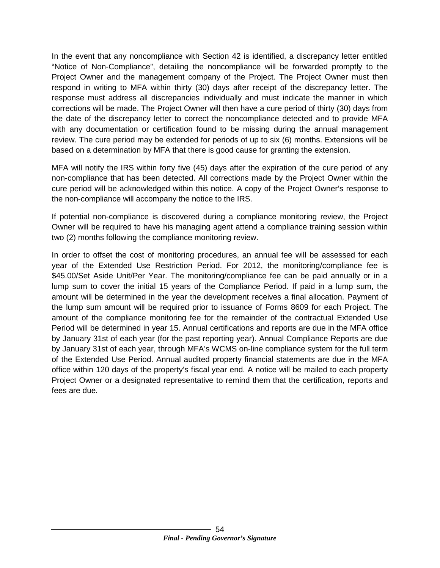In the event that any noncompliance with Section 42 is identified, a discrepancy letter entitled "Notice of Non-Compliance", detailing the noncompliance will be forwarded promptly to the Project Owner and the management company of the Project. The Project Owner must then respond in writing to MFA within thirty (30) days after receipt of the discrepancy letter. The response must address all discrepancies individually and must indicate the manner in which corrections will be made. The Project Owner will then have a cure period of thirty (30) days from the date of the discrepancy letter to correct the noncompliance detected and to provide MFA with any documentation or certification found to be missing during the annual management review. The cure period may be extended for periods of up to six (6) months. Extensions will be based on a determination by MFA that there is good cause for granting the extension.

MFA will notify the IRS within forty five (45) days after the expiration of the cure period of any non-compliance that has been detected. All corrections made by the Project Owner within the cure period will be acknowledged within this notice. A copy of the Project Owner's response to the non-compliance will accompany the notice to the IRS.

If potential non-compliance is discovered during a compliance monitoring review, the Project Owner will be required to have his managing agent attend a compliance training session within two (2) months following the compliance monitoring review.

<span id="page-56-0"></span>In order to offset the cost of monitoring procedures, an annual fee will be assessed for each year of the Extended Use Restriction Period. For 2012, the monitoring/compliance fee is \$45.00/Set Aside Unit/Per Year. The monitoring/compliance fee can be paid annually or in a lump sum to cover the initial 15 years of the Compliance Period. If paid in a lump sum, the amount will be determined in the year the development receives a final allocation. Payment of the lump sum amount will be required prior to issuance of Forms 8609 for each Project. The amount of the compliance monitoring fee for the remainder of the contractual Extended Use Period will be determined in year 15. Annual certifications and reports are due in the MFA office by January 31st of each year (for the past reporting year). Annual Compliance Reports are due by January 31st of each year, through MFA's WCMS on-line compliance system for the full term of the Extended Use Period. Annual audited property financial statements are due in the MFA office within 120 days of the property's fiscal year end. A notice will be mailed to each property Project Owner or a designated representative to remind them that the certification, reports and fees are due.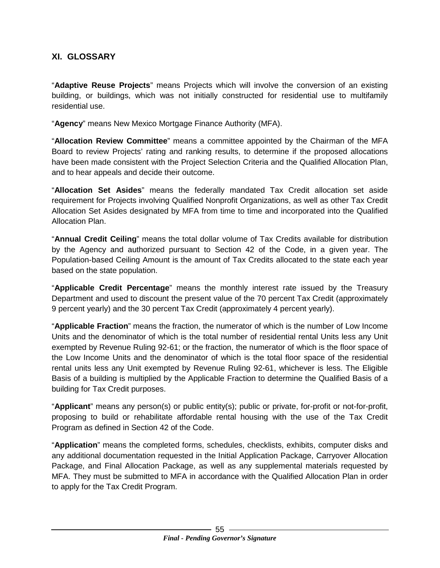#### <span id="page-57-0"></span>**XI. GLOSSARY**

"**Adaptive Reuse Projects**" means Projects which will involve the conversion of an existing building, or buildings, which was not initially constructed for residential use to multifamily residential use.

"**Agency**" means New Mexico Mortgage Finance Authority (MFA).

"**Allocation Review Committee**" means a committee appointed by the Chairman of the MFA Board to review Projects' rating and ranking results, to determine if the proposed allocations have been made consistent with the Project Selection Criteria and the Qualified Allocation Plan, and to hear appeals and decide their outcome.

"**Allocation Set Asides**" means the federally mandated Tax Credit allocation set aside requirement for Projects involving Qualified Nonprofit Organizations, as well as other Tax Credit Allocation Set Asides designated by MFA from time to time and incorporated into the Qualified Allocation Plan.

"**Annual Credit Ceiling**" means the total dollar volume of Tax Credits available for distribution by the Agency and authorized pursuant to Section 42 of the Code, in a given year. The Population-based Ceiling Amount is the amount of Tax Credits allocated to the state each year based on the state population.

"**Applicable Credit Percentage**" means the monthly interest rate issued by the Treasury Department and used to discount the present value of the 70 percent Tax Credit (approximately 9 percent yearly) and the 30 percent Tax Credit (approximately 4 percent yearly).

"**Applicable Fraction**" means the fraction, the numerator of which is the number of Low Income Units and the denominator of which is the total number of residential rental Units less any Unit exempted by Revenue Ruling 92-61; or the fraction, the numerator of which is the floor space of the Low Income Units and the denominator of which is the total floor space of the residential rental units less any Unit exempted by Revenue Ruling 92-61, whichever is less. The Eligible Basis of a building is multiplied by the Applicable Fraction to determine the Qualified Basis of a building for Tax Credit purposes.

"**Applicant**" means any person(s) or public entity(s); public or private, for-profit or not-for-profit, proposing to build or rehabilitate affordable rental housing with the use of the Tax Credit Program as defined in Section 42 of the Code.

"**Application**" means the completed forms, schedules, checklists, exhibits, computer disks and any additional documentation requested in the Initial Application Package, Carryover Allocation Package, and Final Allocation Package, as well as any supplemental materials requested by MFA. They must be submitted to MFA in accordance with the Qualified Allocation Plan in order to apply for the Tax Credit Program.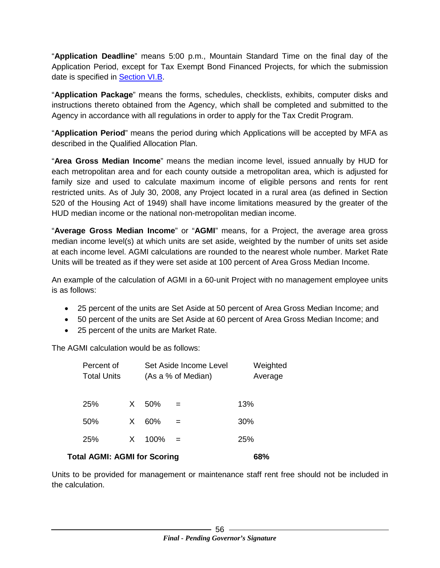"**Application Deadline**" means 5:00 p.m., Mountain Standard Time on the final day of the Application Period, except for Tax Exempt Bond Financed Projects, for which the submission date is specified in [Section VI.B.](#page-50-1)

"**Application Package**" means the forms, schedules, checklists, exhibits, computer disks and instructions thereto obtained from the Agency, which shall be completed and submitted to the Agency in accordance with all regulations in order to apply for the Tax Credit Program.

"**Application Period**" means the period during which Applications will be accepted by MFA as described in the Qualified Allocation Plan.

"**Area Gross Median Income**" means the median income level, issued annually by HUD for each metropolitan area and for each county outside a metropolitan area, which is adjusted for family size and used to calculate maximum income of eligible persons and rents for rent restricted units. As of July 30, 2008, any Project located in a rural area (as defined in Section 520 of the Housing Act of 1949) shall have income limitations measured by the greater of the HUD median income or the national non-metropolitan median income.

"**Average Gross Median Income**" or "**AGMI**" means, for a Project, the average area gross median income level(s) at which units are set aside, weighted by the number of units set aside at each income level. AGMI calculations are rounded to the nearest whole number. Market Rate Units will be treated as if they were set aside at 100 percent of Area Gross Median Income.

An example of the calculation of AGMI in a 60-unit Project with no management employee units is as follows:

- 25 percent of the units are Set Aside at 50 percent of Area Gross Median Income; and
- 50 percent of the units are Set Aside at 60 percent of Area Gross Median Income; and
- 25 percent of the units are Market Rate.

The AGMI calculation would be as follows:

|                                     | Percent of<br><b>Total Units</b> |    |         | Set Aside Income Level<br>(As a % of Median) | Weighted<br>Average |
|-------------------------------------|----------------------------------|----|---------|----------------------------------------------|---------------------|
| 25%                                 |                                  | X. | 50%     |                                              | 13%                 |
| 50%                                 |                                  | X. | 60%     | =                                            | 30%                 |
| 25%                                 |                                  | X. | $100\%$ | $=$                                          | 25%                 |
| <b>Total AGMI: AGMI for Scoring</b> | 68%                              |    |         |                                              |                     |

Units to be provided for management or maintenance staff rent free should not be included in the calculation.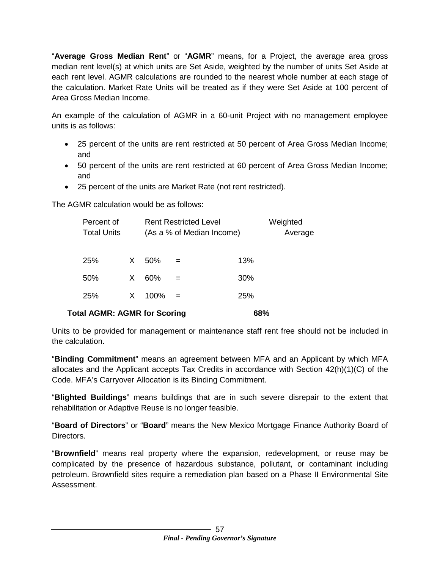"**Average Gross Median Rent**" or "**AGMR**" means, for a Project, the average area gross median rent level(s) at which units are Set Aside, weighted by the number of units Set Aside at each rent level. AGMR calculations are rounded to the nearest whole number at each stage of the calculation. Market Rate Units will be treated as if they were Set Aside at 100 percent of Area Gross Median Income.

An example of the calculation of AGMR in a 60-unit Project with no management employee units is as follows:

- 25 percent of the units are rent restricted at 50 percent of Area Gross Median Income; and
- 50 percent of the units are rent restricted at 60 percent of Area Gross Median Income; and
- 25 percent of the units are Market Rate (not rent restricted).

The AGMR calculation would be as follows:

| Percent of<br><b>Total Units</b>    |   |      | <b>Rent Restricted Level</b><br>(As a % of Median Income) | Weighted<br>Average |  |
|-------------------------------------|---|------|-----------------------------------------------------------|---------------------|--|
| 25%                                 | X | 50%  |                                                           | 13%                 |  |
| 50%                                 | X | 60%  |                                                           | 30%                 |  |
| 25%                                 | X | 100% |                                                           | <b>25%</b>          |  |
| <b>Total AGMR: AGMR for Scoring</b> |   |      |                                                           | 68%                 |  |

Units to be provided for management or maintenance staff rent free should not be included in the calculation.

"**Binding Commitment**" means an agreement between MFA and an Applicant by which MFA allocates and the Applicant accepts Tax Credits in accordance with Section 42(h)(1)(C) of the Code. MFA's Carryover Allocation is its Binding Commitment.

"**Blighted Buildings**" means buildings that are in such severe disrepair to the extent that rehabilitation or Adaptive Reuse is no longer feasible.

"**Board of Directors**" or "**Board**" means the New Mexico Mortgage Finance Authority Board of Directors.

"**Brownfield**" means real property where the expansion, redevelopment, or reuse may be complicated by the presence of hazardous substance, pollutant, or contaminant including petroleum. Brownfield sites require a remediation plan based on a Phase II Environmental Site Assessment.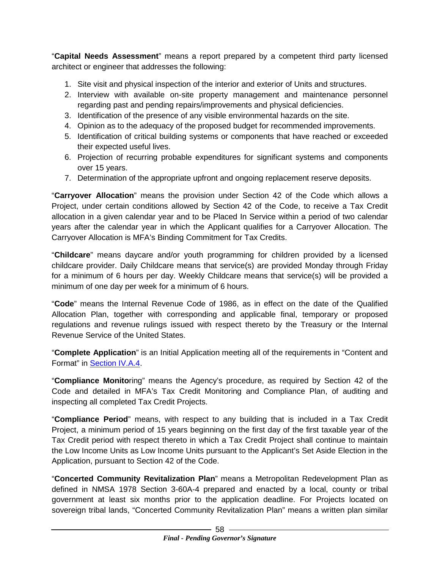"**Capital Needs Assessment**" means a report prepared by a competent third party licensed architect or engineer that addresses the following:

- 1. Site visit and physical inspection of the interior and exterior of Units and structures.
- 2. Interview with available on-site property management and maintenance personnel regarding past and pending repairs/improvements and physical deficiencies.
- 3. Identification of the presence of any visible environmental hazards on the site.
- 4. Opinion as to the adequacy of the proposed budget for recommended improvements.
- 5. Identification of critical building systems or components that have reached or exceeded their expected useful lives.
- 6. Projection of recurring probable expenditures for significant systems and components over 15 years.
- 7. Determination of the appropriate upfront and ongoing replacement reserve deposits.

"**Carryover Allocation**" means the provision under Section 42 of the Code which allows a Project, under certain conditions allowed by Section 42 of the Code, to receive a Tax Credit allocation in a given calendar year and to be Placed In Service within a period of two calendar years after the calendar year in which the Applicant qualifies for a Carryover Allocation. The Carryover Allocation is MFA's Binding Commitment for Tax Credits.

"**Childcare**" means daycare and/or youth programming for children provided by a licensed childcare provider. Daily Childcare means that service(s) are provided Monday through Friday for a minimum of 6 hours per day. Weekly Childcare means that service(s) will be provided a minimum of one day per week for a minimum of 6 hours.

"**Code**" means the Internal Revenue Code of 1986, as in effect on the date of the Qualified Allocation Plan, together with corresponding and applicable final, temporary or proposed regulations and revenue rulings issued with respect thereto by the Treasury or the Internal Revenue Service of the United States.

"**Complete Application**" is an Initial Application meeting all of the requirements in "Content and Format" in [Section IV.A.4.](#page-28-0)

"**Compliance Monito**ring" means the Agency's procedure, as required by Section 42 of the Code and detailed in MFA's Tax Credit Monitoring and Compliance Plan, of auditing and inspecting all completed Tax Credit Projects.

"**Compliance Period**" means, with respect to any building that is included in a Tax Credit Project, a minimum period of 15 years beginning on the first day of the first taxable year of the Tax Credit period with respect thereto in which a Tax Credit Project shall continue to maintain the Low Income Units as Low Income Units pursuant to the Applicant's Set Aside Election in the Application, pursuant to Section 42 of the Code.

"**Concerted Community Revitalization Plan**" means a Metropolitan Redevelopment Plan as defined in NMSA 1978 Section 3-60A-4 prepared and enacted by a local, county or tribal government at least six months prior to the application deadline. For Projects located on sovereign tribal lands, "Concerted Community Revitalization Plan" means a written plan similar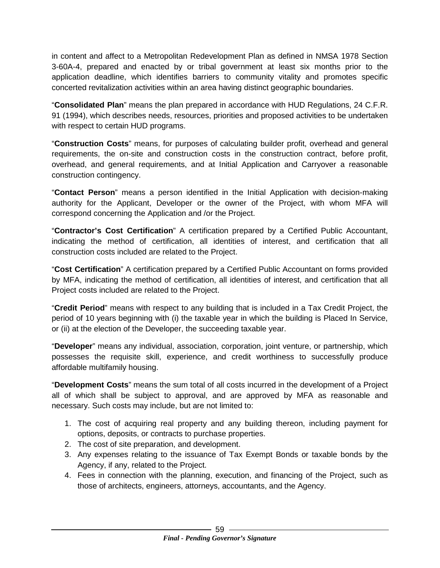in content and affect to a Metropolitan Redevelopment Plan as defined in NMSA 1978 Section 3-60A-4, prepared and enacted by or tribal government at least six months prior to the application deadline, which identifies barriers to community vitality and promotes specific concerted revitalization activities within an area having distinct geographic boundaries.

"**Consolidated Plan**" means the plan prepared in accordance with HUD Regulations, 24 C.F.R. 91 (1994), which describes needs, resources, priorities and proposed activities to be undertaken with respect to certain HUD programs.

"**Construction Costs**" means, for purposes of calculating builder profit, overhead and general requirements, the on-site and construction costs in the construction contract, before profit, overhead, and general requirements, and at Initial Application and Carryover a reasonable construction contingency.

"**Contact Person**" means a person identified in the Initial Application with decision-making authority for the Applicant, Developer or the owner of the Project, with whom MFA will correspond concerning the Application and /or the Project.

"**Contractor's Cost Certification**" A certification prepared by a Certified Public Accountant, indicating the method of certification, all identities of interest, and certification that all construction costs included are related to the Project.

"**Cost Certification**" A certification prepared by a Certified Public Accountant on forms provided by MFA, indicating the method of certification, all identities of interest, and certification that all Project costs included are related to the Project.

"**Credit Period**" means with respect to any building that is included in a Tax Credit Project, the period of 10 years beginning with (i) the taxable year in which the building is Placed In Service, or (ii) at the election of the Developer, the succeeding taxable year.

"**Developer**" means any individual, association, corporation, joint venture, or partnership, which possesses the requisite skill, experience, and credit worthiness to successfully produce affordable multifamily housing.

"**Development Costs**" means the sum total of all costs incurred in the development of a Project all of which shall be subject to approval, and are approved by MFA as reasonable and necessary. Such costs may include, but are not limited to:

- 1. The cost of acquiring real property and any building thereon, including payment for options, deposits, or contracts to purchase properties.
- 2. The cost of site preparation, and development.
- 3. Any expenses relating to the issuance of Tax Exempt Bonds or taxable bonds by the Agency, if any, related to the Project.
- 4. Fees in connection with the planning, execution, and financing of the Project, such as those of architects, engineers, attorneys, accountants, and the Agency.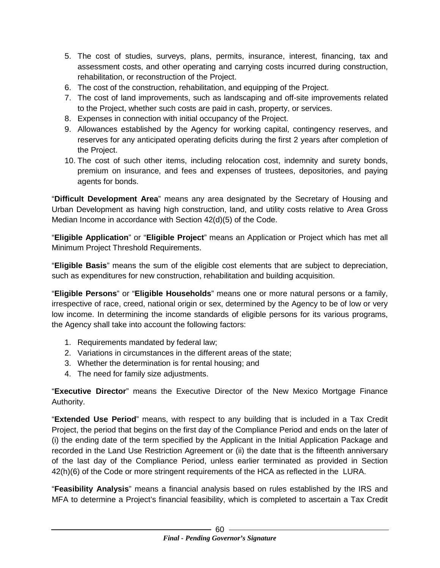- 5. The cost of studies, surveys, plans, permits, insurance, interest, financing, tax and assessment costs, and other operating and carrying costs incurred during construction, rehabilitation, or reconstruction of the Project.
- 6. The cost of the construction, rehabilitation, and equipping of the Project.
- 7. The cost of land improvements, such as landscaping and off-site improvements related to the Project, whether such costs are paid in cash, property, or services.
- 8. Expenses in connection with initial occupancy of the Project.
- 9. Allowances established by the Agency for working capital, contingency reserves, and reserves for any anticipated operating deficits during the first 2 years after completion of the Project.
- 10. The cost of such other items, including relocation cost, indemnity and surety bonds, premium on insurance, and fees and expenses of trustees, depositories, and paying agents for bonds.

"**Difficult Development Area**" means any area designated by the Secretary of Housing and Urban Development as having high construction, land, and utility costs relative to Area Gross Median Income in accordance with Section 42(d)(5) of the Code.

"**Eligible Application**" or "**Eligible Project**" means an Application or Project which has met all Minimum Project Threshold Requirements.

"**Eligible Basis**" means the sum of the eligible cost elements that are subject to depreciation, such as expenditures for new construction, rehabilitation and building acquisition.

"**Eligible Persons**" or "**Eligible Households**" means one or more natural persons or a family, irrespective of race, creed, national origin or sex, determined by the Agency to be of low or very low income. In determining the income standards of eligible persons for its various programs, the Agency shall take into account the following factors:

- 1. Requirements mandated by federal law;
- 2. Variations in circumstances in the different areas of the state;
- 3. Whether the determination is for rental housing; and
- 4. The need for family size adjustments.

"**Executive Director**" means the Executive Director of the New Mexico Mortgage Finance Authority.

"**Extended Use Period**" means, with respect to any building that is included in a Tax Credit Project, the period that begins on the first day of the Compliance Period and ends on the later of (i) the ending date of the term specified by the Applicant in the Initial Application Package and recorded in the Land Use Restriction Agreement or (ii) the date that is the fifteenth anniversary of the last day of the Compliance Period, unless earlier terminated as provided in Section 42(h)(6) of the Code or more stringent requirements of the HCA as reflected in the LURA.

"**Feasibility Analysis**" means a financial analysis based on rules established by the IRS and MFA to determine a Project's financial feasibility, which is completed to ascertain a Tax Credit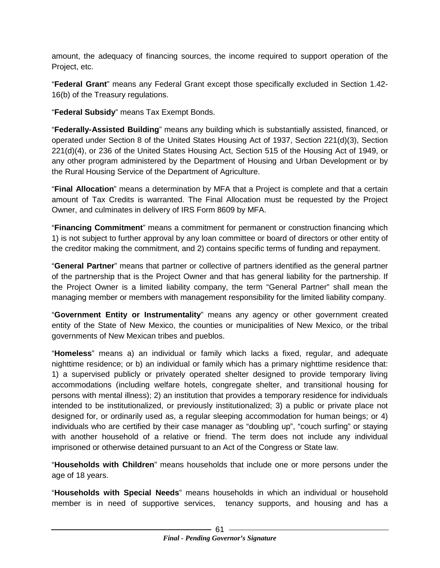amount, the adequacy of financing sources, the income required to support operation of the Project, etc.

"**Federal Grant**" means any Federal Grant except those specifically excluded in Section 1.42- 16(b) of the Treasury regulations.

"**Federal Subsidy**" means Tax Exempt Bonds.

"**Federally-Assisted Building**" means any building which is substantially assisted, financed, or operated under Section 8 of the United States Housing Act of 1937, Section 221(d)(3), Section 221(d)(4), or 236 of the United States Housing Act, Section 515 of the Housing Act of 1949, or any other program administered by the Department of Housing and Urban Development or by the Rural Housing Service of the Department of Agriculture.

"**Final Allocation**" means a determination by MFA that a Project is complete and that a certain amount of Tax Credits is warranted. The Final Allocation must be requested by the Project Owner, and culminates in delivery of IRS Form 8609 by MFA.

"**Financing Commitment**" means a commitment for permanent or construction financing which 1) is not subject to further approval by any loan committee or board of directors or other entity of the creditor making the commitment, and 2) contains specific terms of funding and repayment.

"**General Partner**" means that partner or collective of partners identified as the general partner of the partnership that is the Project Owner and that has general liability for the partnership. If the Project Owner is a limited liability company, the term "General Partner" shall mean the managing member or members with management responsibility for the limited liability company.

"**Government Entity or Instrumentality**" means any agency or other government created entity of the State of New Mexico, the counties or municipalities of New Mexico, or the tribal governments of New Mexican tribes and pueblos.

"**Homeless**" means a) an individual or family which lacks a fixed, regular, and adequate nighttime residence; or b) an individual or family which has a primary nighttime residence that: 1) a supervised publicly or privately operated shelter designed to provide temporary living accommodations (including welfare hotels, congregate shelter, and transitional housing for persons with mental illness); 2) an institution that provides a temporary residence for individuals intended to be institutionalized, or previously institutionalized; 3) a public or private place not designed for, or ordinarily used as, a regular sleeping accommodation for human beings; or 4) individuals who are certified by their case manager as "doubling up", "couch surfing" or staying with another household of a relative or friend. The term does not include any individual imprisoned or otherwise detained pursuant to an Act of the Congress or State law.

"**Households with Children**" means households that include one or more persons under the age of 18 years.

"**Households with Special Needs**" means households in which an individual or household member is in need of supportive services, tenancy supports, and housing and has a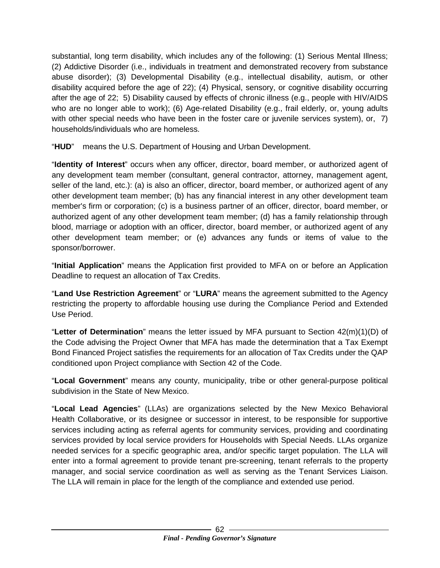substantial, long term disability, which includes any of the following: (1) Serious Mental Illness; (2) Addictive Disorder (i.e., individuals in treatment and demonstrated recovery from substance abuse disorder); (3) Developmental Disability (e.g., intellectual disability, autism, or other disability acquired before the age of 22); (4) Physical, sensory, or cognitive disability occurring after the age of 22; 5) Disability caused by effects of chronic illness (e.g., people with HIV/AIDS who are no longer able to work); (6) Age-related Disability (e.g., frail elderly, or, young adults with other special needs who have been in the foster care or juvenile services system), or, 7) households/individuals who are homeless.

"**HUD**" means the U.S. Department of Housing and Urban Development.

"**Identity of Interest**" occurs when any officer, director, board member, or authorized agent of any development team member (consultant, general contractor, attorney, management agent, seller of the land, etc.): (a) is also an officer, director, board member, or authorized agent of any other development team member; (b) has any financial interest in any other development team member's firm or corporation; (c) is a business partner of an officer, director, board member, or authorized agent of any other development team member; (d) has a family relationship through blood, marriage or adoption with an officer, director, board member, or authorized agent of any other development team member; or (e) advances any funds or items of value to the sponsor/borrower.

"**Initial Application**" means the Application first provided to MFA on or before an Application Deadline to request an allocation of Tax Credits.

"**Land Use Restriction Agreement**" or "**LURA**" means the agreement submitted to the Agency restricting the property to affordable housing use during the Compliance Period and Extended Use Period.

"**Letter of Determination**" means the letter issued by MFA pursuant to Section 42(m)(1)(D) of the Code advising the Project Owner that MFA has made the determination that a Tax Exempt Bond Financed Project satisfies the requirements for an allocation of Tax Credits under the QAP conditioned upon Project compliance with Section 42 of the Code.

"**Local Government**" means any county, municipality, tribe or other general-purpose political subdivision in the State of New Mexico.

"**Local Lead Agencies**" (LLAs) are organizations selected by the New Mexico Behavioral Health Collaborative, or its designee or successor in interest, to be responsible for supportive services including acting as referral agents for community services, providing and coordinating services provided by local service providers for Households with Special Needs. LLAs organize needed services for a specific geographic area, and/or specific target population. The LLA will enter into a formal agreement to provide tenant pre-screening, tenant referrals to the property manager, and social service coordination as well as serving as the Tenant Services Liaison. The LLA will remain in place for the length of the compliance and extended use period.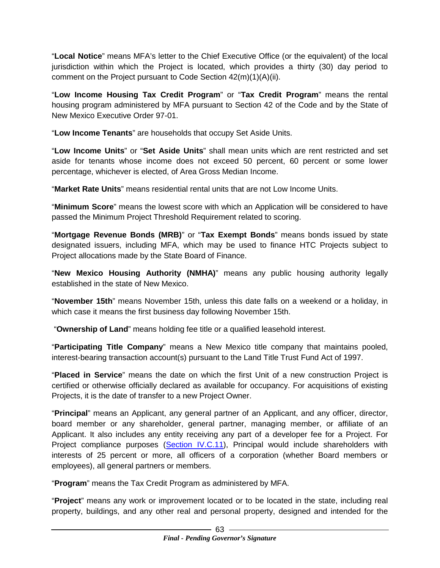"**Local Notice**" means MFA's letter to the Chief Executive Office (or the equivalent) of the local jurisdiction within which the Project is located, which provides a thirty (30) day period to comment on the Project pursuant to Code Section 42(m)(1)(A)(ii).

"**Low Income Housing Tax Credit Program**" or "**Tax Credit Program**" means the rental housing program administered by MFA pursuant to Section 42 of the Code and by the State of New Mexico Executive Order 97-01.

"**Low Income Tenants**" are households that occupy Set Aside Units.

"**Low Income Units**" or "**Set Aside Units**" shall mean units which are rent restricted and set aside for tenants whose income does not exceed 50 percent, 60 percent or some lower percentage, whichever is elected, of Area Gross Median Income.

"**Market Rate Units**" means residential rental units that are not Low Income Units.

"**Minimum Score**" means the lowest score with which an Application will be considered to have passed the Minimum Project Threshold Requirement related to scoring.

"**Mortgage Revenue Bonds (MRB)**" or "**Tax Exempt Bonds**" means bonds issued by state designated issuers, including MFA, which may be used to finance HTC Projects subject to Project allocations made by the State Board of Finance.

"**New Mexico Housing Authority (NMHA)**" means any public housing authority legally established in the state of New Mexico.

"**November 15th**" means November 15th, unless this date falls on a weekend or a holiday, in which case it means the first business day following November 15th.

"**Ownership of Land**" means holding fee title or a qualified leasehold interest.

"**Participating Title Company**" means a New Mexico title company that maintains pooled, interest-bearing transaction account(s) pursuant to the Land Title Trust Fund Act of 1997.

"**Placed in Service**" means the date on which the first Unit of a new construction Project is certified or otherwise officially declared as available for occupancy. For acquisitions of existing Projects, it is the date of transfer to a new Project Owner.

"**Principal**" means an Applicant, any general partner of an Applicant, and any officer, director, board member or any shareholder, general partner, managing member, or affiliate of an Applicant. It also includes any entity receiving any part of a developer fee for a Project. For Project compliance purposes [\(Section IV.C.11\)](#page-34-0), Principal would include shareholders with interests of 25 percent or more, all officers of a corporation (whether Board members or employees), all general partners or members.

"**Program**" means the Tax Credit Program as administered by MFA.

"**Project**" means any work or improvement located or to be located in the state, including real property, buildings, and any other real and personal property, designed and intended for the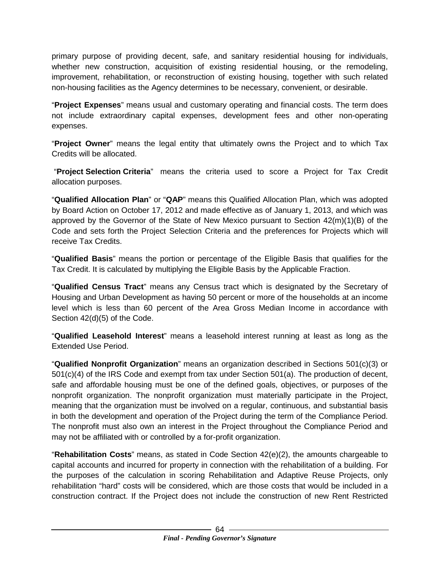primary purpose of providing decent, safe, and sanitary residential housing for individuals, whether new construction, acquisition of existing residential housing, or the remodeling, improvement, rehabilitation, or reconstruction of existing housing, together with such related non-housing facilities as the Agency determines to be necessary, convenient, or desirable.

"**Project Expenses**" means usual and customary operating and financial costs. The term does not include extraordinary capital expenses, development fees and other non-operating expenses.

"**Project Owner**" means the legal entity that ultimately owns the Project and to which Tax Credits will be allocated.

"**Project Selection Criteria**" means the criteria used to score a Project for Tax Credit allocation purposes.

"**Qualified Allocation Plan**" or "**QAP**" means this Qualified Allocation Plan, which was adopted by Board Action on October 17, 2012 and made effective as of January 1, 2013, and which was approved by the Governor of the State of New Mexico pursuant to Section 42(m)(1)(B) of the Code and sets forth the Project Selection Criteria and the preferences for Projects which will receive Tax Credits.

"**Qualified Basis**" means the portion or percentage of the Eligible Basis that qualifies for the Tax Credit. It is calculated by multiplying the Eligible Basis by the Applicable Fraction.

"**Qualified Census Tract**" means any Census tract which is designated by the Secretary of Housing and Urban Development as having 50 percent or more of the households at an income level which is less than 60 percent of the Area Gross Median Income in accordance with Section 42(d)(5) of the Code.

"**Qualified Leasehold Interest**" means a leasehold interest running at least as long as the Extended Use Period.

"**Qualified Nonprofit Organization**" means an organization described in Sections 501(c)(3) or 501(c)(4) of the IRS Code and exempt from tax under Section 501(a). The production of decent, safe and affordable housing must be one of the defined goals, objectives, or purposes of the nonprofit organization. The nonprofit organization must materially participate in the Project, meaning that the organization must be involved on a regular, continuous, and substantial basis in both the development and operation of the Project during the term of the Compliance Period. The nonprofit must also own an interest in the Project throughout the Compliance Period and may not be affiliated with or controlled by a for-profit organization.

"**Rehabilitation Costs**" means, as stated in Code Section 42(e)(2), the amounts chargeable to capital accounts and incurred for property in connection with the rehabilitation of a building. For the purposes of the calculation in scoring Rehabilitation and Adaptive Reuse Projects, only rehabilitation "hard" costs will be considered, which are those costs that would be included in a construction contract. If the Project does not include the construction of new Rent Restricted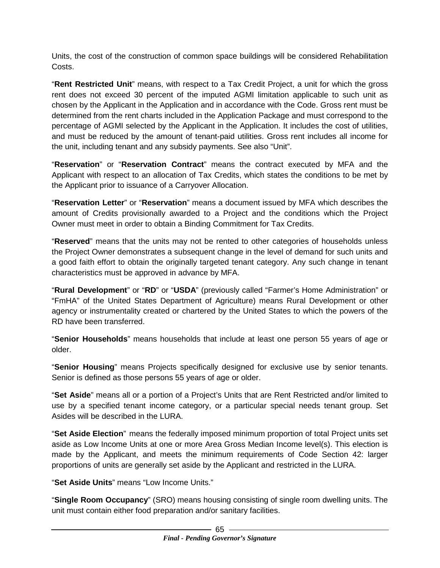Units, the cost of the construction of common space buildings will be considered Rehabilitation Costs.

"**Rent Restricted Unit**" means, with respect to a Tax Credit Project, a unit for which the gross rent does not exceed 30 percent of the imputed AGMI limitation applicable to such unit as chosen by the Applicant in the Application and in accordance with the Code. Gross rent must be determined from the rent charts included in the Application Package and must correspond to the percentage of AGMI selected by the Applicant in the Application. It includes the cost of utilities, and must be reduced by the amount of tenant-paid utilities. Gross rent includes all income for the unit, including tenant and any subsidy payments. See also "Unit".

"**Reservation**" or "**Reservation Contract**" means the contract executed by MFA and the Applicant with respect to an allocation of Tax Credits, which states the conditions to be met by the Applicant prior to issuance of a Carryover Allocation.

"**Reservation Letter**" or "**Reservation**" means a document issued by MFA which describes the amount of Credits provisionally awarded to a Project and the conditions which the Project Owner must meet in order to obtain a Binding Commitment for Tax Credits.

"**Reserved**" means that the units may not be rented to other categories of households unless the Project Owner demonstrates a subsequent change in the level of demand for such units and a good faith effort to obtain the originally targeted tenant category. Any such change in tenant characteristics must be approved in advance by MFA.

"**Rural Development**" or "**RD**" or "**USDA**" (previously called "Farmer's Home Administration" or "FmHA" of the United States Department of Agriculture) means Rural Development or other agency or instrumentality created or chartered by the United States to which the powers of the RD have been transferred.

"**Senior Households**" means households that include at least one person 55 years of age or older.

"**Senior Housing**" means Projects specifically designed for exclusive use by senior tenants. Senior is defined as those persons 55 years of age or older.

"**Set Aside**" means all or a portion of a Project's Units that are Rent Restricted and/or limited to use by a specified tenant income category, or a particular special needs tenant group. Set Asides will be described in the LURA.

"**Set Aside Election**" means the federally imposed minimum proportion of total Project units set aside as Low Income Units at one or more Area Gross Median Income level(s). This election is made by the Applicant, and meets the minimum requirements of Code Section 42: larger proportions of units are generally set aside by the Applicant and restricted in the LURA.

"**Set Aside Units**" means "Low Income Units."

"**Single Room Occupancy**" (SRO) means housing consisting of single room dwelling units. The unit must contain either food preparation and/or sanitary facilities.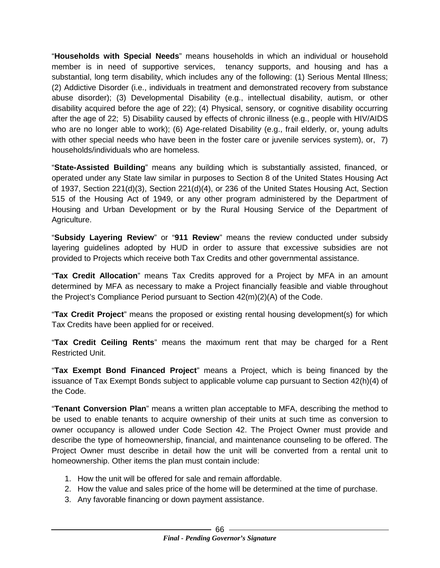"**Households with Special Needs**" means households in which an individual or household member is in need of supportive services, tenancy supports, and housing and has a substantial, long term disability, which includes any of the following: (1) Serious Mental Illness; (2) Addictive Disorder (i.e., individuals in treatment and demonstrated recovery from substance abuse disorder); (3) Developmental Disability (e.g., intellectual disability, autism, or other disability acquired before the age of 22); (4) Physical, sensory, or cognitive disability occurring after the age of 22; 5) Disability caused by effects of chronic illness (e.g., people with HIV/AIDS who are no longer able to work); (6) Age-related Disability (e.g., frail elderly, or, young adults with other special needs who have been in the foster care or juvenile services system), or, 7) households/individuals who are homeless.

"**State-Assisted Building**" means any building which is substantially assisted, financed, or operated under any State law similar in purposes to Section 8 of the United States Housing Act of 1937, Section 221(d)(3), Section 221(d)(4), or 236 of the United States Housing Act, Section 515 of the Housing Act of 1949, or any other program administered by the Department of Housing and Urban Development or by the Rural Housing Service of the Department of Agriculture.

"**Subsidy Layering Review**" or "**911 Review**" means the review conducted under subsidy layering guidelines adopted by HUD in order to assure that excessive subsidies are not provided to Projects which receive both Tax Credits and other governmental assistance.

"**Tax Credit Allocation**" means Tax Credits approved for a Project by MFA in an amount determined by MFA as necessary to make a Project financially feasible and viable throughout the Project's Compliance Period pursuant to Section 42(m)(2)(A) of the Code.

"**Tax Credit Project**" means the proposed or existing rental housing development(s) for which Tax Credits have been applied for or received.

"**Tax Credit Ceiling Rents**" means the maximum rent that may be charged for a Rent Restricted Unit.

"**Tax Exempt Bond Financed Project**" means a Project, which is being financed by the issuance of Tax Exempt Bonds subject to applicable volume cap pursuant to Section 42(h)(4) of the Code.

"**Tenant Conversion Plan**" means a written plan acceptable to MFA, describing the method to be used to enable tenants to acquire ownership of their units at such time as conversion to owner occupancy is allowed under Code Section 42. The Project Owner must provide and describe the type of homeownership, financial, and maintenance counseling to be offered. The Project Owner must describe in detail how the unit will be converted from a rental unit to homeownership. Other items the plan must contain include:

- 1. How the unit will be offered for sale and remain affordable.
- 2. How the value and sales price of the home will be determined at the time of purchase.
- 3. Any favorable financing or down payment assistance.